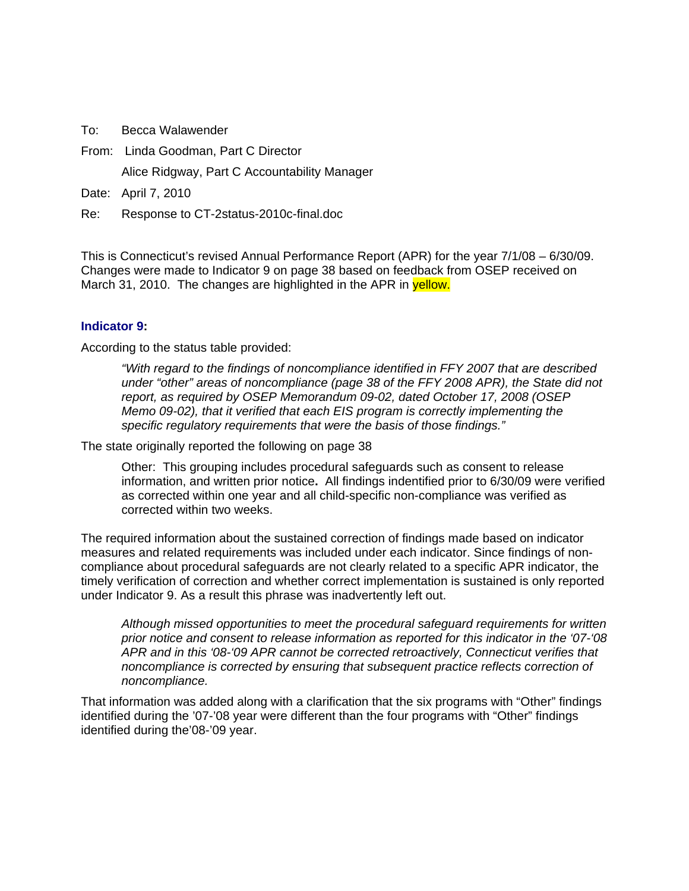To: Becca Walawender

From: Linda Goodman, Part C Director

Alice Ridgway, Part C Accountability Manager

Date: April 7, 2010

Re: Response to CT-2status-2010c-final.doc

This is Connecticut's revised Annual Performance Report (APR) for the year 7/1/08 – 6/30/09. Changes were made to Indicator 9 on page 38 based on feedback from OSEP received on March 31, 2010. The changes are highlighted in the APR in yellow.

### **[Indicator 9:](#page-34-0)**

According to the status table provided:

*"With regard to the findings of noncompliance identified in FFY 2007 that are described under "other" areas of noncompliance (page 38 of the FFY 2008 APR), the State did not report, as required by OSEP Memorandum 09-02, dated October 17, 2008 (OSEP Memo 09-02), that it verified that each EIS program is correctly implementing the specific regulatory requirements that were the basis of those findings."* 

The state originally reported the following on page 38

Other: This grouping includes procedural safeguards such as consent to release information, and written prior notice**.** All findings indentified prior to 6/30/09 were verified as corrected within one year and all child-specific non-compliance was verified as corrected within two weeks.

The required information about the sustained correction of findings made based on indicator measures and related requirements was included under each indicator. Since findings of noncompliance about procedural safeguards are not clearly related to a specific APR indicator, the timely verification of correction and whether correct implementation is sustained is only reported under Indicator 9. As a result this phrase was inadvertently left out.

*Although missed opportunities to meet the procedural safeguard requirements for written prior notice and consent to release information as reported for this indicator in the '07-'08 APR and in this '08-'09 APR cannot be corrected retroactively, Connecticut verifies that noncompliance is corrected by ensuring that subsequent practice reflects correction of noncompliance.*

That information was added along with a clarification that the six programs with "Other" findings identified during the '07-'08 year were different than the four programs with "Other" findings identified during the'08-'09 year.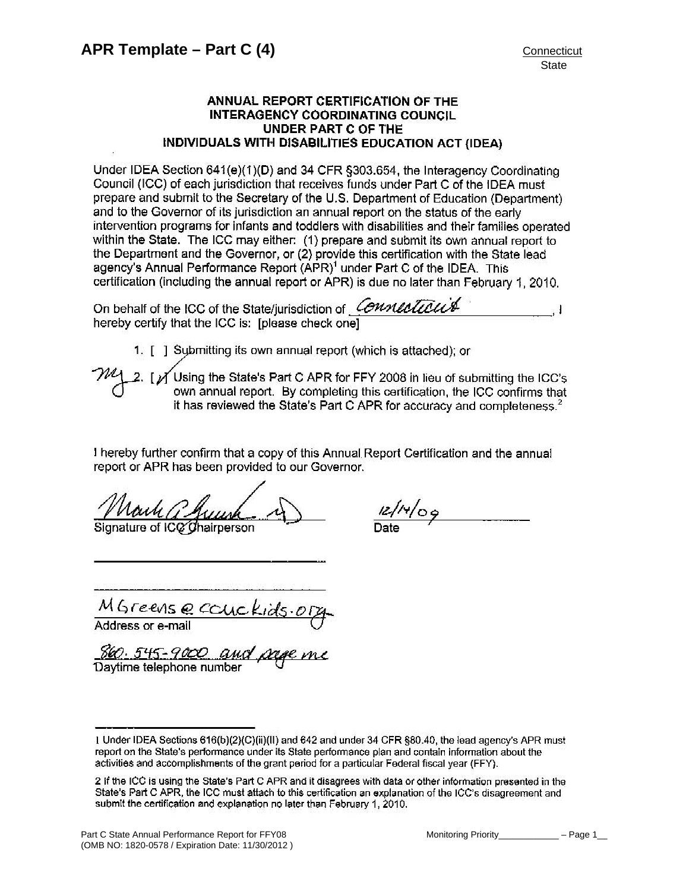## ANNUAL REPORT CERTIFICATION OF THE **INTERAGENCY COORDINATING COUNCIL** UNDER PART C OF THE INDIVIDUALS WITH DISABILITIES EDUCATION ACT (IDEA)

Under IDEA Section 641(e)(1)(D) and 34 CFR §303.654, the Interagency Coordinating Council (ICC) of each jurisdiction that receives funds under Part C of the IDEA must prepare and submit to the Secretary of the U.S. Department of Education (Department) and to the Governor of its jurisdiction an annual report on the status of the early intervention programs for infants and toddlers with disabilities and their families operated within the State. The ICC may either: (1) prepare and submit its own annual report to the Department and the Governor, or (2) provide this certification with the State lead agency's Annual Performance Report (APR)<sup>1</sup> under Part C of the IDEA. This certification (including the annual report or APR) is due no later than February 1, 2010.

On behalf of the ICC of the State/jurisdiction of Connecticute hereby certify that the ICC is: Iplease check onel

1. [ ] Submitting its own annual report (which is attached); or

[ Y Using the State's Part C APR for FFY 2008 in lieu of submitting the ICC's own annual report. By completing this certification, the ICC confirms that it has reviewed the State's Part C APR for accuracy and completeness.<sup>2</sup>

I hereby further confirm that a copy of this Annual Report Certification and the annual report or APR has been provided to our Governor.

Signature of IC $\alpha$  Chairperson

 $4/09$ 

MGreense Couc

860.545-9000 Daytime telephone number

<sup>1</sup> Under IDEA Sections 616(b)(2)(C)(ii)(II) and 642 and under 34 CFR §80.40, the lead agency's APR must report on the State's performance under its State performance plan and contain information about the activities and accomplishments of the grant period for a particular Federal fiscal year (FFY).

<sup>2</sup> If the ICC is using the State's Part C APR and it disagrees with data or other information presented in the State's Part C APR, the ICC must attach to this certification an explanation of the ICC's disagreement and submit the certification and explanation no later than February 1, 2010.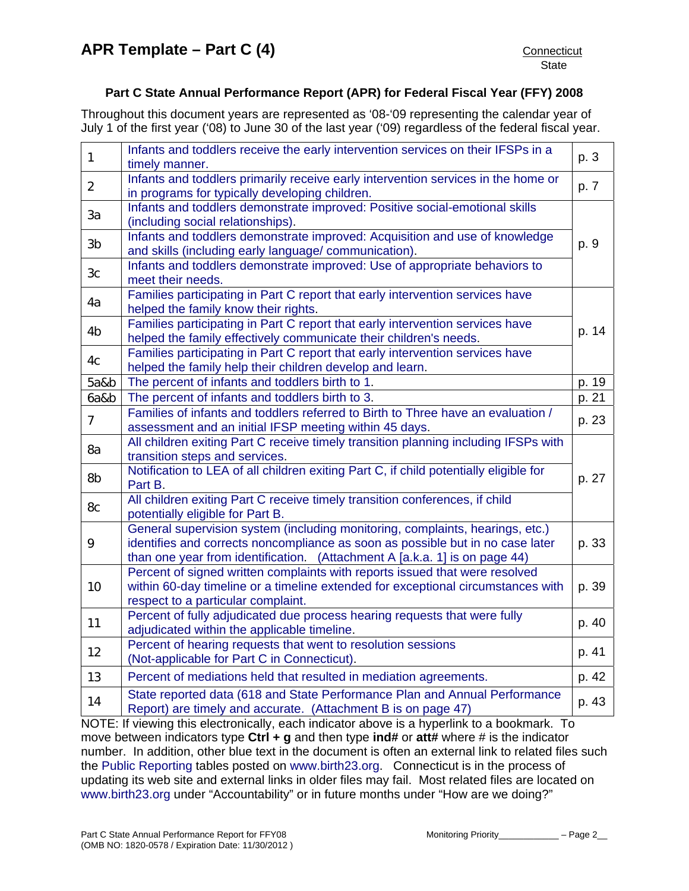## **Part C State Annual Performance Report (APR) for Federal Fiscal Year (FFY) 2008**

Throughout this document years are represented as '08-'09 representing the calendar year of July 1 of the first year ('08) to June 30 of the last year ('09) regardless of the federal fiscal year.

| $\mathbf{1}$   | Infants and toddlers receive the early intervention services on their IFSPs in a<br>timely manner.                                                                                                                                            | p. 3  |
|----------------|-----------------------------------------------------------------------------------------------------------------------------------------------------------------------------------------------------------------------------------------------|-------|
| $\overline{2}$ | Infants and toddlers primarily receive early intervention services in the home or<br>in programs for typically developing children.                                                                                                           | p. 7  |
| 3a             | Infants and toddlers demonstrate improved: Positive social-emotional skills<br>(including social relationships).                                                                                                                              |       |
| 3 <sub>b</sub> | Infants and toddlers demonstrate improved: Acquisition and use of knowledge<br>and skills (including early language/ communication).                                                                                                          | p. 9  |
| 3 <sub>c</sub> | Infants and toddlers demonstrate improved: Use of appropriate behaviors to<br>meet their needs.                                                                                                                                               |       |
| 4a             | Families participating in Part C report that early intervention services have<br>helped the family know their rights.                                                                                                                         |       |
| 4 <sub>b</sub> | Families participating in Part C report that early intervention services have<br>helped the family effectively communicate their children's needs.                                                                                            | p. 14 |
| 4c             | Families participating in Part C report that early intervention services have<br>helped the family help their children develop and learn.                                                                                                     |       |
| 5a&b           | The percent of infants and toddlers birth to 1.                                                                                                                                                                                               | p. 19 |
| 6a&b           | The percent of infants and toddlers birth to 3.                                                                                                                                                                                               | p. 21 |
| $\overline{7}$ | Families of infants and toddlers referred to Birth to Three have an evaluation /<br>assessment and an initial IFSP meeting within 45 days.                                                                                                    | p. 23 |
| 8a             | All children exiting Part C receive timely transition planning including IFSPs with<br>transition steps and services.                                                                                                                         |       |
| 8b             | Notification to LEA of all children exiting Part C, if child potentially eligible for<br>Part B.                                                                                                                                              | p. 27 |
| 8c             | All children exiting Part C receive timely transition conferences, if child<br>potentially eligible for Part B.                                                                                                                               |       |
| 9              | General supervision system (including monitoring, complaints, hearings, etc.)<br>identifies and corrects noncompliance as soon as possible but in no case later<br>than one year from identification. (Attachment A [a.k.a. 1] is on page 44) | p. 33 |
| 10             | Percent of signed written complaints with reports issued that were resolved<br>within 60-day timeline or a timeline extended for exceptional circumstances with<br>respect to a particular complaint.                                         | p. 39 |
| 11             | Percent of fully adjudicated due process hearing requests that were fully<br>adjudicated within the applicable timeline.                                                                                                                      | p. 40 |
| 12             | Percent of hearing requests that went to resolution sessions<br>(Not-applicable for Part C in Connecticut).                                                                                                                                   | p. 41 |
| 13             | Percent of mediations held that resulted in mediation agreements.                                                                                                                                                                             | p. 42 |
| 14             | State reported data (618 and State Performance Plan and Annual Performance<br>Report) are timely and accurate. (Attachment B is on page 47)                                                                                                   | p. 43 |
|                |                                                                                                                                                                                                                                               |       |

NOTE: If viewing this electronically, each indicator above is a hyperlink to a bookmark. To move between indicators type **Ctrl + g** and then type **ind#** or **att#** where # is the indicator number. In addition, other blue text in the document is often an external link to related files such the [Public Reporting](http://www.birth23.org/Accountability/PR/PublicReporting.htm) tables posted on [www.birth23.org](http://www.birth23.org/). Connecticut is in the process of updating its web site and external links in older files may fail. Most related files are located on [www.birth23.org](http://www.birth23.org/) under "Accountability" or in future months under "How are we doing?"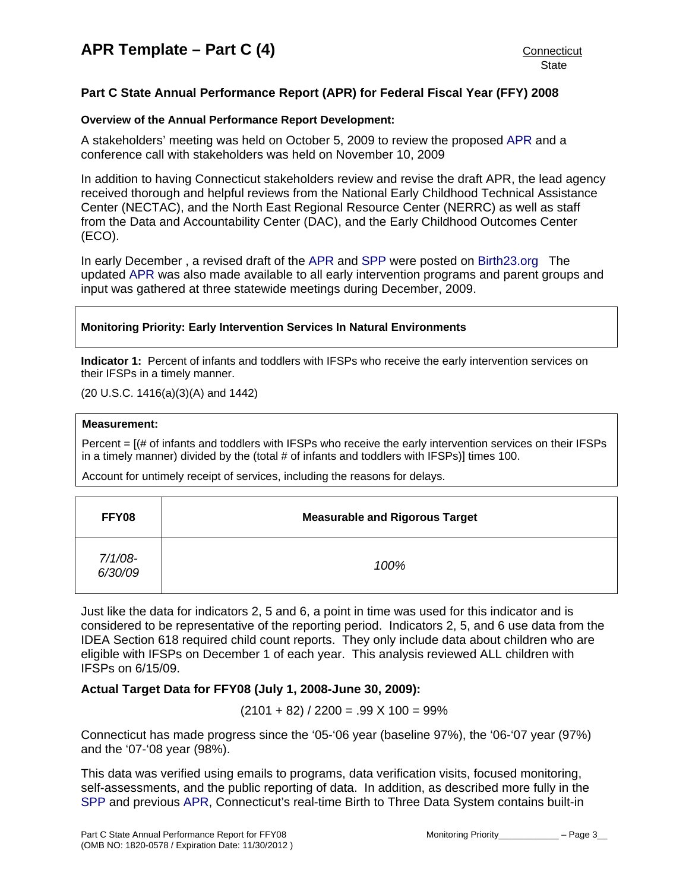## <span id="page-3-0"></span>**Part C State Annual Performance Report (APR) for Federal Fiscal Year (FFY) 2008**

## **Overview of the Annual Performance Report Development:**

A stakeholders' meeting was held on October 5, 2009 to review the proposed [APR](http://www.birth23.org/Accountability/SPP/SPPAPR.html) and a conference call with stakeholders was held on November 10, 2009

In addition to having Connecticut stakeholders review and revise the draft APR, the lead agency received thorough and helpful reviews from the National Early Childhood Technical Assistance Center (NECTAC), and the North East Regional Resource Center (NERRC) as well as staff from the Data and Accountability Center (DAC), and the Early Childhood Outcomes Center (ECO).

In early December , a revised draft of the [APR](http://www.birth23.org/Accountability/SPP/SPPAPR.html) and [SPP](http://www.birth23.org/Accountability/SPP/SPPAPR.html) were posted on [Birth23.org](http://www.birth23.org/) The updated [APR](http://www.birth23.org/Accountability/SPP/SPPAPR.html) was also made available to all early intervention programs and parent groups and input was gathered at three statewide meetings during December, 2009.

### **Monitoring Priority: Early Intervention Services In Natural Environments**

**Indicator 1:** Percent of infants and toddlers with IFSPs who receive the early intervention services on their IFSPs in a timely manner.

(20 U.S.C. 1416(a)(3)(A) and 1442)

### **Measurement:**

Percent = [(# of infants and toddlers with IFSPs who receive the early intervention services on their IFSPs in a timely manner) divided by the (total # of infants and toddlers with IFSPs)] times 100.

Account for untimely receipt of services, including the reasons for delays.

| FFY08                 | <b>Measurable and Rigorous Target</b> |
|-----------------------|---------------------------------------|
| $7/1/08$ -<br>6/30/09 | 100%                                  |

Just like the data for indicators 2, 5 and 6, a point in time was used for this indicator and is considered to be representative of the reporting period. Indicators 2, 5, and 6 use data from the IDEA Section 618 required child count reports. They only include data about children who are eligible with IFSPs on December 1 of each year. This analysis reviewed ALL children with IFSPs on 6/15/09.

## **Actual Target Data for FFY08 (July 1, 2008-June 30, 2009):**

 $(2101 + 82) / 2200 = .99 X 100 = 99\%$ 

Connecticut has made progress since the '05-'06 year (baseline 97%), the '06-'07 year (97%) and the '07-'08 year (98%).

This data was verified using emails to programs, data verification visits, focused monitoring, self-assessments, and the public reporting of data. In addition, as described more fully in the [SPP](http://www.birth23.org/Accountability/SPP/SPPAPR.html) and previous [APR,](http://www.birth23.org/Accountability/SPP/SPPAPR.html) Connecticut's real-time Birth to Three Data System contains built-in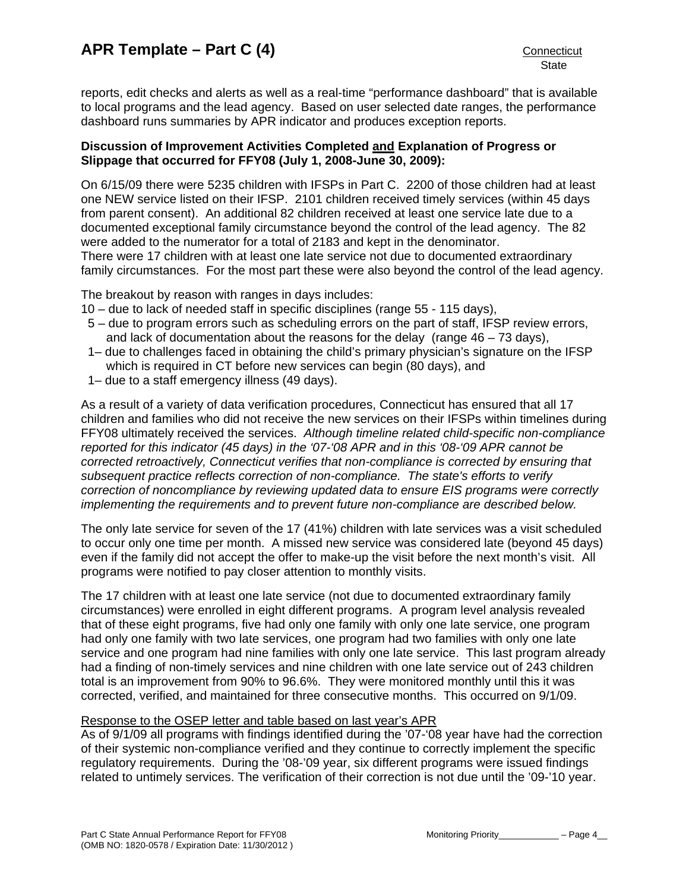reports, edit checks and alerts as well as a real-time "performance dashboard" that is available to local programs and the lead agency. Based on user selected date ranges, the performance dashboard runs summaries by APR indicator and produces exception reports.

## **Discussion of Improvement Activities Completed and Explanation of Progress or Slippage that occurred for FFY08 (July 1, 2008-June 30, 2009):**

On 6/15/09 there were 5235 children with IFSPs in Part C. 2200 of those children had at least one NEW service listed on their IFSP. 2101 children received timely services (within 45 days from parent consent). An additional 82 children received at least one service late due to a documented exceptional family circumstance beyond the control of the lead agency. The 82 were added to the numerator for a total of 2183 and kept in the denominator. There were 17 children with at least one late service not due to documented extraordinary family circumstances. For the most part these were also beyond the control of the lead agency.

The breakout by reason with ranges in days includes:

- 10 due to lack of needed staff in specific disciplines (range 55 115 days),
- 5 due to program errors such as scheduling errors on the part of staff, IFSP review errors, and lack of documentation about the reasons for the delay (range 46 – 73 days),
- 1– due to challenges faced in obtaining the child's primary physician's signature on the IFSP which is required in CT before new services can begin (80 days), and
- 1– due to a staff emergency illness (49 days).

As a result of a variety of data verification procedures, Connecticut has ensured that all 17 children and families who did not receive the new services on their IFSPs within timelines during FFY08 ultimately received the services. *Although timeline related child-specific non-compliance reported for this indicator (45 days) in the '07-'08 APR and in this '08-'09 APR cannot be corrected retroactively, Connecticut verifies that non-compliance is corrected by ensuring that subsequent practice reflects correction of non-compliance. The state's efforts to verify correction of noncompliance by reviewing updated data to ensure EIS programs were correctly implementing the requirements and to prevent future non-compliance are described below.* 

The only late service for seven of the 17 (41%) children with late services was a visit scheduled to occur only one time per month. A missed new service was considered late (beyond 45 days) even if the family did not accept the offer to make-up the visit before the next month's visit. All programs were notified to pay closer attention to monthly visits.

The 17 children with at least one late service (not due to documented extraordinary family circumstances) were enrolled in eight different programs. A program level analysis revealed that of these eight programs, five had only one family with only one late service, one program had only one family with two late services, one program had two families with only one late service and one program had nine families with only one late service. This last program already had a finding of non-timely services and nine children with one late service out of 243 children total is an improvement from 90% to 96.6%. They were monitored monthly until this it was corrected, verified, and maintained for three consecutive months. This occurred on 9/1/09.

## Response to the OSEP letter and table based on last year's APR

As of 9/1/09 all programs with findings identified during the '07-'08 year have had the correction of their systemic non-compliance verified and they continue to correctly implement the specific regulatory requirements. During the '08-'09 year, six different programs were issued findings related to untimely services. The verification of their correction is not due until the '09-'10 year.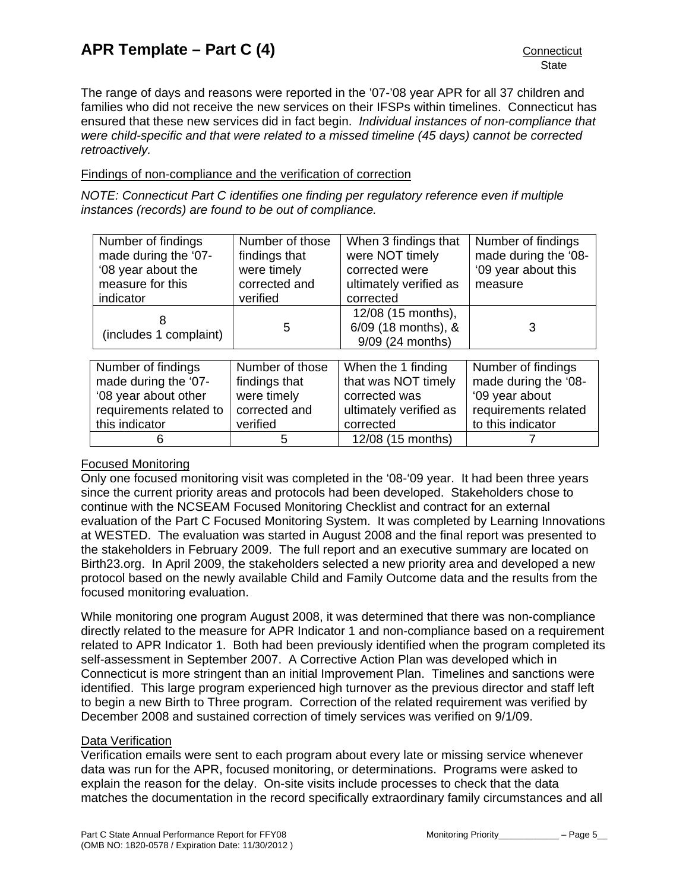The range of days and reasons were reported in the '07-'08 year APR for all 37 children and families who did not receive the new services on their IFSPs within timelines. Connecticut has ensured that these new services did in fact begin. *Individual instances of non-compliance that were child-specific and that were related to a missed timeline (45 days) cannot be corrected retroactively.* 

## Findings of non-compliance and the verification of correction

*NOTE: Connecticut Part C identifies one finding per regulatory reference even if multiple instances (records) are found to be out of compliance.* 

| Number of findings<br>made during the '07- | Number of those<br>findings that | When 3 findings that<br>were NOT timely | Number of findings<br>made during the '08- |
|--------------------------------------------|----------------------------------|-----------------------------------------|--------------------------------------------|
| '08 year about the                         | were timely                      | corrected were                          | '09 year about this                        |
| measure for this                           | corrected and                    | ultimately verified as                  | measure                                    |
| indicator                                  | verified                         | corrected                               |                                            |
|                                            |                                  | 12/08 (15 months),                      |                                            |
| (includes 1 complaint)                     | 5                                | 6/09 (18 months), &                     | 3                                          |
|                                            |                                  | 9/09 (24 months)                        |                                            |
|                                            |                                  |                                         |                                            |
| Number of findings                         | Number of those                  | When the 1 finding                      | Number of findings                         |
| made during the '07-                       | findings that                    | that was NOT timely                     | made during the '08-                       |
| '08 year about other                       | were timely                      | corrected was                           | '09 year about                             |
| requirements related to                    | corrected and                    | ultimately verified as                  | requirements related                       |
| this indicator                             | verified                         | corrected                               | to this indicator                          |
| o                                          | 5                                | 12/08 (15 months)                       |                                            |

## Focused Monitoring

Only one focused monitoring visit was completed in the '08-'09 year. It had been three years since the current priority areas and protocols had been developed. Stakeholders chose to continue with the NCSEAM Focused Monitoring Checklist and contract for an external evaluation of the Part C Focused Monitoring System. It was completed by Learning Innovations at WESTED. The evaluation was started in August 2008 and the final report was presented to the stakeholders in February 2009. The full report and an executive summary are located on Birth23.org. In April 2009, the stakeholders selected a new priority area and developed a new protocol based on the newly available Child and Family Outcome data and the results from the focused monitoring evaluation.

While monitoring one program August 2008, it was determined that there was non-compliance directly related to the measure for APR Indicator 1 and non-compliance based on a requirement related to APR Indicator 1. Both had been previously identified when the program completed its self-assessment in September 2007. A Corrective Action Plan was developed which in Connecticut is more stringent than an initial Improvement Plan. Timelines and sanctions were identified. This large program experienced high turnover as the previous director and staff left to begin a new Birth to Three program. Correction of the related requirement was verified by December 2008 and sustained correction of timely services was verified on 9/1/09.

## Data Verification

Verification emails were sent to each program about every late or missing service whenever data was run for the APR, focused monitoring, or determinations. Programs were asked to explain the reason for the delay. On-site visits include processes to check that the data matches the documentation in the record specifically extraordinary family circumstances and all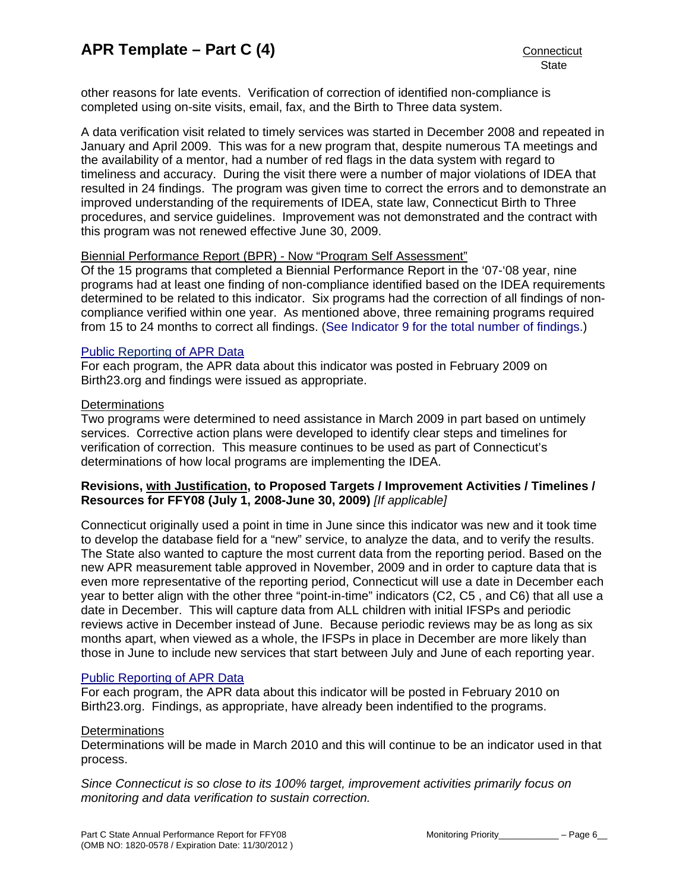other reasons for late events. Verification of correction of identified non-compliance is completed using on-site visits, email, fax, and the Birth to Three data system.

A data verification visit related to timely services was started in December 2008 and repeated in January and April 2009. This was for a new program that, despite numerous TA meetings and the availability of a mentor, had a number of red flags in the data system with regard to timeliness and accuracy. During the visit there were a number of major violations of IDEA that resulted in 24 findings. The program was given time to correct the errors and to demonstrate an improved understanding of the requirements of IDEA, state law, Connecticut Birth to Three procedures, and service guidelines. Improvement was not demonstrated and the contract with this program was not renewed effective June 30, 2009.

## Biennial Performance Report (BPR) - Now "Program Self Assessment"

Of the 15 programs that completed a Biennial Performance Report in the '07-'08 year, nine programs had at least one finding of non-compliance identified based on the IDEA requirements determined to be related to this indicator. Six programs had the correction of all findings of noncompliance verified within one year. As mentioned above, three remaining programs required from 15 to 24 months to correct all findings. ([See Indicator 9 for the total number of findings.](#page-34-0))

## [Public Reporting of APR Data](http://www.birth23.org/state_performance_plans_and_annu.htm)

For each program, the APR data about this indicator was posted in February 2009 on Birth23.org and findings were issued as appropriate.

### **Determinations**

Two programs were determined to need assistance in March 2009 in part based on untimely services. Corrective action plans were developed to identify clear steps and timelines for verification of correction. This measure continues to be used as part of Connecticut's determinations of how local programs are implementing the IDEA.

## **Revisions, with Justification, to Proposed Targets / Improvement Activities / Timelines / Resources for FFY08 (July 1, 2008-June 30, 2009)** *[If applicable]*

Connecticut originally used a point in time in June since this indicator was new and it took time to develop the database field for a "new" service, to analyze the data, and to verify the results. The State also wanted to capture the most current data from the reporting period. Based on the new APR measurement table approved in November, 2009 and in order to capture data that is even more representative of the reporting period, Connecticut will use a date in December each year to better align with the other three "point-in-time" indicators (C2, C5 , and C6) that all use a date in December. This will capture data from ALL children with initial IFSPs and periodic reviews active in December instead of June. Because periodic reviews may be as long as six months apart, when viewed as a whole, the IFSPs in place in December are more likely than those in June to include new services that start between July and June of each reporting year.

#### [Public Reporting of APR Data](http://www.birth23.org/state_performance_plans_and_annu.htm)

For each program, the APR data about this indicator will be posted in February 2010 on Birth23.org. Findings, as appropriate, have already been indentified to the programs.

#### **Determinations**

Determinations will be made in March 2010 and this will continue to be an indicator used in that process.

*Since Connecticut is so close to its 100% target, improvement activities primarily focus on monitoring and data verification to sustain correction.*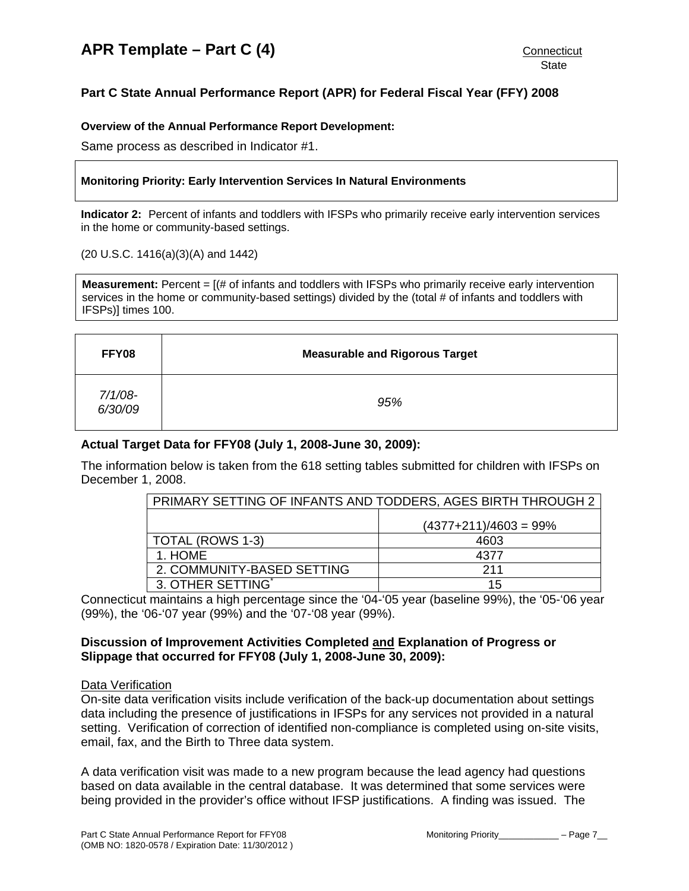# <span id="page-7-0"></span>**Part C State Annual Performance Report (APR) for Federal Fiscal Year (FFY) 2008**

## **Overview of the Annual Performance Report Development:**

Same process as described in Indicator #1.

### **Monitoring Priority: Early Intervention Services In Natural Environments**

**Indicator 2:** Percent of infants and toddlers with IFSPs who primarily receive early intervention services in the home or community-based settings.

#### (20 U.S.C. 1416(a)(3)(A) and 1442)

**Measurement:** Percent =  $[(\# \text{ of infants and toldlers with IFSPs who primarily receive early intervention$ services in the home or community-based settings) divided by the (total # of infants and toddlers with IFSPs)] times 100.

| FFY08                 | <b>Measurable and Rigorous Target</b> |
|-----------------------|---------------------------------------|
| $7/1/08$ -<br>6/30/09 | 95%                                   |

## **Actual Target Data for FFY08 (July 1, 2008-June 30, 2009):**

The information below is taken from the 618 setting tables submitted for children with IFSPs on December 1, 2008.

| PRIMARY SETTING OF INFANTS AND TODDERS, AGES BIRTH THROUGH 2 |                         |  |  |
|--------------------------------------------------------------|-------------------------|--|--|
|                                                              | $(4377+211)/4603 = 99%$ |  |  |
| TOTAL (ROWS 1-3)                                             | 4603                    |  |  |
| 1. HOME                                                      | 4377                    |  |  |
| 2. COMMUNITY-BASED SETTING                                   | 211                     |  |  |
| 3. OTHER SETTING*                                            | 15                      |  |  |

Connecticut maintains a high percentage since the '04-'05 year (baseline 99%), the '05-'06 year (99%), the '06-'07 year (99%) and the '07-'08 year (99%).

## **Discussion of Improvement Activities Completed and Explanation of Progress or Slippage that occurred for FFY08 (July 1, 2008-June 30, 2009):**

#### Data Verification

On-site data verification visits include verification of the back-up documentation about settings data including the presence of justifications in IFSPs for any services not provided in a natural setting. Verification of correction of identified non-compliance is completed using on-site visits, email, fax, and the Birth to Three data system.

A data verification visit was made to a new program because the lead agency had questions based on data available in the central database. It was determined that some services were being provided in the provider's office without IFSP justifications. A finding was issued. The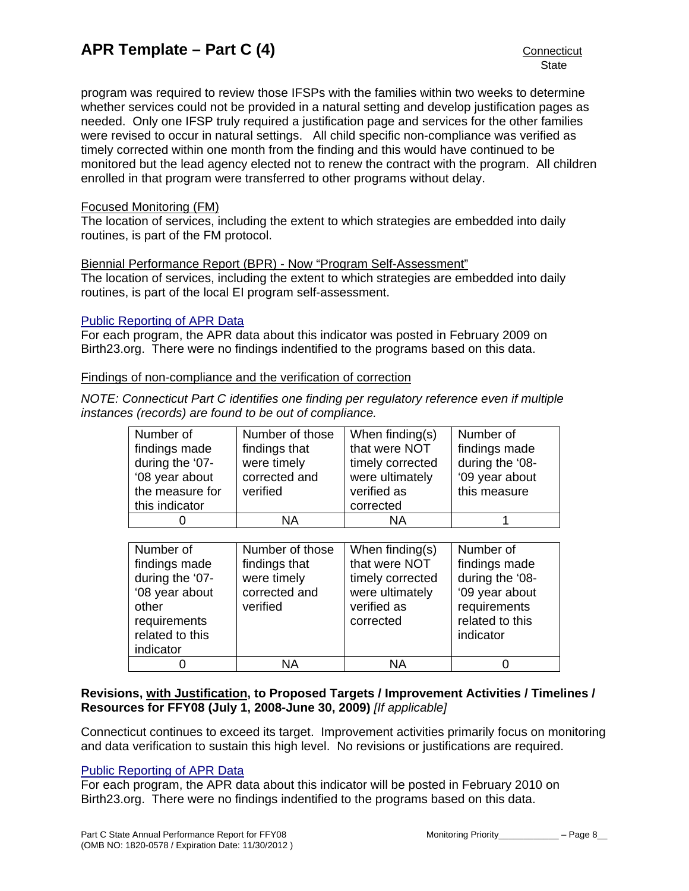program was required to review those IFSPs with the families within two weeks to determine whether services could not be provided in a natural setting and develop justification pages as needed. Only one IFSP truly required a justification page and services for the other families were revised to occur in natural settings. All child specific non-compliance was verified as timely corrected within one month from the finding and this would have continued to be monitored but the lead agency elected not to renew the contract with the program. All children enrolled in that program were transferred to other programs without delay.

## Focused Monitoring (FM)

The location of services, including the extent to which strategies are embedded into daily routines, is part of the FM protocol.

## Biennial Performance Report (BPR) - Now "Program Self-Assessment"

The location of services, including the extent to which strategies are embedded into daily routines, is part of the local EI program self-assessment.

## [Public Reporting of APR Data](http://www.birth23.org/state_performance_plans_and_annu.htm)

For each program, the APR data about this indicator was posted in February 2009 on Birth23.org. There were no findings indentified to the programs based on this data.

## Findings of non-compliance and the verification of correction

*NOTE: Connecticut Part C identifies one finding per regulatory reference even if multiple instances (records) are found to be out of compliance.* 

| Number of       | Number of those | When finding(s)  | Number of       |
|-----------------|-----------------|------------------|-----------------|
| findings made   | findings that   | that were NOT    | findings made   |
| during the '07- | were timely     | timely corrected | during the '08- |
| '08 year about  | corrected and   | were ultimately  | '09 year about  |
| the measure for | verified        | verified as      | this measure    |
| this indicator  |                 | corrected        |                 |
|                 | ΝA              | <b>NA</b>        |                 |

| Number of       | Number of those | When finding(s)  | Number of       |
|-----------------|-----------------|------------------|-----------------|
| findings made   | findings that   | that were NOT    | findings made   |
| during the '07- | were timely     | timely corrected | during the '08- |
| '08 year about  | corrected and   | were ultimately  | '09 year about  |
| other           | verified        | verified as      | requirements    |
| requirements    |                 | corrected        | related to this |
| related to this |                 |                  | indicator       |
| indicator       |                 |                  |                 |
|                 | ΝA              | ΝA               |                 |

## **Revisions, with Justification, to Proposed Targets / Improvement Activities / Timelines / Resources for FFY08 (July 1, 2008-June 30, 2009)** *[If applicable]*

Connecticut continues to exceed its target. Improvement activities primarily focus on monitoring and data verification to sustain this high level. No revisions or justifications are required.

## [Public Reporting of APR Data](http://www.birth23.org/state_performance_plans_and_annu.htm)

For each program, the APR data about this indicator will be posted in February 2010 on Birth23.org. There were no findings indentified to the programs based on this data.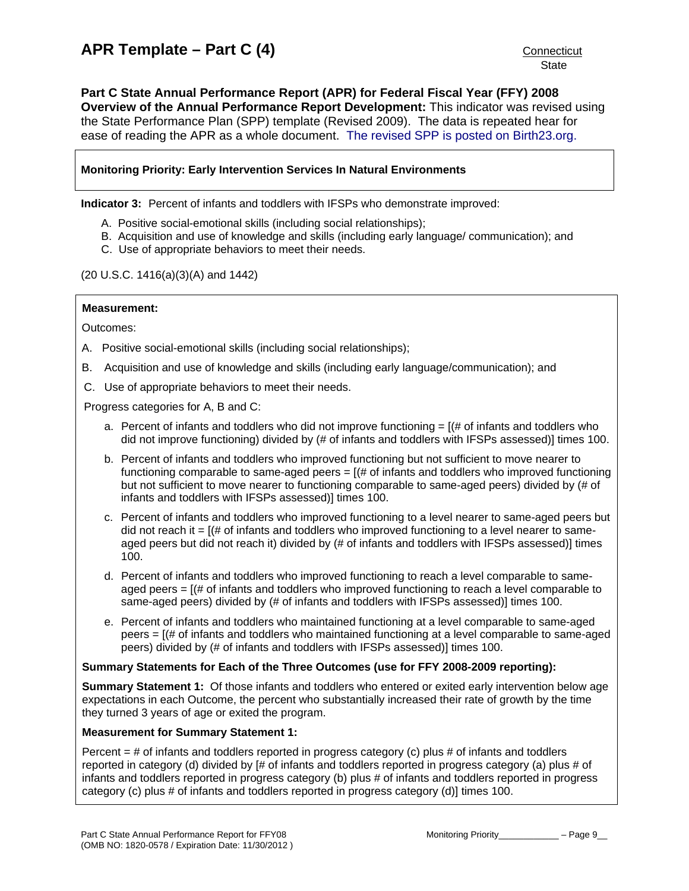<span id="page-9-0"></span>**Part C State Annual Performance Report (APR) for Federal Fiscal Year (FFY) 2008 Overview of the Annual Performance Report Development:** This indicator was revised using the State Performance Plan (SPP) template (Revised 2009). The data is repeated hear for ease of reading the APR as a whole document. [The revised SPP is posted on Birth23.org.](http://www.birth23.org/Accountability/SPP/SPPAPR.html)

## **Monitoring Priority: Early Intervention Services In Natural Environments**

**Indicator 3:** Percent of infants and toddlers with IFSPs who demonstrate improved:

- A. Positive social-emotional skills (including social relationships);
- B. Acquisition and use of knowledge and skills (including early language/ communication); and
- C. Use of appropriate behaviors to meet their needs.

#### (20 U.S.C. 1416(a)(3)(A) and 1442)

#### **Measurement:**

Outcomes:

- A. Positive social-emotional skills (including social relationships);
- B. Acquisition and use of knowledge and skills (including early language/communication); and
- C. Use of appropriate behaviors to meet their needs.

Progress categories for A, B and C:

- a. Percent of infants and toddlers who did not improve functioning  $=$   $[$   $\#$  of infants and toddlers who did not improve functioning) divided by (# of infants and toddlers with IFSPs assessed)] times 100.
- b. Percent of infants and toddlers who improved functioning but not sufficient to move nearer to functioning comparable to same-aged peers  $=$   $($   $\#$  of infants and toddlers who improved functioning but not sufficient to move nearer to functioning comparable to same-aged peers) divided by (# of infants and toddlers with IFSPs assessed)] times 100.
- c. Percent of infants and toddlers who improved functioning to a level nearer to same-aged peers but did not reach it  $=$   $[(# of infants and toldlers who improved functioning to a level nearer to same$ aged peers but did not reach it) divided by (# of infants and toddlers with IFSPs assessed)] times 100.
- d. Percent of infants and toddlers who improved functioning to reach a level comparable to sameaged peers  $=$   $[(# of in fants and toldlers who improved functioning to reach a level comparable to$ same-aged peers) divided by (# of infants and toddlers with IFSPs assessed)] times 100.
- e. Percent of infants and toddlers who maintained functioning at a level comparable to same-aged peers = [(# of infants and toddlers who maintained functioning at a level comparable to same-aged peers) divided by (# of infants and toddlers with IFSPs assessed)] times 100.

#### **Summary Statements for Each of the Three Outcomes (use for FFY 2008-2009 reporting):**

**Summary Statement 1:** Of those infants and toddlers who entered or exited early intervention below age expectations in each Outcome, the percent who substantially increased their rate of growth by the time they turned 3 years of age or exited the program.

#### **Measurement for Summary Statement 1:**

Percent = # of infants and toddlers reported in progress category (c) plus # of infants and toddlers reported in category (d) divided by [# of infants and toddlers reported in progress category (a) plus # of infants and toddlers reported in progress category (b) plus # of infants and toddlers reported in progress category (c) plus # of infants and toddlers reported in progress category (d)] times 100.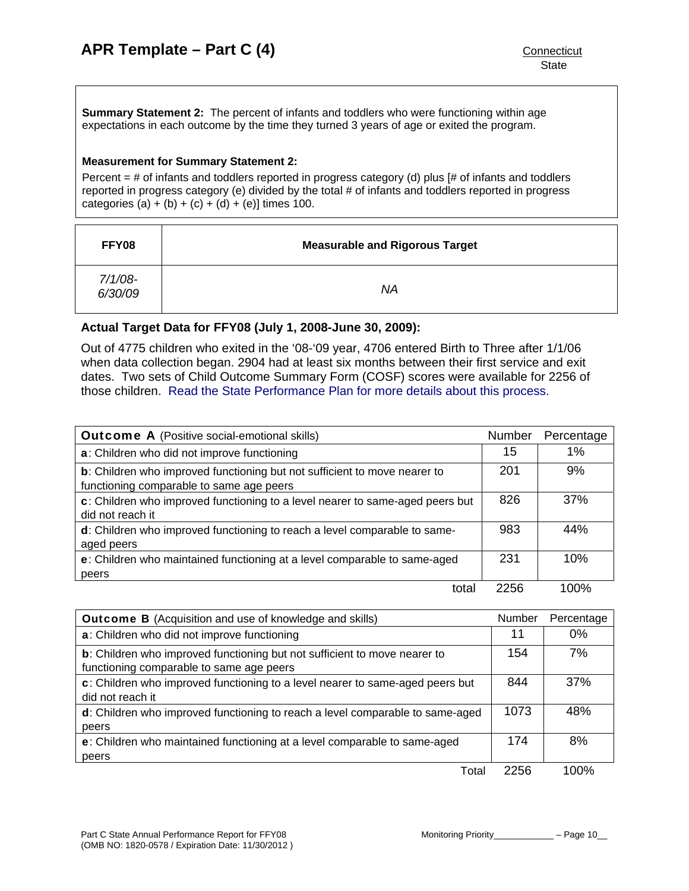**Summary Statement 2:** The percent of infants and toddlers who were functioning within age expectations in each outcome by the time they turned 3 years of age or exited the program.

## **Measurement for Summary Statement 2:**

Percent  $=$  # of infants and toddlers reported in progress category (d) plus  $[#]$  of infants and toddlers reported in progress category (e) divided by the total # of infants and toddlers reported in progress categories (a) + (b) + (c) + (d) + (e)] times 100.

| FFY08                 | <b>Measurable and Rigorous Target</b> |
|-----------------------|---------------------------------------|
| $7/1/08 -$<br>6/30/09 | ΝA                                    |

## **Actual Target Data for FFY08 (July 1, 2008-June 30, 2009):**

Out of 4775 children who exited in the '08-'09 year, 4706 entered Birth to Three after 1/1/06 when data collection began. 2904 had at least six months between their first service and exit dates. Two sets of Child Outcome Summary Form (COSF) scores were available for 2256 of those children. [Read the State Performance Plan for more details about this process.](http://www.birth23.org/Accountability/SPP/SPPAPR.html)

| <b>Outcome A</b> (Positive social-emotional skills)                                                                           | Number | Percentage |
|-------------------------------------------------------------------------------------------------------------------------------|--------|------------|
| a: Children who did not improve functioning                                                                                   | 15     | 1%         |
| <b>b</b> : Children who improved functioning but not sufficient to move nearer to<br>functioning comparable to same age peers | 201    | 9%         |
| c: Children who improved functioning to a level nearer to same-aged peers but<br>did not reach it                             | 826    | 37%        |
| d: Children who improved functioning to reach a level comparable to same-<br>aged peers                                       | 983    | 44%        |
| e: Children who maintained functioning at a level comparable to same-aged<br>peers                                            | 231    | 10%        |
| tota                                                                                                                          | 2256   | 100%       |

| <b>Outcome B</b> (Acquisition and use of knowledge and skills)                                                        | Number | Percentage |
|-----------------------------------------------------------------------------------------------------------------------|--------|------------|
| a: Children who did not improve functioning                                                                           | 11     | $0\%$      |
| b: Children who improved functioning but not sufficient to move nearer to<br>functioning comparable to same age peers | 154    | 7%         |
| c: Children who improved functioning to a level nearer to same-aged peers but<br>did not reach it                     | 844    | 37%        |
| d: Children who improved functioning to reach a level comparable to same-aged<br>peers                                | 1073   | 48%        |
| e: Children who maintained functioning at a level comparable to same-aged<br>peers                                    | 174    | 8%         |
| Total                                                                                                                 | 2256   | 100%       |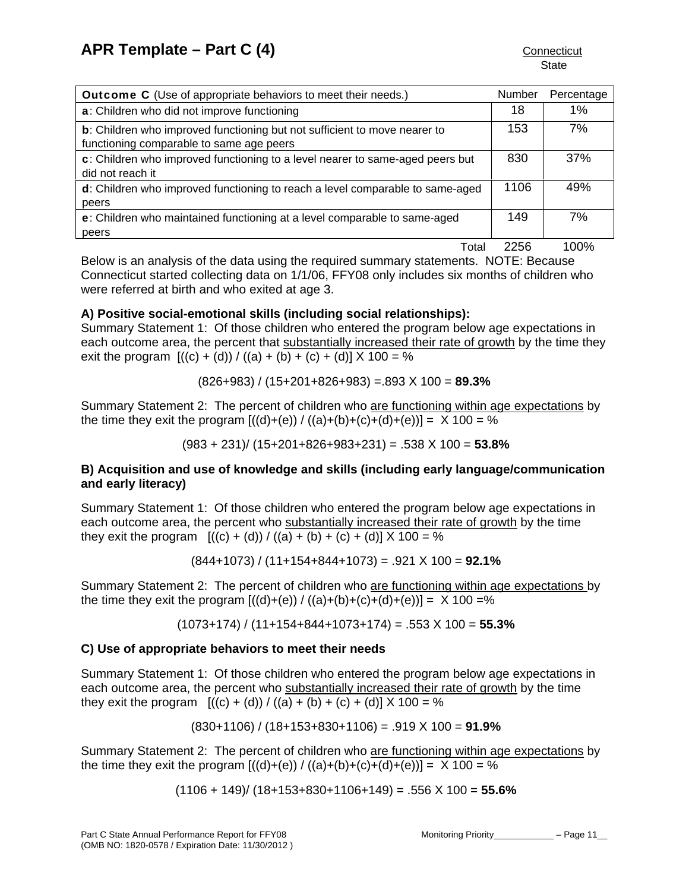| <b>Outcome C</b> (Use of appropriate behaviors to meet their needs.)                                                  | Number | Percentage |
|-----------------------------------------------------------------------------------------------------------------------|--------|------------|
| a: Children who did not improve functioning                                                                           | 18     | 1%         |
| b: Children who improved functioning but not sufficient to move nearer to<br>functioning comparable to same age peers | 153    | 7%         |
| c: Children who improved functioning to a level nearer to same-aged peers but<br>did not reach it                     | 830    | 37%        |
| d: Children who improved functioning to reach a level comparable to same-aged<br>peers                                | 1106   | 49%        |
| e: Children who maintained functioning at a level comparable to same-aged<br>peers                                    | 149    | 7%         |
| $T - 1 - 1$                                                                                                           | OOEG   | 1000       |

Total 2256 100%

Below is an analysis of the data using the required summary statements. NOTE: Because Connecticut started collecting data on 1/1/06, FFY08 only includes six months of children who were referred at birth and who exited at age 3.

# **A) Positive social-emotional skills (including social relationships):**

Summary Statement 1: Of those children who entered the program below age expectations in each outcome area, the percent that substantially increased their rate of growth by the time they exit the program  $[((c) + (d)) / ((a) + (b) + (c) + (d)] \times 100 = %$ 

(826+983) / (15+201+826+983) =.893 X 100 = **89.3%** 

Summary Statement 2: The percent of children who are functioning within age expectations by the time they exit the program  $[(d)+(e)) / ((a)+(b)+(c)+(d)+(e))] = X 100 = %$ 

(983 + 231)/ (15+201+826+983+231) = .538 X 100 = **53.8%**

## **B) Acquisition and use of knowledge and skills (including early language/communication and early literacy)**

Summary Statement 1: Of those children who entered the program below age expectations in each outcome area, the percent who substantially increased their rate of growth by the time they exit the program  $[(c) + (d)) / ((a) + (b) + (c) + (d)] \times 100 = %$ 

(844+1073) / (11+154+844+1073) = .921 X 100 = **92.1%** 

Summary Statement 2: The percent of children who are functioning within age expectations by the time they exit the program  $[((d)+(e)) / ((a)+(b)+(c)+(d)+(e))] = X 100 =\%$ 

(1073+174) / (11+154+844+1073+174) = .553 X 100 = **55.3%** 

## **C) Use of appropriate behaviors to meet their needs**

Summary Statement 1: Of those children who entered the program below age expectations in each outcome area, the percent who substantially increased their rate of growth by the time they exit the program  $[(c) + (d)) / ((a) + (b) + (c) + (d)] X 100 = %$ 

(830+1106) / (18+153+830+1106) = .919 X 100 = **91.9%**

Summary Statement 2: The percent of children who are functioning within age expectations by the time they exit the program  $[(d)+(e)) / ((a)+(b)+(c)+(d)+(e))] = X 100 = %$ 

(1106 + 149)/ (18+153+830+1106+149) = .556 X 100 = **55.6%**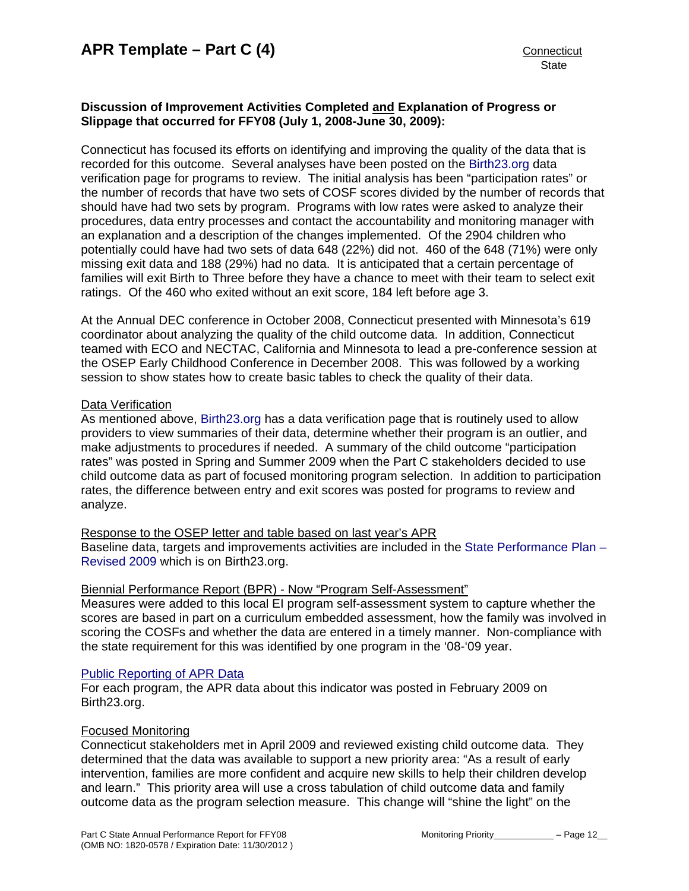## **Discussion of Improvement Activities Completed and Explanation of Progress or Slippage that occurred for FFY08 (July 1, 2008-June 30, 2009):**

Connecticut has focused its efforts on identifying and improving the quality of the data that is recorded for this outcome. Several analyses have been posted on the [Birth23.org](http://www.birth23.org/) data verification page for programs to review. The initial analysis has been "participation rates" or the number of records that have two sets of COSF scores divided by the number of records that should have had two sets by program. Programs with low rates were asked to analyze their procedures, data entry processes and contact the accountability and monitoring manager with an explanation and a description of the changes implemented. Of the 2904 children who potentially could have had two sets of data 648 (22%) did not. 460 of the 648 (71%) were only missing exit data and 188 (29%) had no data. It is anticipated that a certain percentage of families will exit Birth to Three before they have a chance to meet with their team to select exit ratings. Of the 460 who exited without an exit score, 184 left before age 3.

At the Annual DEC conference in October 2008, Connecticut presented with Minnesota's 619 coordinator about analyzing the quality of the child outcome data. In addition, Connecticut teamed with ECO and NECTAC, California and Minnesota to lead a pre-conference session at the OSEP Early Childhood Conference in December 2008. This was followed by a working session to show states how to create basic tables to check the quality of their data.

## Data Verification

As mentioned above, [Birth23.org](http://www.birth23.org/) has a data verification page that is routinely used to allow providers to view summaries of their data, determine whether their program is an outlier, and make adjustments to procedures if needed. A summary of the child outcome "participation rates" was posted in Spring and Summer 2009 when the Part C stakeholders decided to use child outcome data as part of focused monitoring program selection. In addition to participation rates, the difference between entry and exit scores was posted for programs to review and analyze.

## Response to the OSEP letter and table based on last year's APR

Baseline data, targets and improvements activities are included in the State Performance Plan -[Revised 2009](http://www.birth23.org/Accountability/SPP/SPPAPR.html) which is on Birth23.org.

## Biennial Performance Report (BPR) - Now "Program Self-Assessment"

Measures were added to this local EI program self-assessment system to capture whether the scores are based in part on a curriculum embedded assessment, how the family was involved in scoring the COSFs and whether the data are entered in a timely manner. Non-compliance with the state requirement for this was identified by one program in the '08-'09 year.

#### [Public Reporting of APR Data](http://www.birth23.org/state_performance_plans_and_annu.htm)

For each program, the APR data about this indicator was posted in February 2009 on Birth23.org.

## Focused Monitoring

Connecticut stakeholders met in April 2009 and reviewed existing child outcome data. They determined that the data was available to support a new priority area: "As a result of early intervention, families are more confident and acquire new skills to help their children develop and learn." This priority area will use a cross tabulation of child outcome data and family outcome data as the program selection measure. This change will "shine the light" on the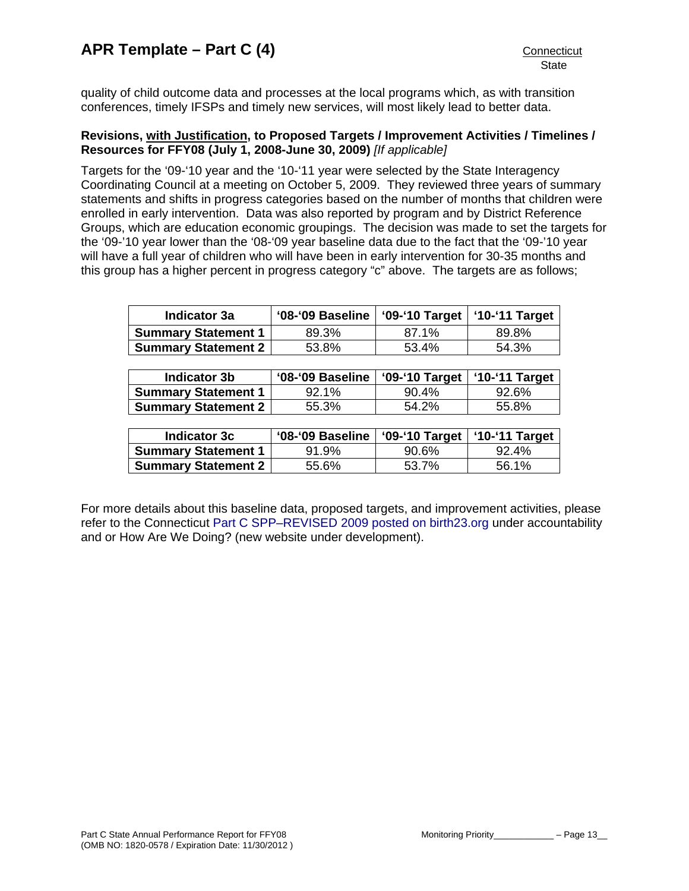quality of child outcome data and processes at the local programs which, as with transition conferences, timely IFSPs and timely new services, will most likely lead to better data.

## **Revisions, with Justification, to Proposed Targets / Improvement Activities / Timelines / Resources for FFY08 (July 1, 2008-June 30, 2009)** *[If applicable]*

Targets for the '09-'10 year and the '10-'11 year were selected by the State Interagency Coordinating Council at a meeting on October 5, 2009. They reviewed three years of summary statements and shifts in progress categories based on the number of months that children were enrolled in early intervention. Data was also reported by program and by District Reference Groups, which are education economic groupings. The decision was made to set the targets for the '09-'10 year lower than the '08-'09 year baseline data due to the fact that the '09-'10 year will have a full year of children who will have been in early intervention for 30-35 months and this group has a higher percent in progress category "c" above. The targets are as follows;

| Indicator 3a               | '08-'09 Baseline | '09-'10 Target   '10-'11 Target |       |
|----------------------------|------------------|---------------------------------|-------|
| <b>Summary Statement 1</b> | 89.3%            | 87.1%                           | 89.8% |
| <b>Summary Statement 2</b> | 53.8%            | 53.4%                           | 54.3% |

| Indicator 3b                 | '08-'09 Baseline   '09-'10 Target   '10-'11 Target |       |       |
|------------------------------|----------------------------------------------------|-------|-------|
| <b>Summary Statement 1</b>   | 92.1%                                              | 90.4% | 92.6% |
| <b>Summary Statement 2  </b> | 55.3%                                              | 54.2% | 55.8% |

| Indicator 3c                 | '08-'09 Baseline   '09-'10 Target   '10-'11 Target |       |       |  |
|------------------------------|----------------------------------------------------|-------|-------|--|
| <b>Summary Statement 1</b>   | 91.9%                                              | 90.6% | 92.4% |  |
| <b>Summary Statement 2  </b> | 55.6%                                              | 53.7% | 56.1% |  |

For more details about this baseline data, proposed targets, and improvement activities, please refer to the Connecticut [Part C SPP–REVISED 2009 posted on birth23.org](http://www.birth23.org/Accountability/SPP/SPPAPR.html) under accountability and or How Are We Doing? (new website under development).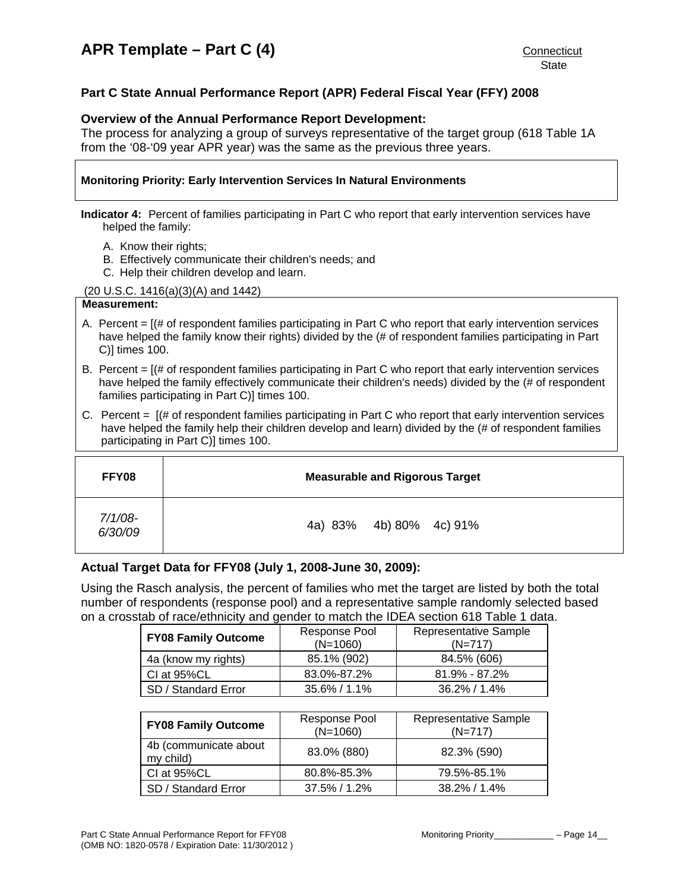## <span id="page-14-0"></span>**Part C State Annual Performance Report (APR) Federal Fiscal Year (FFY) 2008**

### **Overview of the Annual Performance Report Development:**

The process for analyzing a group of surveys representative of the target group (618 Table 1A from the '08-'09 year APR year) was the same as the previous three years.

#### **Monitoring Priority: Early Intervention Services In Natural Environments**

**Indicator 4:** Percent of families participating in Part C who report that early intervention services have helped the family:

- A. Know their rights;
- B. Effectively communicate their children's needs; and
- C. Help their children develop and learn.

(20 U.S.C. 1416(a)(3)(A) and 1442)

## **Measurement:**

- A. Percent = [(# of respondent families participating in Part C who report that early intervention services have helped the family know their rights) divided by the (# of respondent families participating in Part C)] times 100.
- B. Percent  $=$   $[($   $\#$  of respondent families participating in Part C who report that early intervention services have helped the family effectively communicate their children's needs) divided by the (# of respondent families participating in Part C)] times 100.
- C. Percent = [(# of respondent families participating in Part C who report that early intervention services have helped the family help their children develop and learn) divided by the (# of respondent families participating in Part C)] times 100.

| FFY08                 | <b>Measurable and Rigorous Target</b> |
|-----------------------|---------------------------------------|
| $7/1/08$ -<br>6/30/09 | 4a) 83% 4b) 80% 4c) 91%               |

## **Actual Target Data for FFY08 (July 1, 2008-June 30, 2009):**

Using the Rasch analysis, the percent of families who met the target are listed by both the total number of respondents (response pool) and a representative sample randomly selected based on a crosstab of race/ethnicity and gender to match the IDEA section 618 Table 1 data.

| <b>FY08 Family Outcome</b> | Response Pool<br>$(N=1060)$ | <b>Representative Sample</b><br>$(N=717)$ |
|----------------------------|-----------------------------|-------------------------------------------|
| 4a (know my rights)        | 85.1% (902)                 | 84.5% (606)                               |
| CI at 95%CL                | 83.0%-87.2%                 | $81.9\% - 87.2\%$                         |
| SD / Standard Error        | $35.6\% / 1.1\%$            | 36.2% / 1.4%                              |

| <b>FY08 Family Outcome</b>         | Response Pool<br>$(N=1060)$ | <b>Representative Sample</b><br>$(N=717)$ |
|------------------------------------|-----------------------------|-------------------------------------------|
| 4b (communicate about<br>my child) | 83.0% (880)                 | 82.3% (590)                               |
| CI at 95%CL                        | 80.8%-85.3%                 | 79.5%-85.1%                               |
| SD / Standard Error                | $37.5\% / 1.2\%$            | $38.2\% / 1.4\%$                          |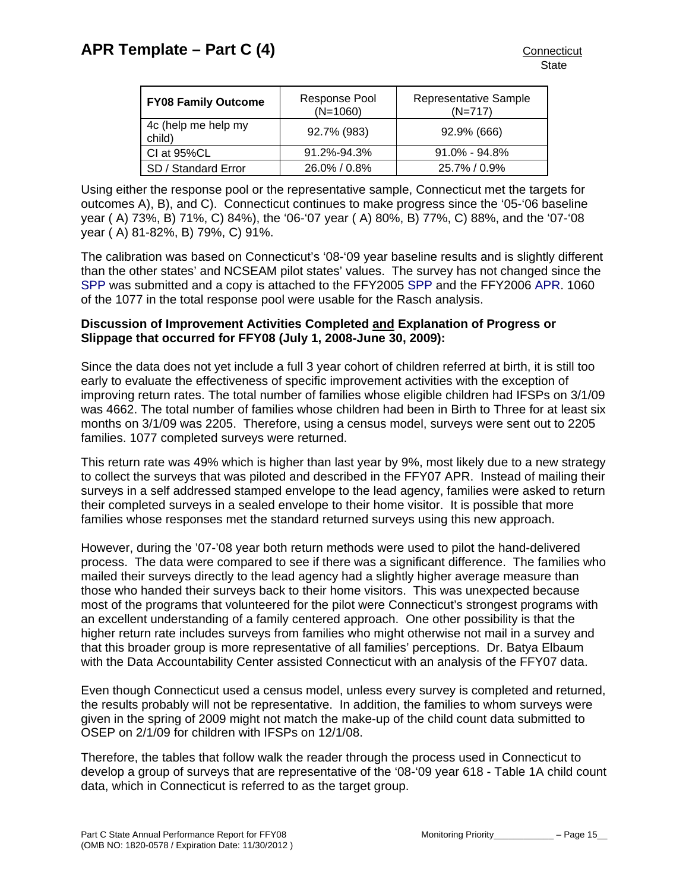| <b>FY08 Family Outcome</b>    | Response Pool<br>$(N=1060)$ | Representative Sample<br>$(N=717)$ |
|-------------------------------|-----------------------------|------------------------------------|
| 4c (help me help my<br>child) | 92.7% (983)                 | 92.9% (666)                        |
| CI at 95%CL                   | 91.2%-94.3%                 | $91.0\%$ - $94.8\%$                |
| SD / Standard Error           | 26.0% / 0.8%                | 25.7% / 0.9%                       |

Using either the response pool or the representative sample, Connecticut met the targets for outcomes A), B), and C). Connecticut continues to make progress since the '05-'06 baseline year ( A) 73%, B) 71%, C) 84%), the '06-'07 year ( A) 80%, B) 77%, C) 88%, and the '07-'08 year ( A) 81-82%, B) 79%, C) 91%.

The calibration was based on Connecticut's '08-'09 year baseline results and is slightly different than the other states' and NCSEAM pilot states' values. The survey has not changed since the [SPP](http://www.birth23.org/Accountability/SPP/SPPAPR.html) was submitted and a copy is attached to the FFY2005 [SPP](http://www.birth23.org/Accountability/SPP/SPPAPR.html) and the FFY2006 [APR](http://www.birth23.org/Accountability/SPP/SPPAPR.html). 1060 of the 1077 in the total response pool were usable for the Rasch analysis.

## **Discussion of Improvement Activities Completed and Explanation of Progress or Slippage that occurred for FFY08 (July 1, 2008-June 30, 2009):**

Since the data does not yet include a full 3 year cohort of children referred at birth, it is still too early to evaluate the effectiveness of specific improvement activities with the exception of improving return rates. The total number of families whose eligible children had IFSPs on 3/1/09 was 4662. The total number of families whose children had been in Birth to Three for at least six months on 3/1/09 was 2205. Therefore, using a census model, surveys were sent out to 2205 families. 1077 completed surveys were returned.

This return rate was 49% which is higher than last year by 9%, most likely due to a new strategy to collect the surveys that was piloted and described in the FFY07 APR. Instead of mailing their surveys in a self addressed stamped envelope to the lead agency, families were asked to return their completed surveys in a sealed envelope to their home visitor. It is possible that more families whose responses met the standard returned surveys using this new approach.

However, during the '07-'08 year both return methods were used to pilot the hand-delivered process. The data were compared to see if there was a significant difference. The families who mailed their surveys directly to the lead agency had a slightly higher average measure than those who handed their surveys back to their home visitors. This was unexpected because most of the programs that volunteered for the pilot were Connecticut's strongest programs with an excellent understanding of a family centered approach. One other possibility is that the higher return rate includes surveys from families who might otherwise not mail in a survey and that this broader group is more representative of all families' perceptions. Dr. Batya Elbaum with the Data Accountability Center assisted Connecticut with an analysis of the FFY07 data.

Even though Connecticut used a census model, unless every survey is completed and returned, the results probably will not be representative. In addition, the families to whom surveys were given in the spring of 2009 might not match the make-up of the child count data submitted to OSEP on 2/1/09 for children with IFSPs on 12/1/08.

Therefore, the tables that follow walk the reader through the process used in Connecticut to develop a group of surveys that are representative of the '08-'09 year 618 - Table 1A child count data, which in Connecticut is referred to as the target group.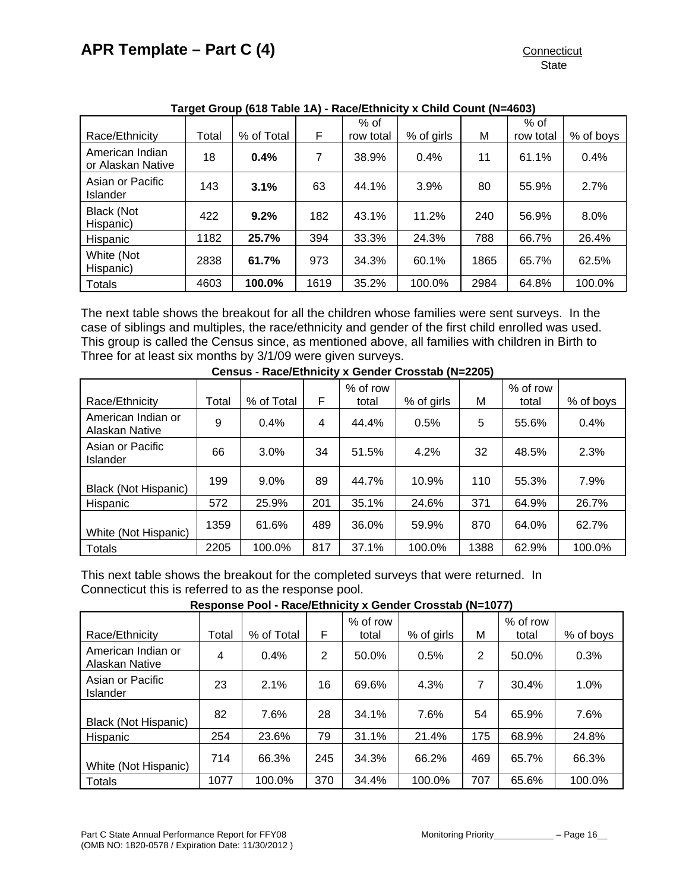|                                      |       |            |      | $%$ of    |            |      | $%$ of    |           |
|--------------------------------------|-------|------------|------|-----------|------------|------|-----------|-----------|
| Race/Ethnicity                       | Total | % of Total | F    | row total | % of girls | М    | row total | % of boys |
| American Indian<br>or Alaskan Native | 18    | 0.4%       | 7    | 38.9%     | 0.4%       | 11   | 61.1%     | 0.4%      |
| Asian or Pacific<br><b>Islander</b>  | 143   | 3.1%       | 63   | 44.1%     | 3.9%       | 80   | 55.9%     | 2.7%      |
| <b>Black (Not</b><br>Hispanic)       | 422   | 9.2%       | 182  | 43.1%     | 11.2%      | 240  | 56.9%     | 8.0%      |
| Hispanic                             | 1182  | 25.7%      | 394  | 33.3%     | 24.3%      | 788  | 66.7%     | 26.4%     |
| White (Not<br>Hispanic)              | 2838  | 61.7%      | 973  | 34.3%     | 60.1%      | 1865 | 65.7%     | 62.5%     |
| <b>Totals</b>                        | 4603  | 100.0%     | 1619 | 35.2%     | 100.0%     | 2984 | 64.8%     | 100.0%    |

## **Target Group (618 Table 1A) - Race/Ethnicity x Child Count (N=4603)**

The next table shows the breakout for all the children whose families were sent surveys. In the case of siblings and multiples, the race/ethnicity and gender of the first child enrolled was used. This group is called the Census since, as mentioned above, all families with children in Birth to Three for at least six months by 3/1/09 were given surveys.

| Race/Ethnicity                       | Total | % of Total | F   | % of row<br>total | % of girls | M    | $%$ of row<br>total | % of boys |
|--------------------------------------|-------|------------|-----|-------------------|------------|------|---------------------|-----------|
| American Indian or<br>Alaskan Native | 9     | 0.4%       | 4   | 44.4%             | 0.5%       | 5    | 55.6%               | 0.4%      |
| Asian or Pacific<br>Islander         | 66    | 3.0%       | 34  | 51.5%             | 4.2%       | 32   | 48.5%               | 2.3%      |
| <b>Black (Not Hispanic)</b>          | 199   | 9.0%       | 89  | 44.7%             | 10.9%      | 110  | 55.3%               | 7.9%      |
| <b>Hispanic</b>                      | 572   | 25.9%      | 201 | 35.1%             | 24.6%      | 371  | 64.9%               | 26.7%     |
| White (Not Hispanic)                 | 1359  | 61.6%      | 489 | 36.0%             | 59.9%      | 870  | 64.0%               | 62.7%     |
| <b>Totals</b>                        | 2205  | 100.0%     | 817 | 37.1%             | 100.0%     | 1388 | 62.9%               | 100.0%    |

**Census - Race/Ethnicity x Gender Crosstab (N=2205)** 

This next table shows the breakout for the completed surveys that were returned. In Connecticut this is referred to as the response pool.

|  |  | Response Pool - Race/Ethnicity x Gender Crosstab (N=1077) |  |
|--|--|-----------------------------------------------------------|--|
|  |  |                                                           |  |

| Race/Ethnicity                       | Total | % of Total | F   | % of row<br>total | % of girls | М   | % of row<br>total | % of boys |
|--------------------------------------|-------|------------|-----|-------------------|------------|-----|-------------------|-----------|
| American Indian or<br>Alaskan Native | 4     | 0.4%       | 2   | 50.0%             | 0.5%       | 2   | 50.0%             | 0.3%      |
| Asian or Pacific<br>Islander         | 23    | 2.1%       | 16  | 69.6%             | 4.3%       | 7   | 30.4%             | 1.0%      |
| <b>Black (Not Hispanic)</b>          | 82    | 7.6%       | 28  | 34.1%             | 7.6%       | 54  | 65.9%             | 7.6%      |
| Hispanic                             | 254   | 23.6%      | 79  | 31.1%             | 21.4%      | 175 | 68.9%             | 24.8%     |
| White (Not Hispanic)                 | 714   | 66.3%      | 245 | 34.3%             | 66.2%      | 469 | 65.7%             | 66.3%     |
| <b>Totals</b>                        | 1077  | 100.0%     | 370 | 34.4%             | 100.0%     | 707 | 65.6%             | 100.0%    |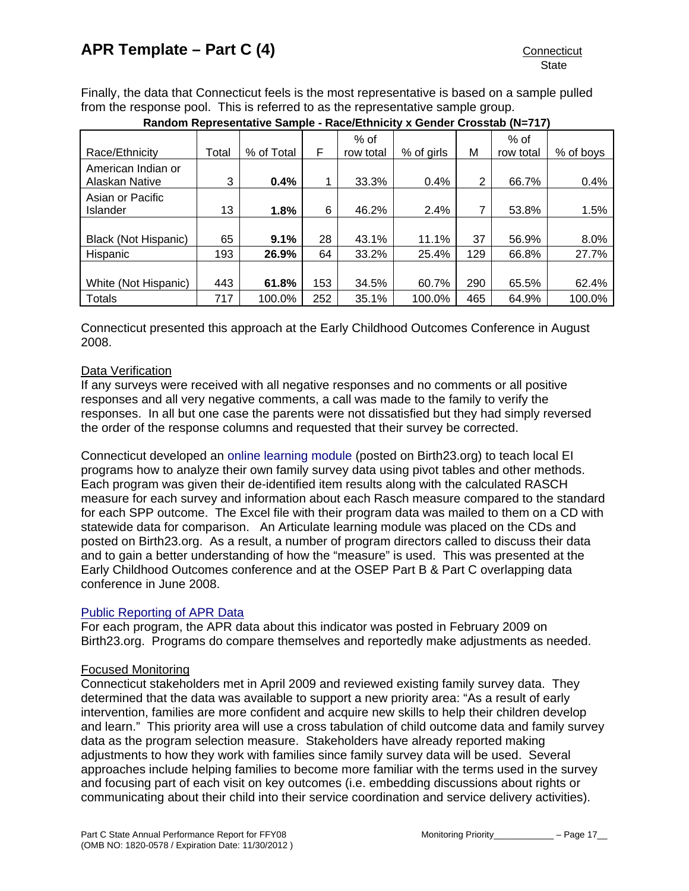Finally, the data that Connecticut feels is the most representative is based on a sample pulled from the response pool. This is referred to as the representative sample group.

| Race/Ethnicity              | Total | % of Total | F   | % of<br>row total | % of girls | М   | % of<br>row total | % of boys |
|-----------------------------|-------|------------|-----|-------------------|------------|-----|-------------------|-----------|
| American Indian or          |       |            |     |                   |            |     |                   |           |
| Alaskan Native              | 3     | 0.4%       |     | 33.3%             | 0.4%       | 2   | 66.7%             | 0.4%      |
| Asian or Pacific            |       |            |     |                   |            |     |                   |           |
| Islander                    | 13    | 1.8%       | 6   | 46.2%             | 2.4%       | 7   | 53.8%             | 1.5%      |
|                             |       |            |     |                   |            |     |                   |           |
| <b>Black (Not Hispanic)</b> | 65    | 9.1%       | 28  | 43.1%             | 11.1%      | 37  | 56.9%             | 8.0%      |
| Hispanic                    | 193   | 26.9%      | 64  | 33.2%             | 25.4%      | 129 | 66.8%             | 27.7%     |
|                             |       |            |     |                   |            |     |                   |           |
| White (Not Hispanic)        | 443   | 61.8%      | 153 | 34.5%             | 60.7%      | 290 | 65.5%             | 62.4%     |
| <b>Totals</b>               | 717   | 100.0%     | 252 | 35.1%             | 100.0%     | 465 | 64.9%             | 100.0%    |

**Random Representative Sample - Race/Ethnicity x Gender Crosstab (N=717)** 

Connecticut presented this approach at the Early Childhood Outcomes Conference in August 2008.

## Data Verification

If any surveys were received with all negative responses and no comments or all positive responses and all very negative comments, a call was made to the family to verify the responses. In all but one case the parents were not dissatisfied but they had simply reversed the order of the response columns and requested that their survey be corrected.

Connecticut developed an [online learning module](http://www.birth23.org/monitoringdata/default.asp) (posted on Birth23.org) to teach local EI programs how to analyze their own family survey data using pivot tables and other methods. Each program was given their de-identified item results along with the calculated RASCH measure for each survey and information about each Rasch measure compared to the standard for each SPP outcome. The Excel file with their program data was mailed to them on a CD with statewide data for comparison. An Articulate learning module was placed on the CDs and posted on Birth23.org. As a result, a number of program directors called to discuss their data and to gain a better understanding of how the "measure" is used. This was presented at the Early Childhood Outcomes conference and at the OSEP Part B & Part C overlapping data conference in June 2008.

## [Public Reporting of APR Data](http://www.birth23.org/state_performance_plans_and_annu.htm)

For each program, the APR data about this indicator was posted in February 2009 on Birth23.org. Programs do compare themselves and reportedly make adjustments as needed.

## Focused Monitoring

Connecticut stakeholders met in April 2009 and reviewed existing family survey data. They determined that the data was available to support a new priority area: "As a result of early intervention, families are more confident and acquire new skills to help their children develop and learn." This priority area will use a cross tabulation of child outcome data and family survey data as the program selection measure. Stakeholders have already reported making adjustments to how they work with families since family survey data will be used. Several approaches include helping families to become more familiar with the terms used in the survey and focusing part of each visit on key outcomes (i.e. embedding discussions about rights or communicating about their child into their service coordination and service delivery activities).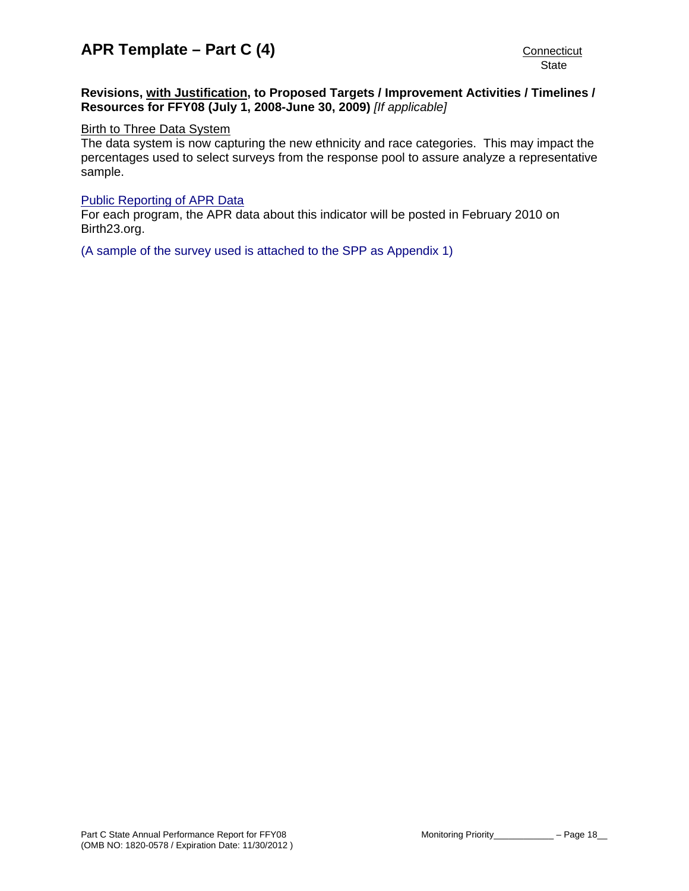## **Revisions, with Justification, to Proposed Targets / Improvement Activities / Timelines / Resources for FFY08 (July 1, 2008-June 30, 2009)** *[If applicable]*

# **Birth to Three Data System**

The data system is now capturing the new ethnicity and race categories. This may impact the percentages used to select surveys from the response pool to assure analyze a representative sample.

## [Public Reporting of APR Data](http://www.birth23.org/state_performance_plans_and_annu.htm)

For each program, the APR data about this indicator will be posted in February 2010 on Birth23.org.

[\(A sample of the survey used is attached to the SPP as Appendix 1\)](http://www.birth23.org/Accountability/SPP/SPPAPR.html)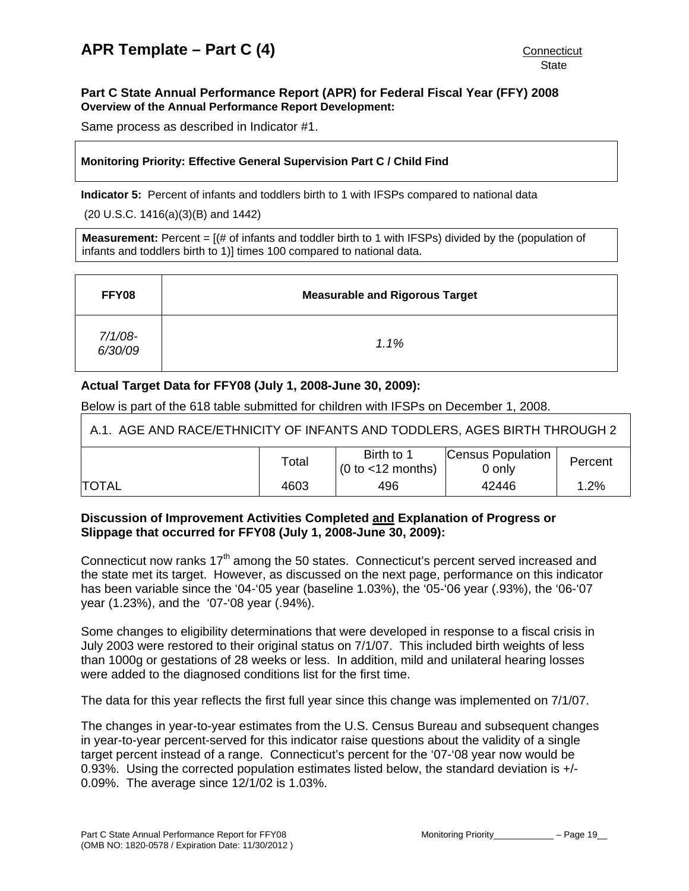## <span id="page-19-0"></span>**Part C State Annual Performance Report (APR) for Federal Fiscal Year (FFY) 2008 Overview of the Annual Performance Report Development:**

Same process as described in Indicator #1.

## **Monitoring Priority: Effective General Supervision Part C / Child Find**

**Indicator 5:** Percent of infants and toddlers birth to 1 with IFSPs compared to national data

(20 U.S.C. 1416(a)(3)(B) and 1442)

**Measurement:** Percent = [(# of infants and toddler birth to 1 with IFSPs) divided by the (population of infants and toddlers birth to 1)] times 100 compared to national data.

| FFY08                 | <b>Measurable and Rigorous Target</b> |
|-----------------------|---------------------------------------|
| $7/1/08$ -<br>6/30/09 | 1.1%                                  |

## **Actual Target Data for FFY08 (July 1, 2008-June 30, 2009):**

Below is part of the 618 table submitted for children with IFSPs on December 1, 2008.

| A.1. AGE AND RACE/ETHNICITY OF INFANTS AND TODDLERS, AGES BIRTH THROUGH 2 |       |                                                     |                             |         |  |
|---------------------------------------------------------------------------|-------|-----------------------------------------------------|-----------------------------|---------|--|
|                                                                           | Total | Birth to 1<br>$(0 \text{ to } < 12 \text{ months})$ | Census Population<br>0 only | Percent |  |
| <b>ITOTAL</b>                                                             | 4603  | 496                                                 | 42446                       | $1.2\%$ |  |

## **Discussion of Improvement Activities Completed and Explanation of Progress or Slippage that occurred for FFY08 (July 1, 2008-June 30, 2009):**

Connecticut now ranks 17<sup>th</sup> among the 50 states. Connecticut's percent served increased and the state met its target. However, as discussed on the next page, performance on this indicator has been variable since the '04-'05 year (baseline 1.03%), the '05-'06 year (.93%), the '06-'07 year (1.23%), and the '07-'08 year (.94%).

Some changes to eligibility determinations that were developed in response to a fiscal crisis in July 2003 were restored to their original status on 7/1/07. This included birth weights of less than 1000g or gestations of 28 weeks or less. In addition, mild and unilateral hearing losses were added to the diagnosed conditions list for the first time.

The data for this year reflects the first full year since this change was implemented on 7/1/07.

The changes in year-to-year estimates from the U.S. Census Bureau and subsequent changes in year-to-year percent-served for this indicator raise questions about the validity of a single target percent instead of a range. Connecticut's percent for the '07-'08 year now would be 0.93%. Using the corrected population estimates listed below, the standard deviation is +/- 0.09%. The average since 12/1/02 is 1.03%.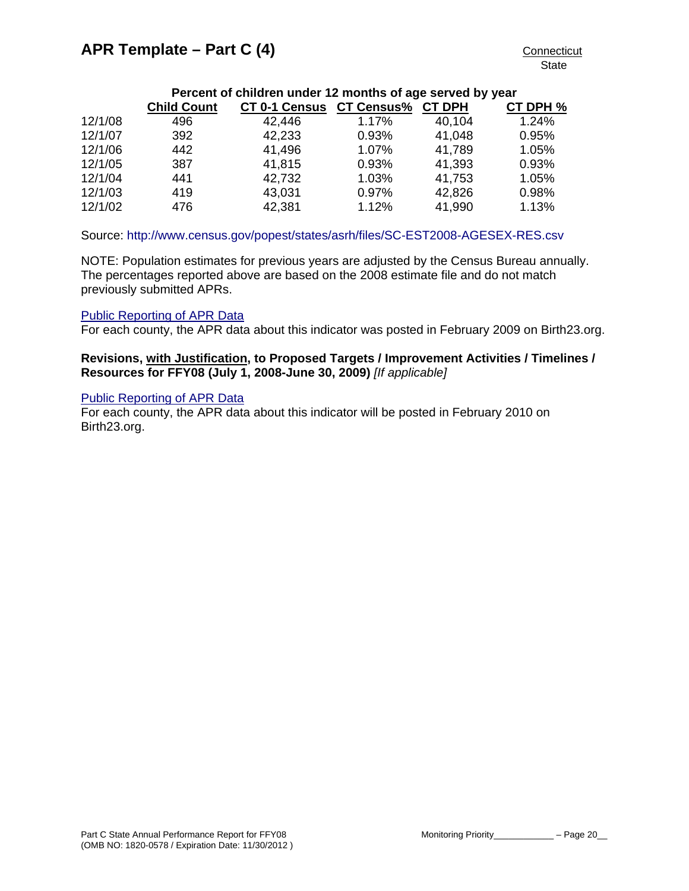## **Percent of children under 12 months of age served by year**

|         | <b>Child Count</b> | <b>CT 0-1 Census</b> | <b>CT Census%</b> | <b>CT DPH</b> | CT DPH % |
|---------|--------------------|----------------------|-------------------|---------------|----------|
| 12/1/08 | 496                | 42,446               | 1.17%             | 40,104        | 1.24%    |
| 12/1/07 | 392                | 42,233               | 0.93%             | 41,048        | 0.95%    |
| 12/1/06 | 442                | 41,496               | 1.07%             | 41,789        | 1.05%    |
| 12/1/05 | 387                | 41,815               | 0.93%             | 41,393        | 0.93%    |
| 12/1/04 | 441                | 42,732               | 1.03%             | 41,753        | 1.05%    |
| 12/1/03 | 419                | 43,031               | 0.97%             | 42,826        | 0.98%    |
| 12/1/02 | 476                | 42,381               | 1.12%             | 41,990        | 1.13%    |

## Source: <http://www.census.gov/popest/states/asrh/files/SC-EST2008-AGESEX-RES.csv>

NOTE: Population estimates for previous years are adjusted by the Census Bureau annually. The percentages reported above are based on the 2008 estimate file and do not match previously submitted APRs.

## [Public Reporting of APR Data](http://www.birth23.org/state_performance_plans_and_annu.htm)

For each county, the APR data about this indicator was posted in February 2009 on Birth23.org.

### **Revisions, with Justification, to Proposed Targets / Improvement Activities / Timelines / Resources for FFY08 (July 1, 2008-June 30, 2009)** *[If applicable]*

### [Public Reporting of APR Data](http://www.birth23.org/state_performance_plans_and_annu.htm)

For each county, the APR data about this indicator will be posted in February 2010 on Birth23.org.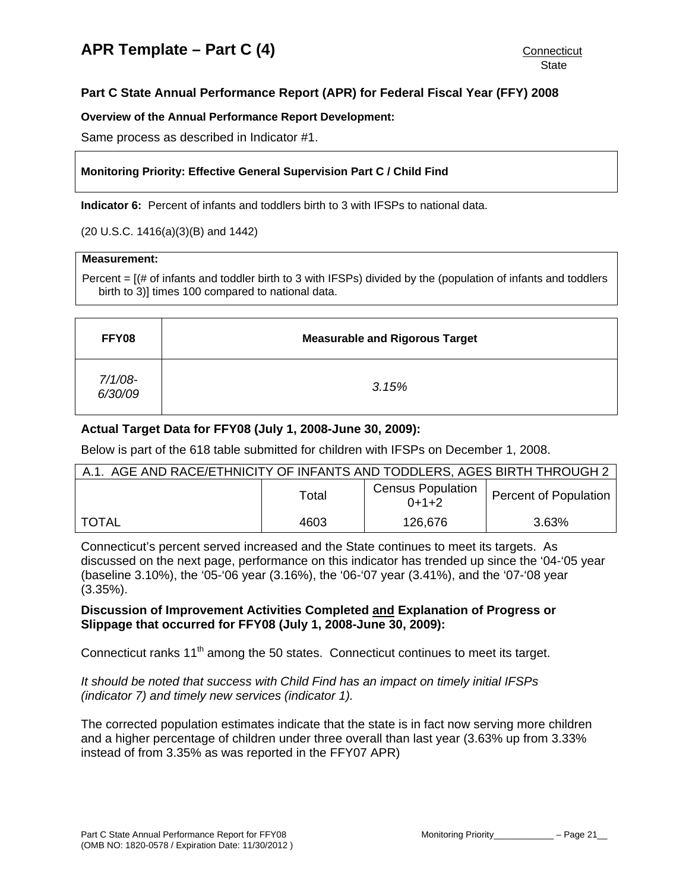## <span id="page-21-0"></span>**Part C State Annual Performance Report (APR) for Federal Fiscal Year (FFY) 2008**

## **Overview of the Annual Performance Report Development:**

Same process as described in Indicator #1.

## **Monitoring Priority: Effective General Supervision Part C / Child Find**

**Indicator 6:** Percent of infants and toddlers birth to 3 with IFSPs to national data.

(20 U.S.C. 1416(a)(3)(B) and 1442)

#### **Measurement:**

Percent = [(# of infants and toddler birth to 3 with IFSPs) divided by the (population of infants and toddlers birth to 3)] times 100 compared to national data.

| FFY08                 | <b>Measurable and Rigorous Target</b> |
|-----------------------|---------------------------------------|
| $7/1/08$ -<br>6/30/09 | 3.15%                                 |

## **Actual Target Data for FFY08 (July 1, 2008-June 30, 2009):**

Below is part of the 618 table submitted for children with IFSPs on December 1, 2008.

| A.1. AGE AND RACE/ETHNICITY OF INFANTS AND TODDLERS, AGES BIRTH THROUGH 2 |       |                                     |                       |  |  |
|---------------------------------------------------------------------------|-------|-------------------------------------|-----------------------|--|--|
|                                                                           | Total | <b>Census Population</b><br>$0+1+2$ | Percent of Population |  |  |
| <b>TOTAL</b>                                                              | 4603  | 126,676                             | 3.63%                 |  |  |

Connecticut's percent served increased and the State continues to meet its targets. As discussed on the next page, performance on this indicator has trended up since the '04-'05 year (baseline 3.10%), the '05-'06 year (3.16%), the '06-'07 year (3.41%), and the '07-'08 year (3.35%).

## **Discussion of Improvement Activities Completed and Explanation of Progress or Slippage that occurred for FFY08 (July 1, 2008-June 30, 2009):**

Connecticut ranks  $11<sup>th</sup>$  among the 50 states. Connecticut continues to meet its target.

*It should be noted that success with Child Find has an impact on timely initial IFSPs (indicator 7) and timely new services (indicator 1).* 

The corrected population estimates indicate that the state is in fact now serving more children and a higher percentage of children under three overall than last year (3.63% up from 3.33% instead of from 3.35% as was reported in the FFY07 APR)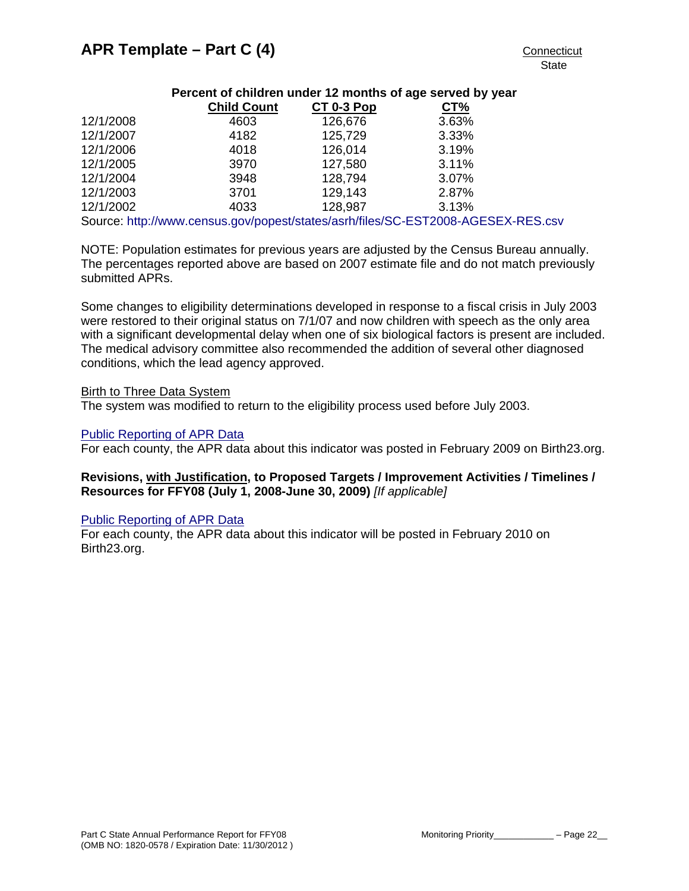| Percent of children under 12 months of age served by year                        |                    |            |       |  |  |  |  |
|----------------------------------------------------------------------------------|--------------------|------------|-------|--|--|--|--|
|                                                                                  | <b>Child Count</b> | CT 0-3 Pop | CT%   |  |  |  |  |
| 12/1/2008                                                                        | 4603               | 126,676    | 3.63% |  |  |  |  |
| 12/1/2007                                                                        | 4182               | 125,729    | 3.33% |  |  |  |  |
| 12/1/2006                                                                        | 4018               | 126,014    | 3.19% |  |  |  |  |
| 12/1/2005                                                                        | 3970               | 127,580    | 3.11% |  |  |  |  |
| 12/1/2004                                                                        | 3948               | 128,794    | 3.07% |  |  |  |  |
| 12/1/2003                                                                        | 3701               | 129,143    | 2.87% |  |  |  |  |
| 12/1/2002                                                                        | 4033               | 128,987    | 3.13% |  |  |  |  |
| Source: http://www.census.gov/popest/states/asrh/files/SC-EST2008-AGESEX-RES.csv |                    |            |       |  |  |  |  |

NOTE: Population estimates for previous years are adjusted by the Census Bureau annually. The percentages reported above are based on 2007 estimate file and do not match previously submitted APRs.

Some changes to eligibility determinations developed in response to a fiscal crisis in July 2003 were restored to their original status on 7/1/07 and now children with speech as the only area with a significant developmental delay when one of six biological factors is present are included. The medical advisory committee also recommended the addition of several other diagnosed conditions, which the lead agency approved.

### Birth to Three Data System

The system was modified to return to the eligibility process used before July 2003.

### [Public Reporting of APR Data](http://www.birth23.org/state_performance_plans_and_annu.htm)

For each county, the APR data about this indicator was posted in February 2009 on Birth23.org.

## **Revisions, with Justification, to Proposed Targets / Improvement Activities / Timelines / Resources for FFY08 (July 1, 2008-June 30, 2009)** *[If applicable]*

## [Public Reporting of APR Data](http://www.birth23.org/state_performance_plans_and_annu.htm)

For each county, the APR data about this indicator will be posted in February 2010 on Birth23.org.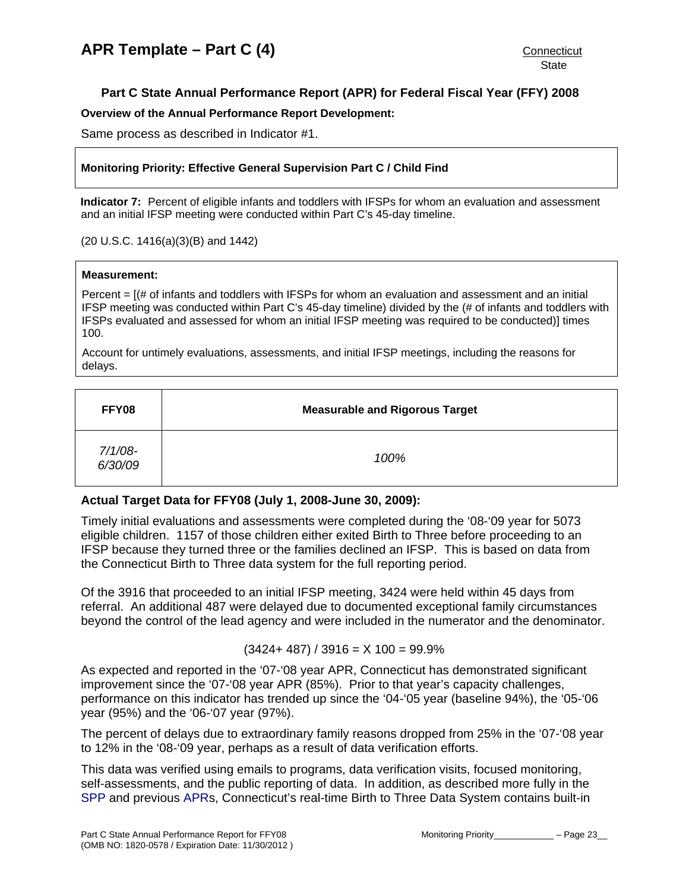## <span id="page-23-0"></span>**Part C State Annual Performance Report (APR) for Federal Fiscal Year (FFY) 2008**

### **Overview of the Annual Performance Report Development:**

Same process as described in Indicator #1.

## **Monitoring Priority: Effective General Supervision Part C / Child Find**

**Indicator 7:** Percent of eligible infants and toddlers with IFSPs for whom an evaluation and assessment and an initial IFSP meeting were conducted within Part C's 45-day timeline.

### (20 U.S.C. 1416(a)(3)(B) and 1442)

#### **Measurement:**

Percent  $=$   $[(# of infants and toldlers with IFSPs for whom an evaluation and assessment and an initial$ IFSP meeting was conducted within Part C's 45-day timeline) divided by the (# of infants and toddlers with IFSPs evaluated and assessed for whom an initial IFSP meeting was required to be conducted)] times 100.

Account for untimely evaluations, assessments, and initial IFSP meetings, including the reasons for delays.

| FFY08              | <b>Measurable and Rigorous Target</b> |
|--------------------|---------------------------------------|
| 7/1/08-<br>6/30/09 | 100%                                  |

# **Actual Target Data for FFY08 (July 1, 2008-June 30, 2009):**

Timely initial evaluations and assessments were completed during the '08-'09 year for 5073 eligible children. 1157 of those children either exited Birth to Three before proceeding to an IFSP because they turned three or the families declined an IFSP. This is based on data from the Connecticut Birth to Three data system for the full reporting period.

Of the 3916 that proceeded to an initial IFSP meeting, 3424 were held within 45 days from referral. An additional 487 were delayed due to documented exceptional family circumstances beyond the control of the lead agency and were included in the numerator and the denominator.

## $(3424 + 487) / 3916 = X 100 = 99.9%$

As expected and reported in the '07-'08 year APR, Connecticut has demonstrated significant improvement since the '07-'08 year APR (85%). Prior to that year's capacity challenges, performance on this indicator has trended up since the '04-'05 year (baseline 94%), the '05-'06 year (95%) and the '06-'07 year (97%).

The percent of delays due to extraordinary family reasons dropped from 25% in the '07-'08 year to 12% in the '08-'09 year, perhaps as a result of data verification efforts.

This data was verified using emails to programs, data verification visits, focused monitoring, self-assessments, and the public reporting of data. In addition, as described more fully in the [SPP](http://www.birth23.org/state_performance_plans_and_annu.htm) and previous [APRs](http://www.birth23.org/state_performance_plans_and_annu.htm), Connecticut's real-time Birth to Three Data System contains built-in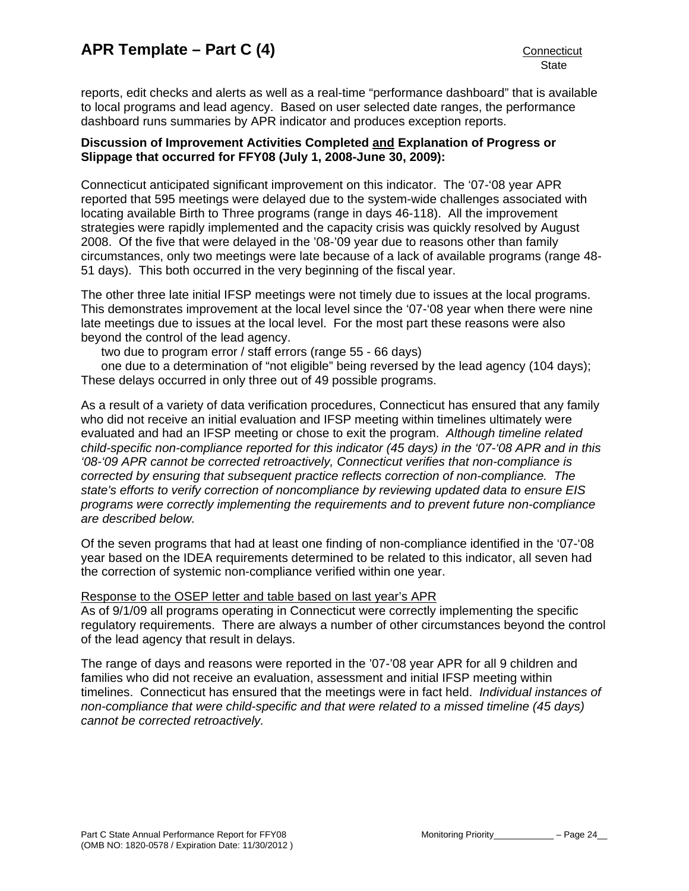reports, edit checks and alerts as well as a real-time "performance dashboard" that is available to local programs and lead agency. Based on user selected date ranges, the performance dashboard runs summaries by APR indicator and produces exception reports.

## **Discussion of Improvement Activities Completed and Explanation of Progress or Slippage that occurred for FFY08 (July 1, 2008-June 30, 2009):**

Connecticut anticipated significant improvement on this indicator. The '07-'08 year APR reported that 595 meetings were delayed due to the system-wide challenges associated with locating available Birth to Three programs (range in days 46-118). All the improvement strategies were rapidly implemented and the capacity crisis was quickly resolved by August 2008. Of the five that were delayed in the '08-'09 year due to reasons other than family circumstances, only two meetings were late because of a lack of available programs (range 48- 51 days). This both occurred in the very beginning of the fiscal year.

The other three late initial IFSP meetings were not timely due to issues at the local programs. This demonstrates improvement at the local level since the '07-'08 year when there were nine late meetings due to issues at the local level. For the most part these reasons were also beyond the control of the lead agency.

two due to program error / staff errors (range 55 - 66 days)

one due to a determination of "not eligible" being reversed by the lead agency (104 days); These delays occurred in only three out of 49 possible programs.

As a result of a variety of data verification procedures, Connecticut has ensured that any family who did not receive an initial evaluation and IFSP meeting within timelines ultimately were evaluated and had an IFSP meeting or chose to exit the program. *Although timeline related child-specific non-compliance reported for this indicator (45 days) in the '07-'08 APR and in this '08-'09 APR cannot be corrected retroactively, Connecticut verifies that non-compliance is corrected by ensuring that subsequent practice reflects correction of non-compliance. The state's efforts to verify correction of noncompliance by reviewing updated data to ensure EIS programs were correctly implementing the requirements and to prevent future non-compliance are described below.* 

Of the seven programs that had at least one finding of non-compliance identified in the '07-'08 year based on the IDEA requirements determined to be related to this indicator, all seven had the correction of systemic non-compliance verified within one year.

## Response to the OSEP letter and table based on last year's APR

As of 9/1/09 all programs operating in Connecticut were correctly implementing the specific regulatory requirements. There are always a number of other circumstances beyond the control of the lead agency that result in delays.

The range of days and reasons were reported in the '07-'08 year APR for all 9 children and families who did not receive an evaluation, assessment and initial IFSP meeting within timelines. Connecticut has ensured that the meetings were in fact held. *Individual instances of non-compliance that were child-specific and that were related to a missed timeline (45 days) cannot be corrected retroactively.*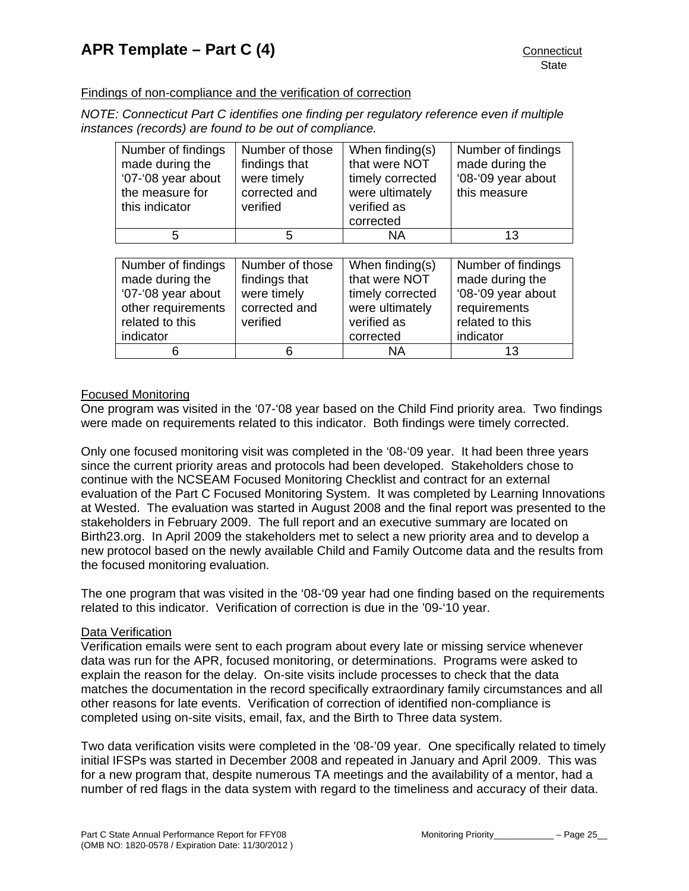## Findings of non-compliance and the verification of correction

*NOTE: Connecticut Part C identifies one finding per regulatory reference even if multiple instances (records) are found to be out of compliance.* 

| Number of findings<br>made during the<br>'07-'08 year about<br>the measure for<br>this indicator | Number of those<br>findings that<br>were timely<br>corrected and<br>verified | When finding(s)<br>that were NOT<br>timely corrected<br>were ultimately<br>verified as | Number of findings<br>made during the<br>'08-'09 year about<br>this measure |
|--------------------------------------------------------------------------------------------------|------------------------------------------------------------------------------|----------------------------------------------------------------------------------------|-----------------------------------------------------------------------------|
|                                                                                                  |                                                                              | corrected                                                                              |                                                                             |
| 5                                                                                                | 5                                                                            | <b>NA</b>                                                                              | 13                                                                          |
|                                                                                                  |                                                                              |                                                                                        |                                                                             |
| Number of findings                                                                               | Number of those                                                              | When finding(s)                                                                        | Number of findings                                                          |
| made during the                                                                                  | findings that                                                                | that were NOT                                                                          | made during the                                                             |
| '07-'08 year about                                                                               | were timely                                                                  | timely corrected                                                                       | '08-'09 year about                                                          |
| other requirements                                                                               | corrected and                                                                | were ultimately                                                                        | requirements                                                                |
| related to this                                                                                  | verified                                                                     | verified as                                                                            | related to this                                                             |
| indicator                                                                                        |                                                                              | corrected                                                                              | indicator                                                                   |
| 6                                                                                                | 6                                                                            | ΝA                                                                                     | 13                                                                          |

## Focused Monitoring

One program was visited in the '07-'08 year based on the Child Find priority area. Two findings were made on requirements related to this indicator. Both findings were timely corrected.

Only one focused monitoring visit was completed in the '08-'09 year. It had been three years since the current priority areas and protocols had been developed. Stakeholders chose to continue with the NCSEAM Focused Monitoring Checklist and contract for an external evaluation of the Part C Focused Monitoring System. It was completed by Learning Innovations at Wested. The evaluation was started in August 2008 and the final report was presented to the stakeholders in February 2009. The full report and an executive summary are located on Birth23.org. In April 2009 the stakeholders met to select a new priority area and to develop a new protocol based on the newly available Child and Family Outcome data and the results from the focused monitoring evaluation.

The one program that was visited in the '08-'09 year had one finding based on the requirements related to this indicator. Verification of correction is due in the '09-'10 year.

#### Data Verification

Verification emails were sent to each program about every late or missing service whenever data was run for the APR, focused monitoring, or determinations. Programs were asked to explain the reason for the delay. On-site visits include processes to check that the data matches the documentation in the record specifically extraordinary family circumstances and all other reasons for late events. Verification of correction of identified non-compliance is completed using on-site visits, email, fax, and the Birth to Three data system.

Two data verification visits were completed in the '08-'09 year. One specifically related to timely initial IFSPs was started in December 2008 and repeated in January and April 2009. This was for a new program that, despite numerous TA meetings and the availability of a mentor, had a number of red flags in the data system with regard to the timeliness and accuracy of their data.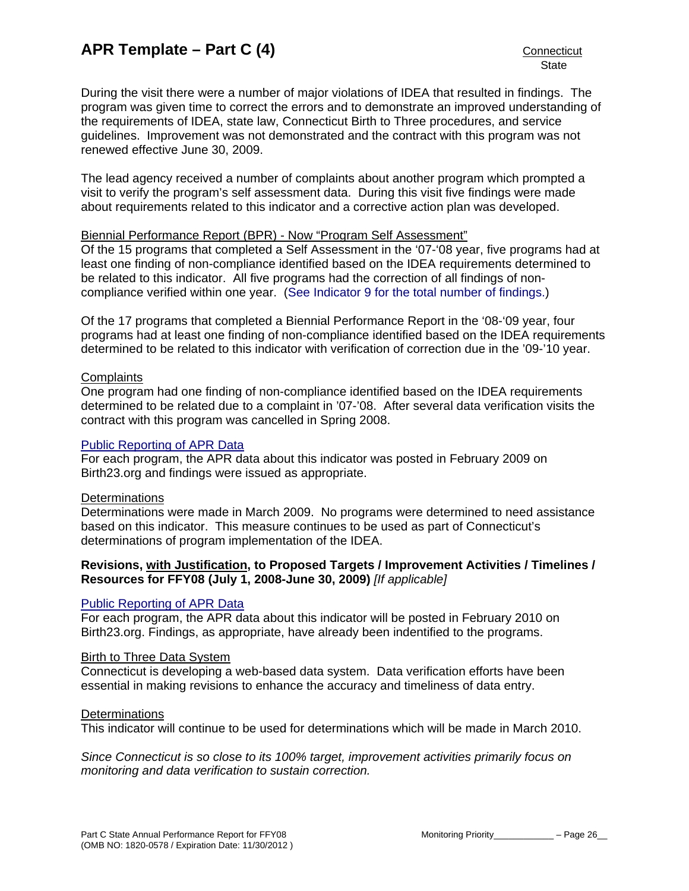During the visit there were a number of major violations of IDEA that resulted in findings. The program was given time to correct the errors and to demonstrate an improved understanding of the requirements of IDEA, state law, Connecticut Birth to Three procedures, and service guidelines. Improvement was not demonstrated and the contract with this program was not renewed effective June 30, 2009.

The lead agency received a number of complaints about another program which prompted a visit to verify the program's self assessment data. During this visit five findings were made about requirements related to this indicator and a corrective action plan was developed.

## Biennial Performance Report (BPR) - Now "Program Self Assessment"

Of the 15 programs that completed a Self Assessment in the '07-'08 year, five programs had at least one finding of non-compliance identified based on the IDEA requirements determined to be related to this indicator. All five programs had the correction of all findings of noncompliance verified within one year. ([See Indicator 9 for the total number of findings.\)](#page-34-0)

Of the 17 programs that completed a Biennial Performance Report in the '08-'09 year, four programs had at least one finding of non-compliance identified based on the IDEA requirements determined to be related to this indicator with verification of correction due in the '09-'10 year.

### **Complaints**

One program had one finding of non-compliance identified based on the IDEA requirements determined to be related due to a complaint in '07-'08. After several data verification visits the contract with this program was cancelled in Spring 2008.

## [Public Reporting of APR Data](http://www.birth23.org/state_performance_plans_and_annu.htm)

For each program, the APR data about this indicator was posted in February 2009 on Birth23.org and findings were issued as appropriate.

## Determinations

Determinations were made in March 2009. No programs were determined to need assistance based on this indicator. This measure continues to be used as part of Connecticut's determinations of program implementation of the IDEA.

## **Revisions, with Justification, to Proposed Targets / Improvement Activities / Timelines / Resources for FFY08 (July 1, 2008-June 30, 2009)** *[If applicable]*

#### [Public Reporting of APR Data](http://www.birth23.org/state_performance_plans_and_annu.htm)

For each program, the APR data about this indicator will be posted in February 2010 on Birth23.org. Findings, as appropriate, have already been indentified to the programs.

### Birth to Three Data System

Connecticut is developing a web-based data system. Data verification efforts have been essential in making revisions to enhance the accuracy and timeliness of data entry.

#### **Determinations**

This indicator will continue to be used for determinations which will be made in March 2010.

*Since Connecticut is so close to its 100% target, improvement activities primarily focus on monitoring and data verification to sustain correction.*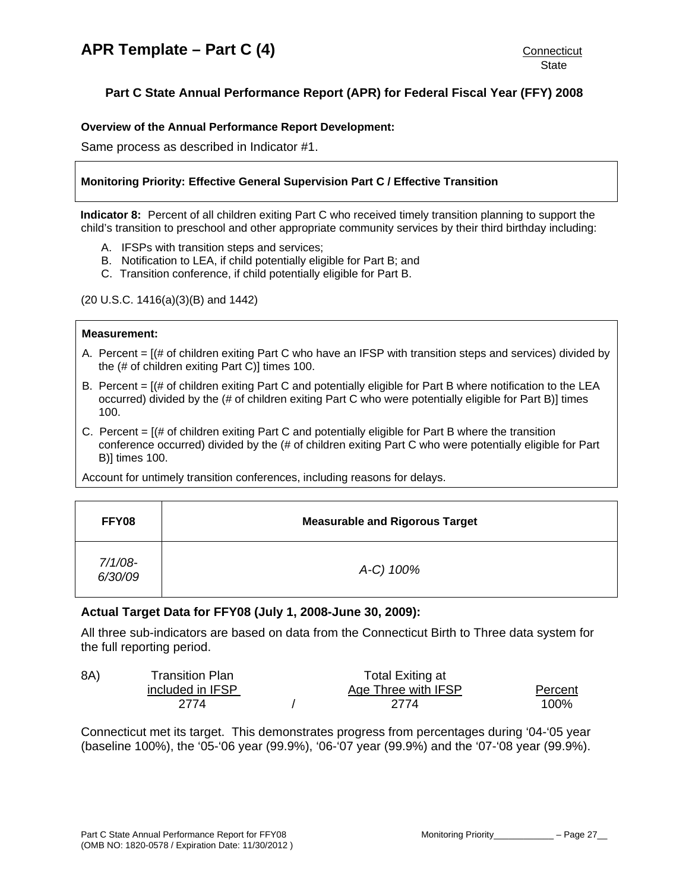# <span id="page-27-0"></span>**Part C State Annual Performance Report (APR) for Federal Fiscal Year (FFY) 2008**

## **Overview of the Annual Performance Report Development:**

Same process as described in Indicator #1.

## **Monitoring Priority: Effective General Supervision Part C / Effective Transition**

**Indicator 8:** Percent of all children exiting Part C who received timely transition planning to support the child's transition to preschool and other appropriate community services by their third birthday including:

- A. IFSPs with transition steps and services;
- B. Notification to LEA, if child potentially eligible for Part B; and
- C. Transition conference, if child potentially eligible for Part B.

(20 U.S.C. 1416(a)(3)(B) and 1442)

## **Measurement:**

- A. Percent = [(# of children exiting Part C who have an IFSP with transition steps and services) divided by the (# of children exiting Part C)] times 100.
- B. Percent = [(# of children exiting Part C and potentially eligible for Part B where notification to the LEA occurred) divided by the (# of children exiting Part C who were potentially eligible for Part B)] times 100.
- C. Percent  $=$   $[(# of children exiting Part C and potentially eligible for Part B where the transition$ conference occurred) divided by the (# of children exiting Part C who were potentially eligible for Part B)] times 100.

Account for untimely transition conferences, including reasons for delays.

| FFY08                 | <b>Measurable and Rigorous Target</b> |
|-----------------------|---------------------------------------|
| $7/1/08$ -<br>6/30/09 | A-C) 100%                             |

## **Actual Target Data for FFY08 (July 1, 2008-June 30, 2009):**

All three sub-indicators are based on data from the Connecticut Birth to Three data system for the full reporting period.

| 8A) | Transition Plan  | Total Exiting at    |         |
|-----|------------------|---------------------|---------|
|     | included in IFSP | Age Three with IFSP | Percent |
|     | 2774             | 2774                | 100%    |

Connecticut met its target. This demonstrates progress from percentages during '04-'05 year (baseline 100%), the '05-'06 year (99.9%), '06-'07 year (99.9%) and the '07-'08 year (99.9%).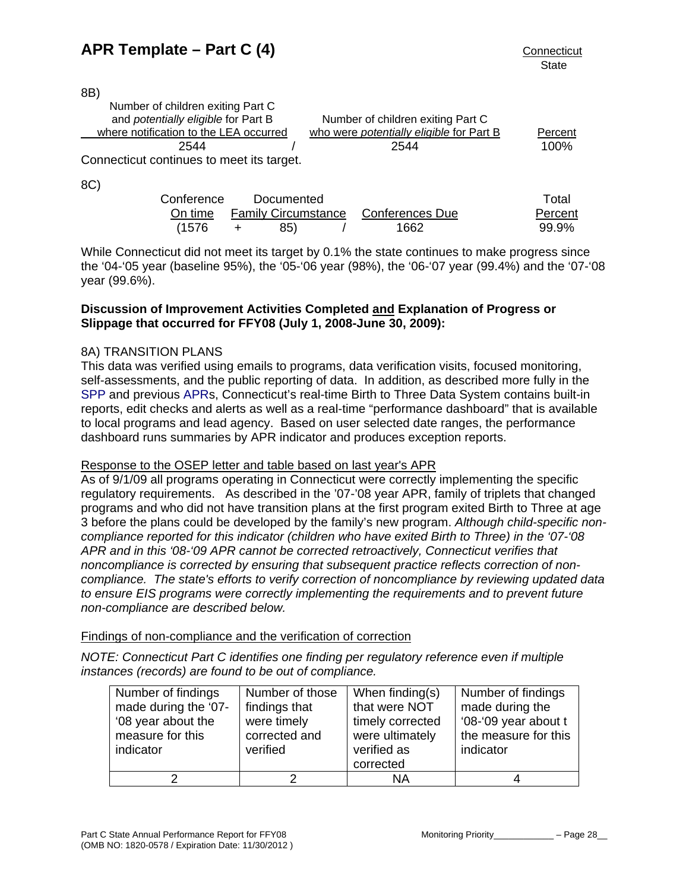8B)

| <u>. – , </u>                                                            |                                          |         |
|--------------------------------------------------------------------------|------------------------------------------|---------|
| Number of children exiting Part C<br>and potentially eligible for Part B | Number of children exiting Part C        |         |
| where notification to the LEA occurred                                   | who were potentially eligible for Part B | Percent |
| 2544                                                                     | 2544                                     | 100%    |
| Connecticut continues to meet its target.                                |                                          |         |
| 8C)                                                                      |                                          |         |

| Conference | Documented |                                             | Total   |
|------------|------------|---------------------------------------------|---------|
|            |            | On time Family Circumstance Conferences Due | Percent |
| (1576      | 85)        | 1662                                        | 99.9%   |

While Connecticut did not meet its target by 0.1% the state continues to make progress since the '04-'05 year (baseline 95%), the '05-'06 year (98%), the '06-'07 year (99.4%) and the '07-'08 year (99.6%).

## **Discussion of Improvement Activities Completed and Explanation of Progress or Slippage that occurred for FFY08 (July 1, 2008-June 30, 2009):**

# 8A) TRANSITION PLANS

This data was verified using emails to programs, data verification visits, focused monitoring, self-assessments, and the public reporting of data. In addition, as described more fully in the [SPP](http://www.birth23.org/state_performance_plans_and_annu.htm) and previous [APRs](http://www.birth23.org/state_performance_plans_and_annu.htm), Connecticut's real-time Birth to Three Data System contains built-in reports, edit checks and alerts as well as a real-time "performance dashboard" that is available to local programs and lead agency. Based on user selected date ranges, the performance dashboard runs summaries by APR indicator and produces exception reports.

## Response to the OSEP letter and table based on last year's APR

As of 9/1/09 all programs operating in Connecticut were correctly implementing the specific regulatory requirements. As described in the '07-'08 year APR, family of triplets that changed programs and who did not have transition plans at the first program exited Birth to Three at age 3 before the plans could be developed by the family's new program. *Although child-specific noncompliance reported for this indicator (children who have exited Birth to Three) in the '07-'08 APR and in this '08-'09 APR cannot be corrected retroactively, Connecticut verifies that noncompliance is corrected by ensuring that subsequent practice reflects correction of noncompliance. The state's efforts to verify correction of noncompliance by reviewing updated data to ensure EIS programs were correctly implementing the requirements and to prevent future non-compliance are described below.* 

## Findings of non-compliance and the verification of correction

*NOTE: Connecticut Part C identifies one finding per regulatory reference even if multiple instances (records) are found to be out of compliance.* 

| Number of findings<br>made during the '07-<br>'08 year about the<br>measure for this<br>indicator | Number of those<br>findings that<br>were timely<br>corrected and<br>verified | When finding(s)<br>that were NOT<br>timely corrected<br>were ultimately<br>verified as<br>corrected | Number of findings<br>made during the<br>'08-'09 year about t<br>the measure for this<br>indicator |
|---------------------------------------------------------------------------------------------------|------------------------------------------------------------------------------|-----------------------------------------------------------------------------------------------------|----------------------------------------------------------------------------------------------------|
|                                                                                                   |                                                                              | ΝA                                                                                                  |                                                                                                    |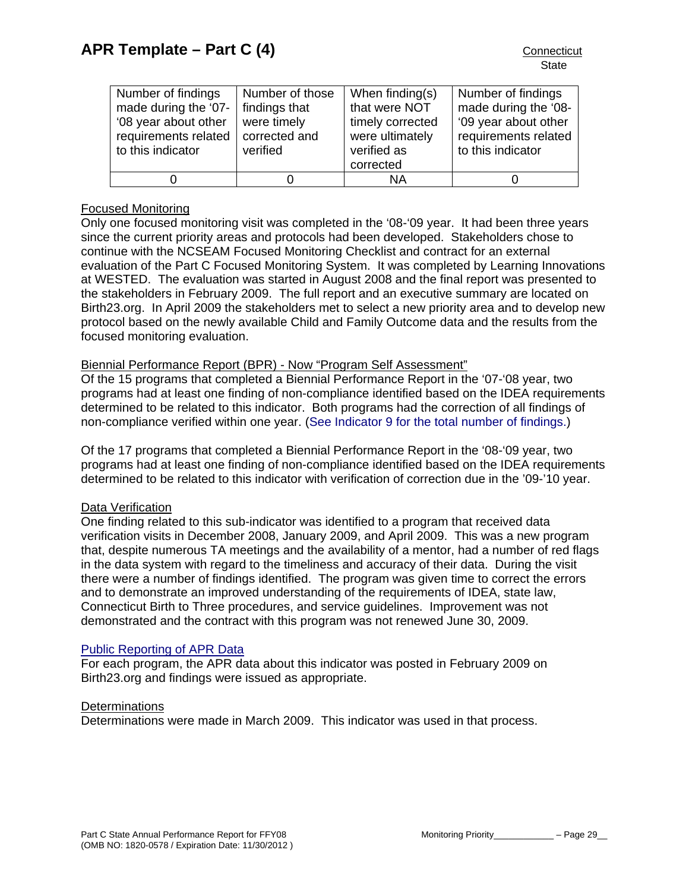| Number of findings<br>made during the '07-<br>'08 year about other<br>requirements related<br>to this indicator | Number of those<br>findings that<br>were timely<br>corrected and<br>verified | When finding(s)<br>that were NOT<br>timely corrected<br>were ultimately<br>verified as<br>corrected | Number of findings<br>made during the '08-<br>'09 year about other<br>requirements related<br>to this indicator |
|-----------------------------------------------------------------------------------------------------------------|------------------------------------------------------------------------------|-----------------------------------------------------------------------------------------------------|-----------------------------------------------------------------------------------------------------------------|
|                                                                                                                 |                                                                              | ΝA                                                                                                  |                                                                                                                 |

## Focused Monitoring

Only one focused monitoring visit was completed in the '08-'09 year. It had been three years since the current priority areas and protocols had been developed. Stakeholders chose to continue with the NCSEAM Focused Monitoring Checklist and contract for an external evaluation of the Part C Focused Monitoring System. It was completed by Learning Innovations at WESTED. The evaluation was started in August 2008 and the final report was presented to the stakeholders in February 2009. The full report and an executive summary are located on Birth23.org. In April 2009 the stakeholders met to select a new priority area and to develop new protocol based on the newly available Child and Family Outcome data and the results from the focused monitoring evaluation.

## Biennial Performance Report (BPR) - Now "Program Self Assessment"

Of the 15 programs that completed a Biennial Performance Report in the '07-'08 year, two programs had at least one finding of non-compliance identified based on the IDEA requirements determined to be related to this indicator. Both programs had the correction of all findings of non-compliance verified within one year. ([See Indicator 9 for the total number of findings.\)](#page-34-0)

Of the 17 programs that completed a Biennial Performance Report in the '08-'09 year, two programs had at least one finding of non-compliance identified based on the IDEA requirements determined to be related to this indicator with verification of correction due in the '09-'10 year.

## Data Verification

One finding related to this sub-indicator was identified to a program that received data verification visits in December 2008, January 2009, and April 2009. This was a new program that, despite numerous TA meetings and the availability of a mentor, had a number of red flags in the data system with regard to the timeliness and accuracy of their data. During the visit there were a number of findings identified. The program was given time to correct the errors and to demonstrate an improved understanding of the requirements of IDEA, state law, Connecticut Birth to Three procedures, and service guidelines. Improvement was not demonstrated and the contract with this program was not renewed June 30, 2009.

## [Public Reporting of APR Data](http://www.birth23.org/state_performance_plans_and_annu.htm)

For each program, the APR data about this indicator was posted in February 2009 on Birth23.org and findings were issued as appropriate.

#### **Determinations**

Determinations were made in March 2009. This indicator was used in that process.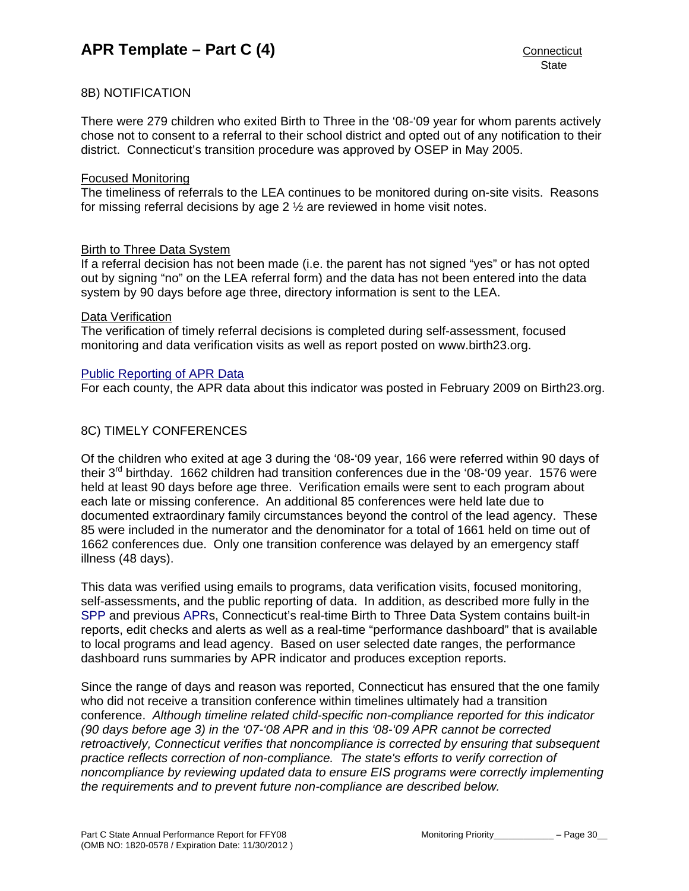## 8B) NOTIFICATION

There were 279 children who exited Birth to Three in the '08-'09 year for whom parents actively chose not to consent to a referral to their school district and opted out of any notification to their district. Connecticut's transition procedure was approved by OSEP in May 2005.

### Focused Monitoring

The timeliness of referrals to the LEA continues to be monitored during on-site visits. Reasons for missing referral decisions by age 2 ½ are reviewed in home visit notes.

### Birth to Three Data System

If a referral decision has not been made (i.e. the parent has not signed "yes" or has not opted out by signing "no" on the LEA referral form) and the data has not been entered into the data system by 90 days before age three, directory information is sent to the LEA.

### Data Verification

The verification of timely referral decisions is completed during self-assessment, focused monitoring and data verification visits as well as report posted on www.birth23.org.

### [Public Reporting of APR Data](http://www.birth23.org/state_performance_plans_and_annu.htm)

For each county, the APR data about this indicator was posted in February 2009 on Birth23.org.

## 8C) TIMELY CONFERENCES

Of the children who exited at age 3 during the '08-'09 year, 166 were referred within 90 days of their 3rd birthday. 1662 children had transition conferences due in the '08-'09 year. 1576 were held at least 90 days before age three. Verification emails were sent to each program about each late or missing conference. An additional 85 conferences were held late due to documented extraordinary family circumstances beyond the control of the lead agency. These 85 were included in the numerator and the denominator for a total of 1661 held on time out of 1662 conferences due. Only one transition conference was delayed by an emergency staff illness (48 days).

This data was verified using emails to programs, data verification visits, focused monitoring, self-assessments, and the public reporting of data. In addition, as described more fully in the [SPP](http://www.birth23.org/Accountability/SPP/SPPAPR.html) and previous [APRs](http://www.birth23.org/Accountability/SPP/SPPAPR.html), Connecticut's real-time Birth to Three Data System contains built-in reports, edit checks and alerts as well as a real-time "performance dashboard" that is available to local programs and lead agency. Based on user selected date ranges, the performance dashboard runs summaries by APR indicator and produces exception reports.

Since the range of days and reason was reported, Connecticut has ensured that the one family who did not receive a transition conference within timelines ultimately had a transition conference. *Although timeline related child-specific non-compliance reported for this indicator (90 days before age 3) in the '07-'08 APR and in this '08-'09 APR cannot be corrected retroactively, Connecticut verifies that noncompliance is corrected by ensuring that subsequent practice reflects correction of non-compliance. The state's efforts to verify correction of noncompliance by reviewing updated data to ensure EIS programs were correctly implementing the requirements and to prevent future non-compliance are described below.*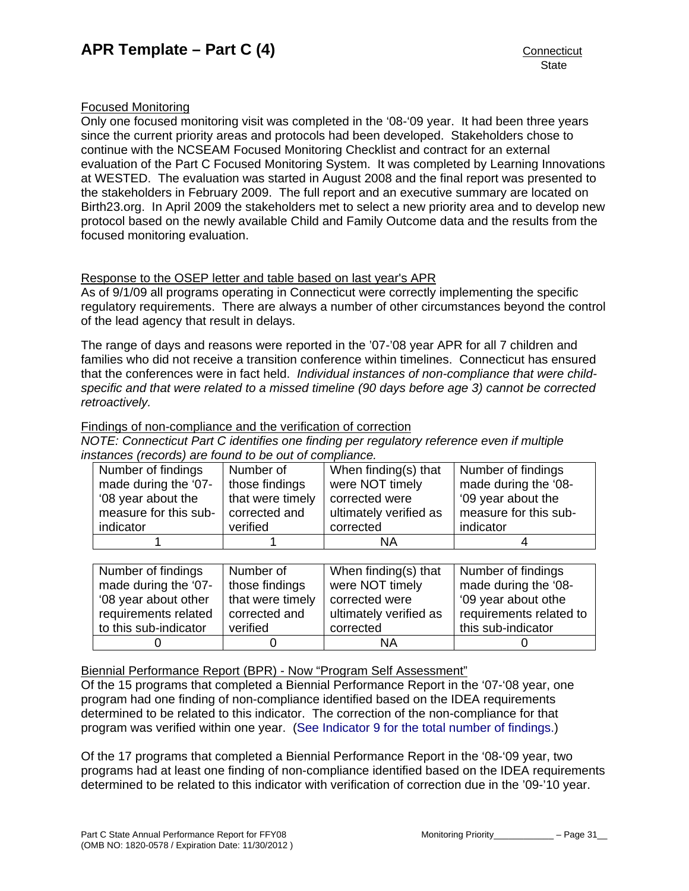## Focused Monitoring

Only one focused monitoring visit was completed in the '08-'09 year. It had been three years since the current priority areas and protocols had been developed. Stakeholders chose to continue with the NCSEAM Focused Monitoring Checklist and contract for an external evaluation of the Part C Focused Monitoring System. It was completed by Learning Innovations at WESTED. The evaluation was started in August 2008 and the final report was presented to the stakeholders in February 2009. The full report and an executive summary are located on Birth23.org. In April 2009 the stakeholders met to select a new priority area and to develop new protocol based on the newly available Child and Family Outcome data and the results from the focused monitoring evaluation.

# Response to the OSEP letter and table based on last year's APR

As of 9/1/09 all programs operating in Connecticut were correctly implementing the specific regulatory requirements. There are always a number of other circumstances beyond the control of the lead agency that result in delays.

The range of days and reasons were reported in the '07-'08 year APR for all 7 children and families who did not receive a transition conference within timelines. Connecticut has ensured that the conferences were in fact held. *Individual instances of non-compliance that were childspecific and that were related to a missed timeline (90 days before age 3) cannot be corrected retroactively.* 

## Findings of non-compliance and the verification of correction

*NOTE: Connecticut Part C identifies one finding per regulatory reference even if multiple instances (records) are found to be out of compliance.* 

| Number of findings    | Number of        | When finding(s) that   | Number of findings    |
|-----------------------|------------------|------------------------|-----------------------|
| made during the '07-  | those findings   | were NOT timely        | made during the '08-  |
| '08 year about the    | that were timely | corrected were         | '09 year about the    |
| measure for this sub- | corrected and    | ultimately verified as | measure for this sub- |
| indicator             | verified         | corrected              | indicator             |
|                       |                  | ΝA                     |                       |

| Number of findings    | Number of        | When finding(s) that   | Number of findings      |
|-----------------------|------------------|------------------------|-------------------------|
| made during the '07-  | those findings   | were NOT timely        | made during the '08-    |
| '08 year about other  | that were timely | corrected were         | '09 year about othe     |
| requirements related  | corrected and    | ultimately verified as | requirements related to |
| to this sub-indicator | verified         | corrected              | this sub-indicator      |
|                       |                  | ΝA                     |                         |

Biennial Performance Report (BPR) - Now "Program Self Assessment"

Of the 15 programs that completed a Biennial Performance Report in the '07-'08 year, one program had one finding of non-compliance identified based on the IDEA requirements determined to be related to this indicator. The correction of the non-compliance for that program was verified within one year. ([See Indicator 9 for the total number of findings.\)](#page-34-0)

Of the 17 programs that completed a Biennial Performance Report in the '08-'09 year, two programs had at least one finding of non-compliance identified based on the IDEA requirements determined to be related to this indicator with verification of correction due in the '09-'10 year.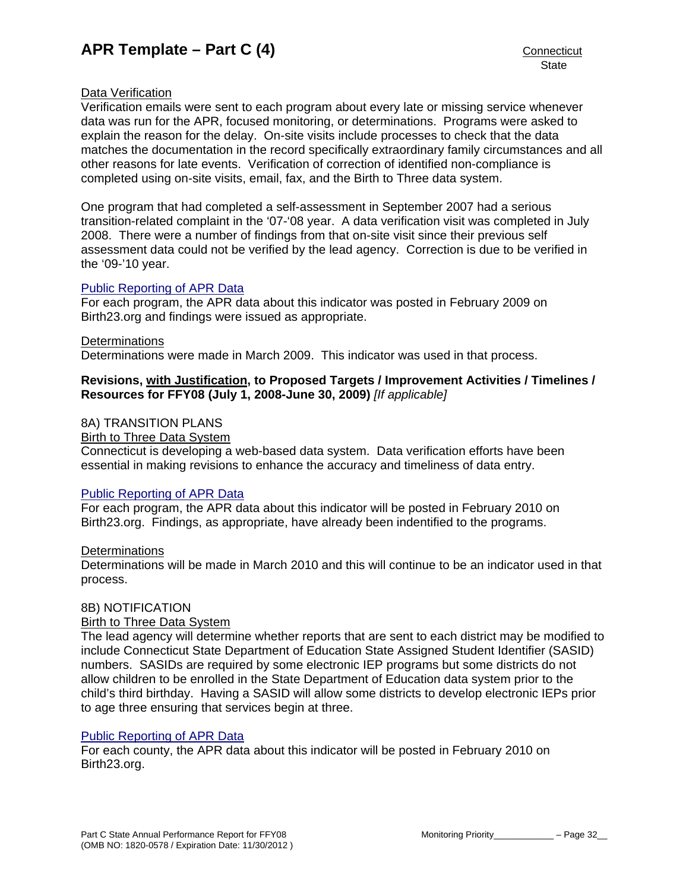## Data Verification

Verification emails were sent to each program about every late or missing service whenever data was run for the APR, focused monitoring, or determinations. Programs were asked to explain the reason for the delay. On-site visits include processes to check that the data matches the documentation in the record specifically extraordinary family circumstances and all other reasons for late events. Verification of correction of identified non-compliance is completed using on-site visits, email, fax, and the Birth to Three data system.

One program that had completed a self-assessment in September 2007 had a serious transition-related complaint in the '07-'08 year. A data verification visit was completed in July 2008. There were a number of findings from that on-site visit since their previous self assessment data could not be verified by the lead agency. Correction is due to be verified in the '09-'10 year.

## [Public Reporting of APR Data](http://www.birth23.org/state_performance_plans_and_annu.htm)

For each program, the APR data about this indicator was posted in February 2009 on Birth23.org and findings were issued as appropriate.

#### **Determinations**

Determinations were made in March 2009. This indicator was used in that process.

## **Revisions, with Justification, to Proposed Targets / Improvement Activities / Timelines / Resources for FFY08 (July 1, 2008-June 30, 2009)** *[If applicable]*

## 8A) TRANSITION PLANS

### Birth to Three Data System

Connecticut is developing a web-based data system. Data verification efforts have been essential in making revisions to enhance the accuracy and timeliness of data entry.

## [Public Reporting of APR Data](http://www.birth23.org/state_performance_plans_and_annu.htm)

For each program, the APR data about this indicator will be posted in February 2010 on Birth23.org. Findings, as appropriate, have already been indentified to the programs.

## **Determinations**

Determinations will be made in March 2010 and this will continue to be an indicator used in that process.

## 8B) NOTIFICATION

## Birth to Three Data System

The lead agency will determine whether reports that are sent to each district may be modified to include Connecticut State Department of Education State Assigned Student Identifier (SASID) numbers. SASIDs are required by some electronic IEP programs but some districts do not allow children to be enrolled in the State Department of Education data system prior to the child's third birthday. Having a SASID will allow some districts to develop electronic IEPs prior to age three ensuring that services begin at three.

## [Public Reporting of APR Data](http://www.birth23.org/state_performance_plans_and_annu.htm)

For each county, the APR data about this indicator will be posted in February 2010 on Birth23.org.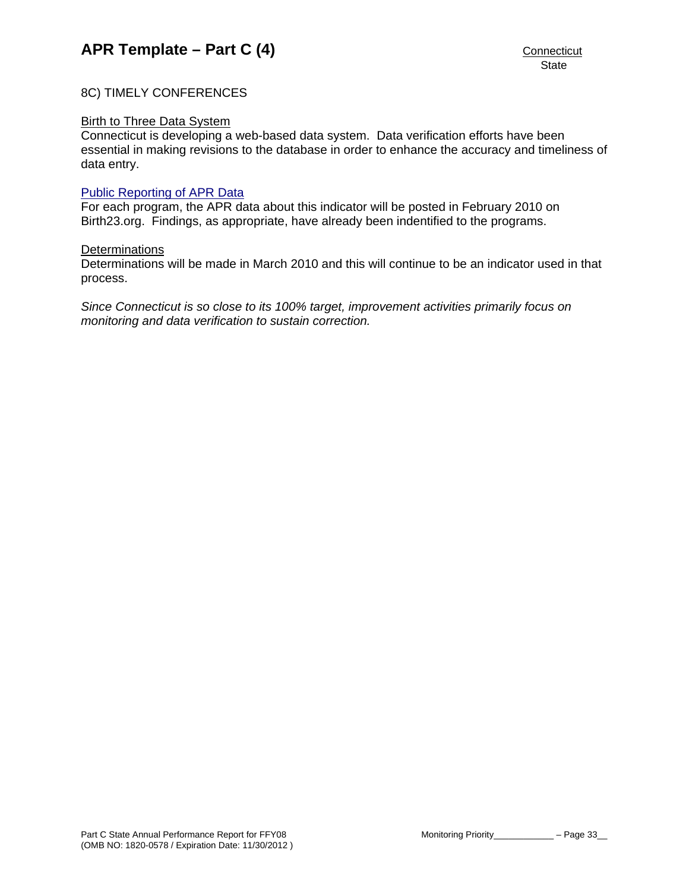## 8C) TIMELY CONFERENCES

### Birth to Three Data System

Connecticut is developing a web-based data system. Data verification efforts have been essential in making revisions to the database in order to enhance the accuracy and timeliness of data entry.

#### [Public Reporting of APR Data](http://www.birth23.org/state_performance_plans_and_annu.htm)

For each program, the APR data about this indicator will be posted in February 2010 on Birth23.org. Findings, as appropriate, have already been indentified to the programs.

#### **Determinations**

Determinations will be made in March 2010 and this will continue to be an indicator used in that process.

*Since Connecticut is so close to its 100% target, improvement activities primarily focus on monitoring and data verification to sustain correction.*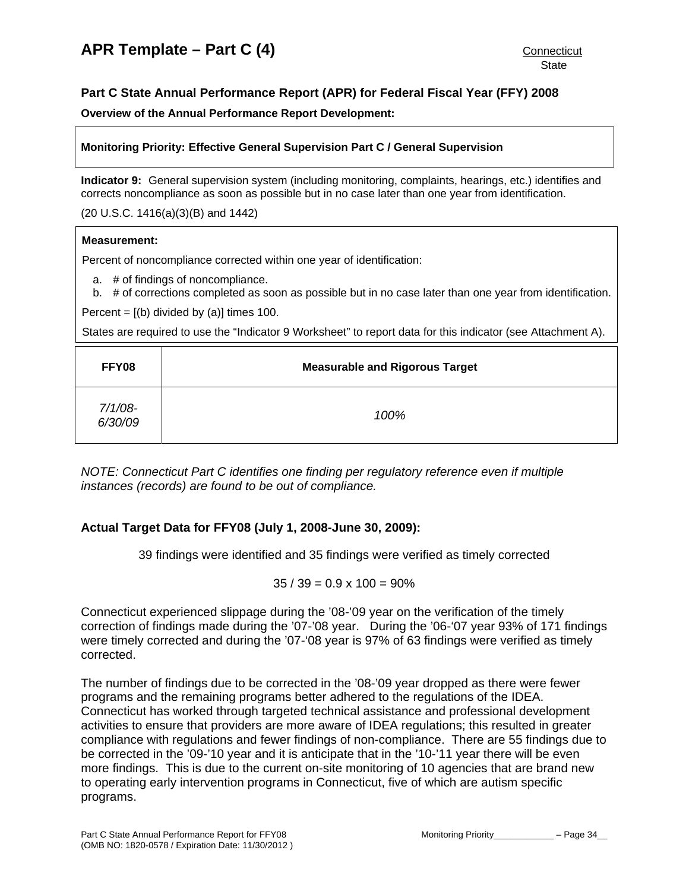## <span id="page-34-0"></span>**Part C State Annual Performance Report (APR) for Federal Fiscal Year (FFY) 2008**

**Overview of the Annual Performance Report Development:** 

## **Monitoring Priority: Effective General Supervision Part C / General Supervision**

**Indicator 9:** General supervision system (including monitoring, complaints, hearings, etc.) identifies and corrects noncompliance as soon as possible but in no case later than one year from identification.

### (20 U.S.C. 1416(a)(3)(B) and 1442)

### **Measurement:**

Percent of noncompliance corrected within one year of identification:

a. # of findings of noncompliance.

b. # of corrections completed as soon as possible but in no case later than one year from identification.

Percent =  $[(b)$  divided by  $(a)]$  times 100.

States are required to use the "Indicator 9 Worksheet" to report data for this indicator (see Attachment A).

| FFY08                 | <b>Measurable and Rigorous Target</b> |
|-----------------------|---------------------------------------|
| $7/1/08 -$<br>6/30/09 | 100%                                  |

*NOTE: Connecticut Part C identifies one finding per regulatory reference even if multiple instances (records) are found to be out of compliance.* 

## **Actual Target Data for FFY08 (July 1, 2008-June 30, 2009):**

39 findings were identified and 35 findings were verified as timely corrected

 $35 / 39 = 0.9 \times 100 = 90\%$ 

Connecticut experienced slippage during the '08-'09 year on the verification of the timely correction of findings made during the '07-'08 year. During the '06-'07 year 93% of 171 findings were timely corrected and during the '07-'08 year is 97% of 63 findings were verified as timely corrected.

The number of findings due to be corrected in the '08-'09 year dropped as there were fewer programs and the remaining programs better adhered to the regulations of the IDEA. Connecticut has worked through targeted technical assistance and professional development activities to ensure that providers are more aware of IDEA regulations; this resulted in greater compliance with regulations and fewer findings of non-compliance. There are 55 findings due to be corrected in the '09-'10 year and it is anticipate that in the '10-'11 year there will be even more findings. This is due to the current on-site monitoring of 10 agencies that are brand new to operating early intervention programs in Connecticut, five of which are autism specific programs.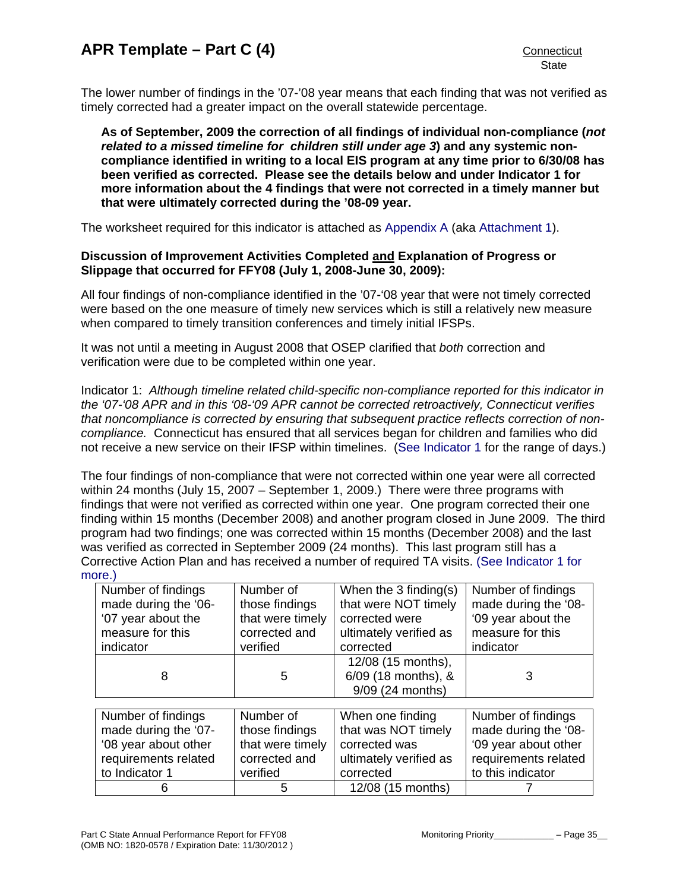The lower number of findings in the '07-'08 year means that each finding that was not verified as timely corrected had a greater impact on the overall statewide percentage.

**As of September, 2009 the correction of all findings of individual non-compliance (***not related to a missed timeline for children still under age 3***) and any systemic noncompliance identified in writing to a local EIS program at any time prior to 6/30/08 has been verified as corrected. Please see the details below and under Indicator 1 for more information about the 4 findings that were not corrected in a timely manner but that were ultimately corrected during the '08-09 year.** 

The worksheet required for this indicator is attached as [Appendix A](#page-46-0) (aka [Attachment 1\)](#page-46-0).

## **Discussion of Improvement Activities Completed and Explanation of Progress or Slippage that occurred for FFY08 (July 1, 2008-June 30, 2009):**

All four findings of non-compliance identified in the '07-'08 year that were not timely corrected were based on the one measure of timely new services which is still a relatively new measure when compared to timely transition conferences and timely initial IFSPs.

It was not until a meeting in August 2008 that OSEP clarified that *both* correction and verification were due to be completed within one year.

Indicator 1: *Although timeline related child-specific non-compliance reported for this indicator in the '07-'08 APR and in this '08-'09 APR cannot be corrected retroactively, Connecticut verifies that noncompliance is corrected by ensuring that subsequent practice reflects correction of noncompliance.* Connecticut has ensured that all services began for children and families who did not receive a new service on their IFSP within timelines. ([See Indicator 1](#page-3-0) for the range of days.)

The four findings of non-compliance that were not corrected within one year were all corrected within 24 months (July 15, 2007 – September 1, 2009.) There were three programs with findings that were not verified as corrected within one year. One program corrected their one finding within 15 months (December 2008) and another program closed in June 2009. The third program had two findings; one was corrected within 15 months (December 2008) and the last was verified as corrected in September 2009 (24 months). This last program still has a Corrective Action Plan and has received a number of required TA visits. [\(See Indicator 1 for](#page-3-0)  [more.\)](#page-3-0)

| Number of findings   | Number of        | When the $3$ finding(s) | Number of findings   |
|----------------------|------------------|-------------------------|----------------------|
| made during the '06- | those findings   | that were NOT timely    | made during the '08- |
| '07 year about the   | that were timely | corrected were          | '09 year about the   |
| measure for this     | corrected and    | ultimately verified as  | measure for this     |
| indicator            | verified         | corrected               | indicator            |
|                      |                  | 12/08 (15 months),      |                      |
| 8                    | 5                | 6/09 (18 months), &     | 3                    |
|                      |                  | 9/09 (24 months)        |                      |
|                      |                  |                         |                      |
| Number of findings   | Number of        | When one finding        | Number of findings   |
| made during the '07- | those findings   | that was NOT timely     | made during the '08- |
| '08 year about other | that were timely | corrected was           | '09 year about other |
| requirements related | corrected and    | ultimately verified as  | requirements related |
| to Indicator 1       | verified         | corrected               | to this indicator    |
| 6                    | 5                | 12/08 (15 months)       |                      |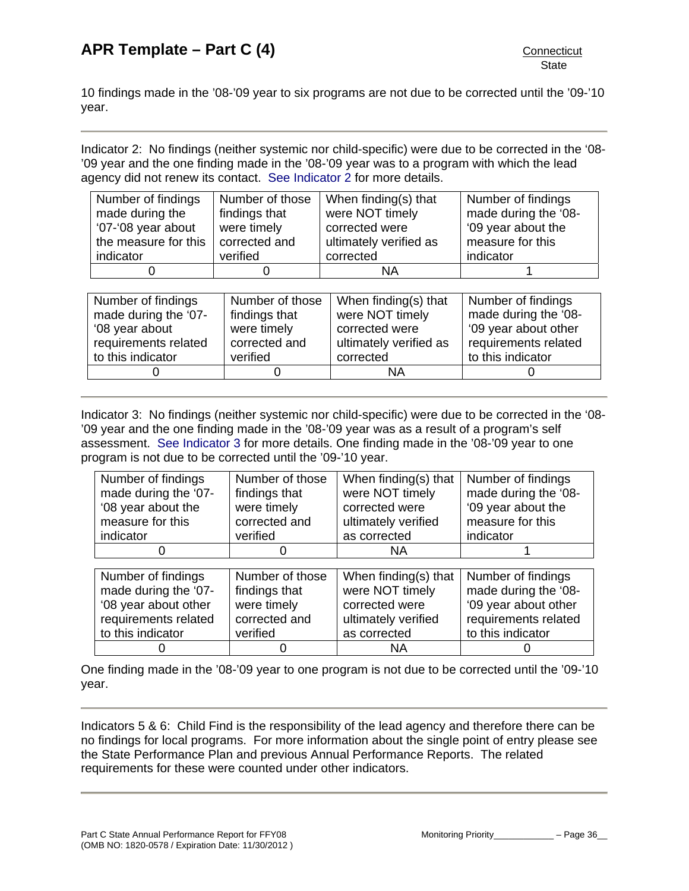10 findings made in the '08-'09 year to six programs are not due to be corrected until the '09-'10 year.

Indicator 2: No findings (neither systemic nor child-specific) were due to be corrected in the '08- '09 year and the one finding made in the '08-'09 year was to a program with which the lead agency did not renew its contact. [See Indicator 2](#page-7-0) for more details.

| Number of findings   | Number of those | When finding(s) that   | Number of findings   |
|----------------------|-----------------|------------------------|----------------------|
| made during the      | findings that   | were NOT timely        | made during the '08- |
| '07-'08 year about   | were timely     | corrected were         | '09 year about the   |
| the measure for this | corrected and   | ultimately verified as | measure for this     |
| indicator            | verified        | corrected              | indicator            |
|                      |                 | ΝA                     |                      |

| Number of findings<br>made during the '07-                  | Number of those<br>findings that         | When finding(s) that<br>were NOT timely<br>corrected were | Number of findings<br>made during the '08-                        |
|-------------------------------------------------------------|------------------------------------------|-----------------------------------------------------------|-------------------------------------------------------------------|
| '08 year about<br>requirements related<br>to this indicator | were timely<br>corrected and<br>verified | ultimately verified as<br>corrected                       | '09 year about other<br>requirements related<br>to this indicator |
|                                                             |                                          | ΝA                                                        |                                                                   |

Indicator 3: No findings (neither systemic nor child-specific) were due to be corrected in the '08- '09 year and the one finding made in the '08-'09 year was as a result of a program's self assessment. [See Indicator 3](#page-9-0) for more details. One finding made in the '08-'09 year to one program is not due to be corrected until the '09-'10 year.

| Number of findings<br>made during the '07-<br>'08 year about the<br>measure for this<br>indicator | Number of those<br>findings that<br>were timely<br>corrected and<br>verified | When finding(s) that<br>were NOT timely<br>corrected were<br>ultimately verified<br>as corrected | Number of findings<br>made during the '08-<br>'09 year about the<br>measure for this<br>indicator |
|---------------------------------------------------------------------------------------------------|------------------------------------------------------------------------------|--------------------------------------------------------------------------------------------------|---------------------------------------------------------------------------------------------------|
|                                                                                                   |                                                                              | NA.                                                                                              |                                                                                                   |
|                                                                                                   |                                                                              |                                                                                                  |                                                                                                   |
| Number of findings                                                                                | Number of those                                                              | When finding(s) that                                                                             | Number of findings                                                                                |
| made during the '07-                                                                              | findings that                                                                | were NOT timely                                                                                  | made during the '08-                                                                              |
| '08 year about other                                                                              | were timely                                                                  | corrected were                                                                                   | '09 year about other                                                                              |
| requirements related                                                                              | corrected and                                                                | ultimately verified                                                                              | requirements related                                                                              |
| to this indicator                                                                                 | verified                                                                     | as corrected                                                                                     | to this indicator                                                                                 |
|                                                                                                   |                                                                              |                                                                                                  |                                                                                                   |
|                                                                                                   |                                                                              | ΝA                                                                                               |                                                                                                   |

One finding made in the '08-'09 year to one program is not due to be corrected until the '09-'10 year.

Indicators 5 & 6: Child Find is the responsibility of the lead agency and therefore there can be no findings for local programs. For more information about the single point of entry please see the State Performance Plan and previous Annual Performance Reports. The related requirements for these were counted under other indicators.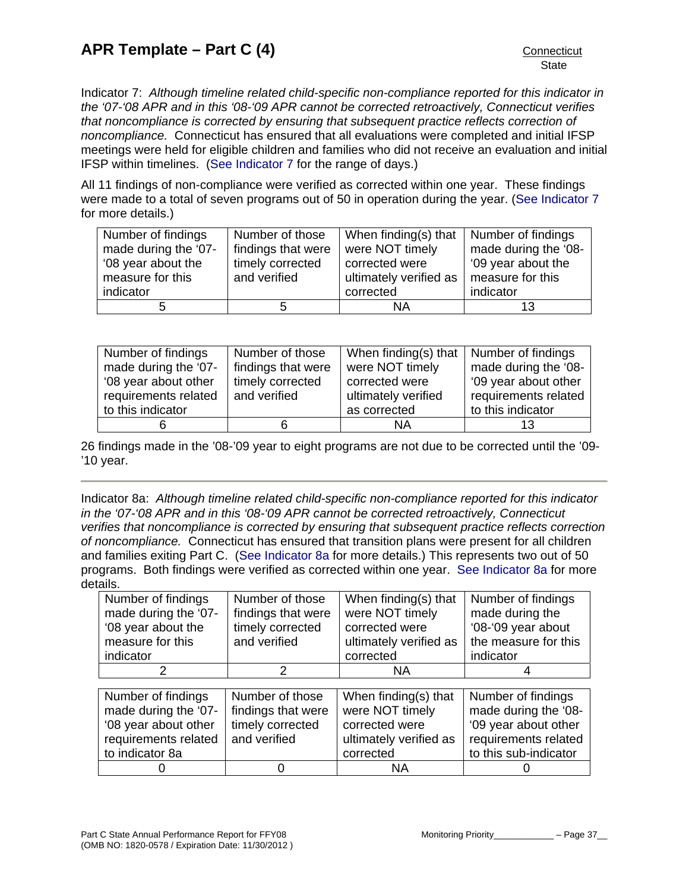Indicator 7: *Although timeline related child-specific non-compliance reported for this indicator in the '07-'08 APR and in this '08-'09 APR cannot be corrected retroactively, Connecticut verifies that noncompliance is corrected by ensuring that subsequent practice reflects correction of noncompliance.* Connecticut has ensured that all evaluations were completed and initial IFSP meetings were held for eligible children and families who did not receive an evaluation and initial IFSP within timelines. ([See Indicator 7](#page-23-0) for the range of days.)

All 11 findings of non-compliance were verified as corrected within one year. These findings were made to a total of seven programs out of 50 in operation during the year. [\(See Indicator 7](#page-23-0) for more details.)

| Number of findings   | Number of those    | When finding(s) that $\vert$ | Number of findings   |
|----------------------|--------------------|------------------------------|----------------------|
| made during the '07- | findings that were | were NOT timely              | made during the '08- |
| '08 year about the   | timely corrected   | corrected were               | '09 year about the   |
| measure for this     | and verified       | ultimately verified as       | measure for this     |
| indicator            |                    | corrected                    | indicator            |
|                      | h.                 | ΝA                           | 13                   |

| Number of findings   | Number of those    | When finding(s) that $\vert$ Number of findings |                      |
|----------------------|--------------------|-------------------------------------------------|----------------------|
| made during the '07- | findings that were | were NOT timely                                 | made during the '08- |
| '08 year about other | timely corrected   | corrected were                                  | '09 year about other |
| requirements related | and verified       | ultimately verified                             | requirements related |
| to this indicator    |                    | as corrected                                    | to this indicator    |
|                      | 6                  | ΝA                                              | 13                   |

26 findings made in the '08-'09 year to eight programs are not due to be corrected until the '09- '10 year.

Indicator 8a: *Although timeline related child-specific non-compliance reported for this indicator in the '07-'08 APR and in this '08-'09 APR cannot be corrected retroactively, Connecticut verifies that noncompliance is corrected by ensuring that subsequent practice reflects correction of noncompliance.* Connecticut has ensured that transition plans were present for all children and families exiting Part C. ([See Indicator 8a](#page-27-0) for more details.) This represents two out of 50 programs. Both findings were verified as corrected within one year. [See Indicator 8a](#page-27-0) for more details.

| Number of findings<br>made during the '07-<br>'08 year about the<br>measure for this<br>indicator | Number of those<br>findings that were<br>timely corrected<br>and verified | When finding(s) that<br>were NOT timely<br>corrected were<br>ultimately verified as<br>corrected | Number of findings<br>made during the<br>'08-'09 year about<br>the measure for this<br>indicator |
|---------------------------------------------------------------------------------------------------|---------------------------------------------------------------------------|--------------------------------------------------------------------------------------------------|--------------------------------------------------------------------------------------------------|
|                                                                                                   | 2                                                                         | ΝA                                                                                               |                                                                                                  |
|                                                                                                   |                                                                           |                                                                                                  |                                                                                                  |
| Number of findings                                                                                | Number of those                                                           | When finding(s) that                                                                             | Number of findings                                                                               |
| made during the '07-                                                                              | findings that were                                                        | were NOT timely                                                                                  | made during the '08-                                                                             |
| '08 year about other                                                                              | timely corrected                                                          | corrected were                                                                                   | '09 year about other                                                                             |
| requirements related                                                                              | and verified                                                              | ultimately verified as                                                                           | requirements related                                                                             |
| to indicator 8a                                                                                   |                                                                           | corrected                                                                                        | to this sub-indicator                                                                            |
|                                                                                                   |                                                                           | ΝA                                                                                               |                                                                                                  |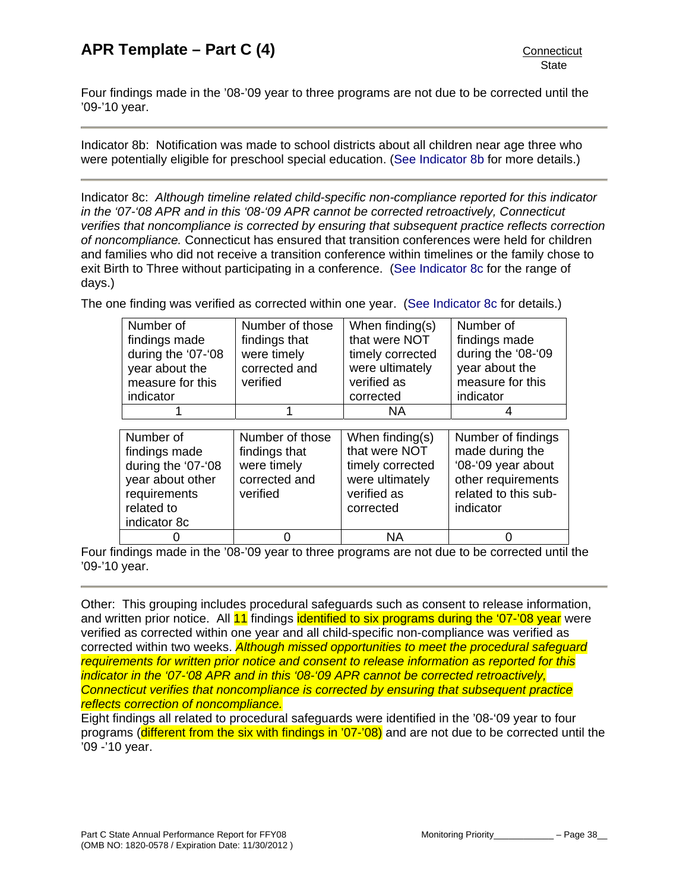Four findings made in the '08-'09 year to three programs are not due to be corrected until the '09-'10 year.

Indicator 8b: Notification was made to school districts about all children near age three who were potentially eligible for preschool special education. [\(See Indicator 8b](#page-27-0) for more details.)

Indicator 8c: *Although timeline related child-specific non-compliance reported for this indicator in the '07-'08 APR and in this '08-'09 APR cannot be corrected retroactively, Connecticut verifies that noncompliance is corrected by ensuring that subsequent practice reflects correction of noncompliance.* Connecticut has ensured that transition conferences were held for children and families who did not receive a transition conference within timelines or the family chose to exit Birth to Three without participating in a conference. [\(See Indicator 8c](#page-27-0) for the range of days.)

The one finding was verified as corrected within one year. [\(See Indicator 8c](#page-27-0) for details.)

| Number of          | Number of those | When finding(s)  | Number of          |
|--------------------|-----------------|------------------|--------------------|
| findings made      | findings that   | that were NOT    | findings made      |
| during the '07-'08 | were timely     | timely corrected | during the '08-'09 |
| year about the     | corrected and   | were ultimately  | year about the     |
| measure for this   | verified        | verified as      | measure for this   |
| indicator          |                 | corrected        | indicator          |
|                    |                 | <b>NA</b>        |                    |
|                    |                 |                  |                    |
|                    |                 |                  |                    |
| Number of          | Number of those | When finding(s)  | Number of findings |
| findings made      | findings that   | that were NOT    | made during the    |
| during the '07-'08 | were timely     | timely corrected | '08-'09 year about |
| year about other   | corrected and   | were ultimately  | other requirements |

0 | 0 | NA | 0 Four findings made in the '08-'09 year to three programs are not due to be corrected until the '09-'10 year.

corrected

Other: This grouping includes procedural safeguards such as consent to release information, and written prior notice. All 11 findings identified to six programs during the '07-'08 year were verified as corrected within one year and all child-specific non-compliance was verified as corrected within two weeks. *Although missed opportunities to meet the procedural safeguard requirements for written prior notice and consent to release information as reported for this indicator in the '07-'08 APR and in this '08-'09 APR cannot be corrected retroactively, Connecticut verifies that noncompliance is corrected by ensuring that subsequent practice reflects correction of noncompliance.* 

Eight findings all related to procedural safeguards were identified in the '08-'09 year to four programs (different from the six with findings in '07-'08) and are not due to be corrected until the '09 -'10 year.

related to indicator 8c indicator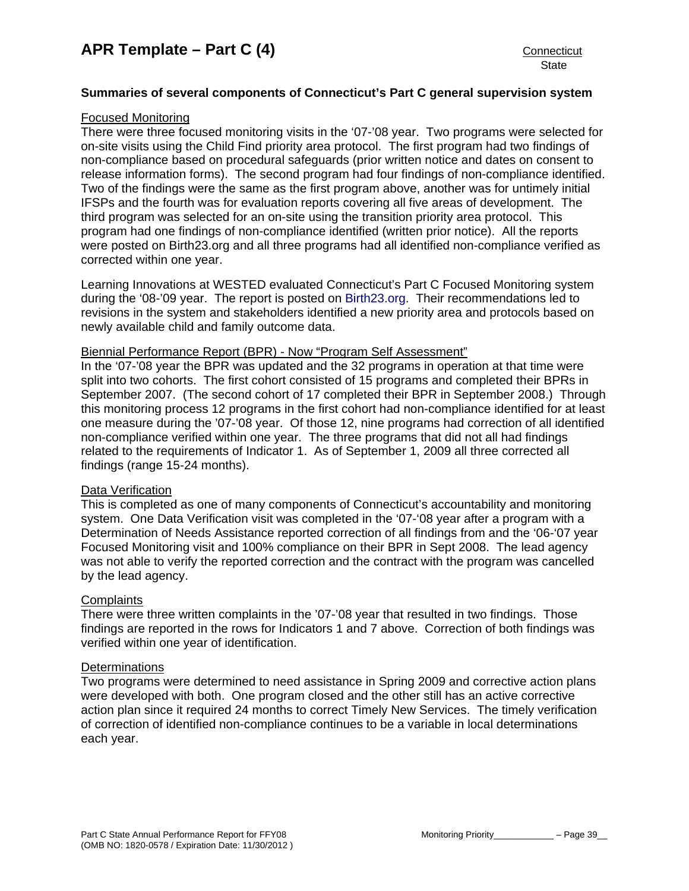## **Summaries of several components of Connecticut's Part C general supervision system**

## Focused Monitoring

There were three focused monitoring visits in the '07-'08 year. Two programs were selected for on-site visits using the Child Find priority area protocol. The first program had two findings of non-compliance based on procedural safeguards (prior written notice and dates on consent to release information forms). The second program had four findings of non-compliance identified. Two of the findings were the same as the first program above, another was for untimely initial IFSPs and the fourth was for evaluation reports covering all five areas of development. The third program was selected for an on-site using the transition priority area protocol. This program had one findings of non-compliance identified (written prior notice). All the reports were posted on Birth23.org and all three programs had all identified non-compliance verified as corrected within one year.

Learning Innovations at WESTED evaluated Connecticut's Part C Focused Monitoring system during the '08-'09 year. The report is posted on [Birth23.org.](http://www.birth23.org/) Their recommendations led to revisions in the system and stakeholders identified a new priority area and protocols based on newly available child and family outcome data.

## Biennial Performance Report (BPR) - Now "Program Self Assessment"

In the '07-'08 year the BPR was updated and the 32 programs in operation at that time were split into two cohorts. The first cohort consisted of 15 programs and completed their BPRs in September 2007. (The second cohort of 17 completed their BPR in September 2008.) Through this monitoring process 12 programs in the first cohort had non-compliance identified for at least one measure during the '07-'08 year. Of those 12, nine programs had correction of all identified non-compliance verified within one year. The three programs that did not all had findings related to the requirements of Indicator 1. As of September 1, 2009 all three corrected all findings (range 15-24 months).

## Data Verification

This is completed as one of many components of Connecticut's accountability and monitoring system. One Data Verification visit was completed in the '07-'08 year after a program with a Determination of Needs Assistance reported correction of all findings from and the '06-'07 year Focused Monitoring visit and 100% compliance on their BPR in Sept 2008. The lead agency was not able to verify the reported correction and the contract with the program was cancelled by the lead agency.

#### **Complaints**

There were three written complaints in the '07-'08 year that resulted in two findings. Those findings are reported in the rows for Indicators 1 and 7 above. Correction of both findings was verified within one year of identification.

## **Determinations**

Two programs were determined to need assistance in Spring 2009 and corrective action plans were developed with both. One program closed and the other still has an active corrective action plan since it required 24 months to correct Timely New Services. The timely verification of correction of identified non-compliance continues to be a variable in local determinations each year.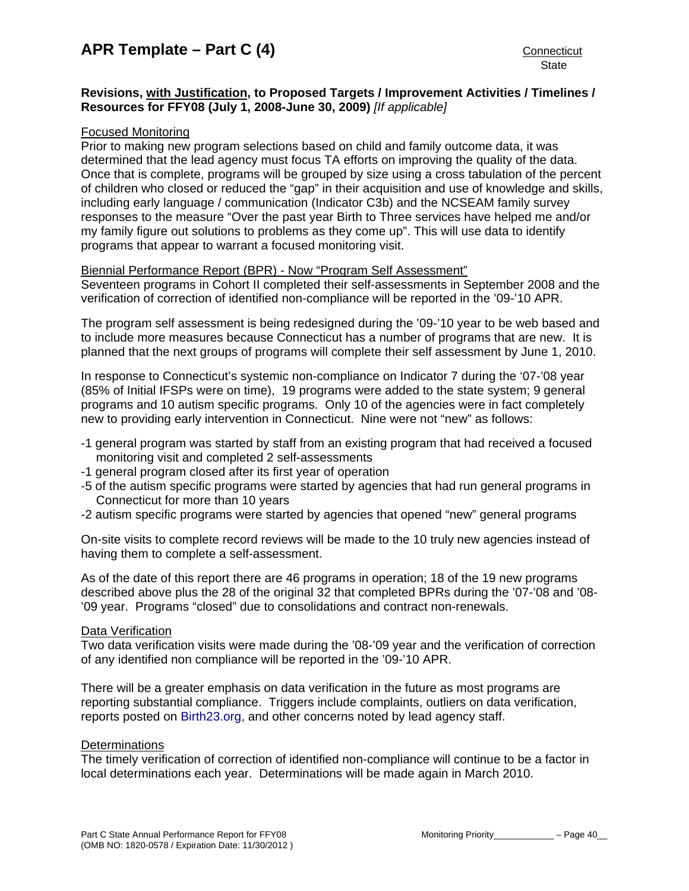## **Revisions, with Justification, to Proposed Targets / Improvement Activities / Timelines / Resources for FFY08 (July 1, 2008-June 30, 2009)** *[If applicable]*

## Focused Monitoring

Prior to making new program selections based on child and family outcome data, it was determined that the lead agency must focus TA efforts on improving the quality of the data. Once that is complete, programs will be grouped by size using a cross tabulation of the percent of children who closed or reduced the "gap" in their acquisition and use of knowledge and skills, including early language / communication (Indicator C3b) and the NCSEAM family survey responses to the measure "Over the past year Birth to Three services have helped me and/or my family figure out solutions to problems as they come up". This will use data to identify programs that appear to warrant a focused monitoring visit.

### Biennial Performance Report (BPR) - Now "Program Self Assessment"

Seventeen programs in Cohort II completed their self-assessments in September 2008 and the verification of correction of identified non-compliance will be reported in the '09-'10 APR.

The program self assessment is being redesigned during the '09-'10 year to be web based and to include more measures because Connecticut has a number of programs that are new. It is planned that the next groups of programs will complete their self assessment by June 1, 2010.

In response to Connecticut's systemic non-compliance on Indicator 7 during the '07-'08 year (85% of Initial IFSPs were on time), 19 programs were added to the state system; 9 general programs and 10 autism specific programs. Only 10 of the agencies were in fact completely new to providing early intervention in Connecticut. Nine were not "new" as follows:

- -1 general program was started by staff from an existing program that had received a focused monitoring visit and completed 2 self-assessments
- -1 general program closed after its first year of operation
- -5 of the autism specific programs were started by agencies that had run general programs in Connecticut for more than 10 years
- -2 autism specific programs were started by agencies that opened "new" general programs

On-site visits to complete record reviews will be made to the 10 truly new agencies instead of having them to complete a self-assessment.

As of the date of this report there are 46 programs in operation; 18 of the 19 new programs described above plus the 28 of the original 32 that completed BPRs during the '07-'08 and '08- '09 year. Programs "closed" due to consolidations and contract non-renewals.

#### Data Verification

Two data verification visits were made during the '08-'09 year and the verification of correction of any identified non compliance will be reported in the '09-'10 APR.

There will be a greater emphasis on data verification in the future as most programs are reporting substantial compliance. Triggers include complaints, outliers on data verification, reports posted on [Birth23.org](http://www.birth23.org/), and other concerns noted by lead agency staff.

#### **Determinations**

The timely verification of correction of identified non-compliance will continue to be a factor in local determinations each year. Determinations will be made again in March 2010.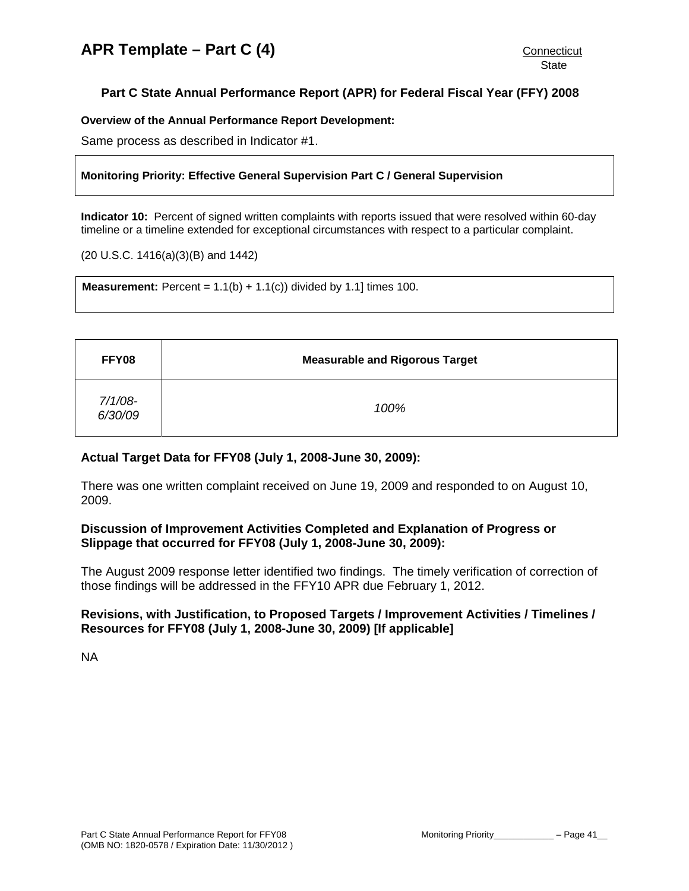# <span id="page-41-0"></span>**Part C State Annual Performance Report (APR) for Federal Fiscal Year (FFY) 2008**

## **Overview of the Annual Performance Report Development:**

Same process as described in Indicator #1.

## **Monitoring Priority: Effective General Supervision Part C / General Supervision**

**Indicator 10:** Percent of signed written complaints with reports issued that were resolved within 60-day timeline or a timeline extended for exceptional circumstances with respect to a particular complaint.

(20 U.S.C. 1416(a)(3)(B) and 1442)

**Measurement:** Percent =  $1.1(b) + 1.1(c)$  divided by 1.1 times 100.

| FFY08                 | <b>Measurable and Rigorous Target</b> |
|-----------------------|---------------------------------------|
| $7/1/08$ -<br>6/30/09 | 100%                                  |

## **Actual Target Data for FFY08 (July 1, 2008-June 30, 2009):**

There was one written complaint received on June 19, 2009 and responded to on August 10, 2009.

## **Discussion of Improvement Activities Completed and Explanation of Progress or Slippage that occurred for FFY08 (July 1, 2008-June 30, 2009):**

The August 2009 response letter identified two findings. The timely verification of correction of those findings will be addressed in the FFY10 APR due February 1, 2012.

## **Revisions, with Justification, to Proposed Targets / Improvement Activities / Timelines / Resources for FFY08 (July 1, 2008-June 30, 2009) [If applicable]**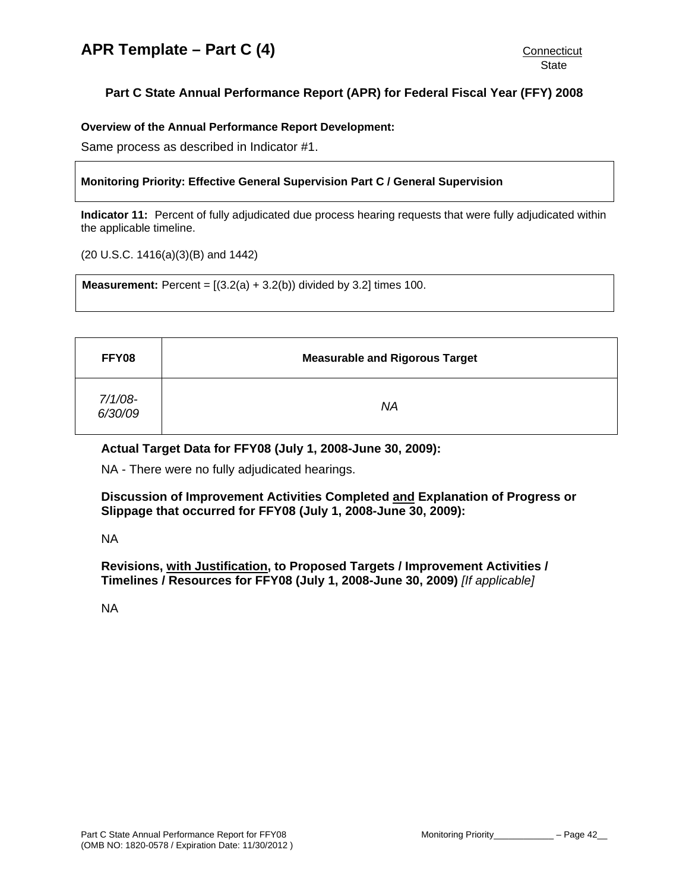# <span id="page-42-0"></span>**Part C State Annual Performance Report (APR) for Federal Fiscal Year (FFY) 2008**

## **Overview of the Annual Performance Report Development:**

Same process as described in Indicator #1.

## **Monitoring Priority: Effective General Supervision Part C / General Supervision**

**Indicator 11:** Percent of fully adjudicated due process hearing requests that were fully adjudicated within the applicable timeline.

(20 U.S.C. 1416(a)(3)(B) and 1442)

**Measurement:** Percent =  $[(3.2(a) + 3.2(b))$  divided by 3.2] times 100.

| FFY08              | <b>Measurable and Rigorous Target</b> |
|--------------------|---------------------------------------|
| 7/1/08-<br>6/30/09 | NA                                    |

## **Actual Target Data for FFY08 (July 1, 2008-June 30, 2009):**

NA - There were no fully adjudicated hearings.

**Discussion of Improvement Activities Completed and Explanation of Progress or Slippage that occurred for FFY08 (July 1, 2008-June 30, 2009):** 

NA

**Revisions, with Justification, to Proposed Targets / Improvement Activities / Timelines / Resources for FFY08 (July 1, 2008-June 30, 2009)** *[If applicable]*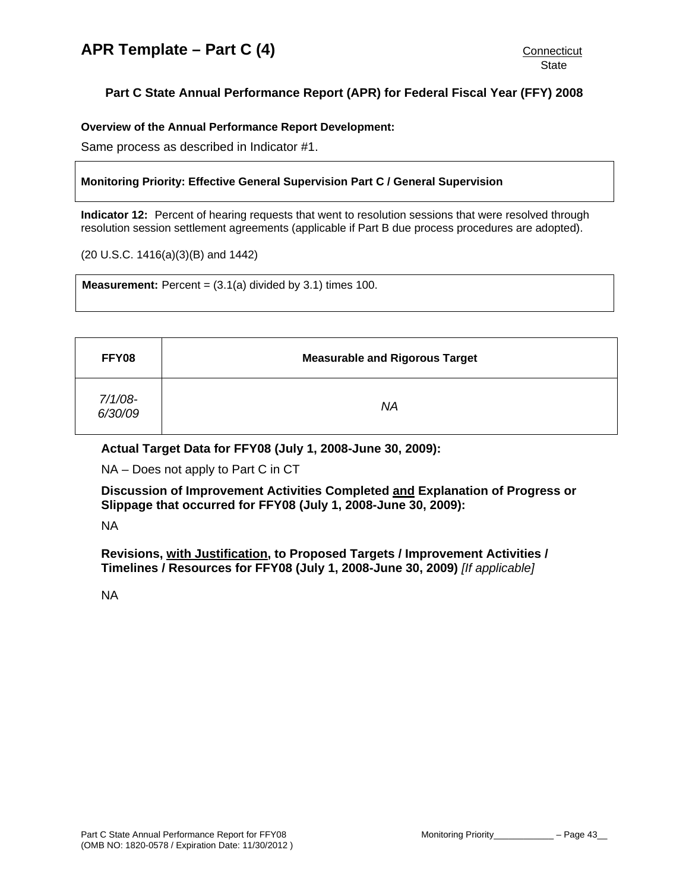# <span id="page-43-0"></span>**Part C State Annual Performance Report (APR) for Federal Fiscal Year (FFY) 2008**

**Overview of the Annual Performance Report Development:** 

Same process as described in Indicator #1.

## **Monitoring Priority: Effective General Supervision Part C / General Supervision**

**Indicator 12:** Percent of hearing requests that went to resolution sessions that were resolved through resolution session settlement agreements (applicable if Part B due process procedures are adopted).

(20 U.S.C. 1416(a)(3)(B) and 1442)

**Measurement:** Percent =  $(3.1(a)$  divided by  $3.1$ ) times  $100$ .

| FFY08              | <b>Measurable and Rigorous Target</b> |
|--------------------|---------------------------------------|
| 7/1/08-<br>6/30/09 | ΝA                                    |

**Actual Target Data for FFY08 (July 1, 2008-June 30, 2009):**

NA – Does not apply to Part C in CT

**Discussion of Improvement Activities Completed and Explanation of Progress or Slippage that occurred for FFY08 (July 1, 2008-June 30, 2009):** 

NA

**Revisions, with Justification, to Proposed Targets / Improvement Activities / Timelines / Resources for FFY08 (July 1, 2008-June 30, 2009)** *[If applicable]*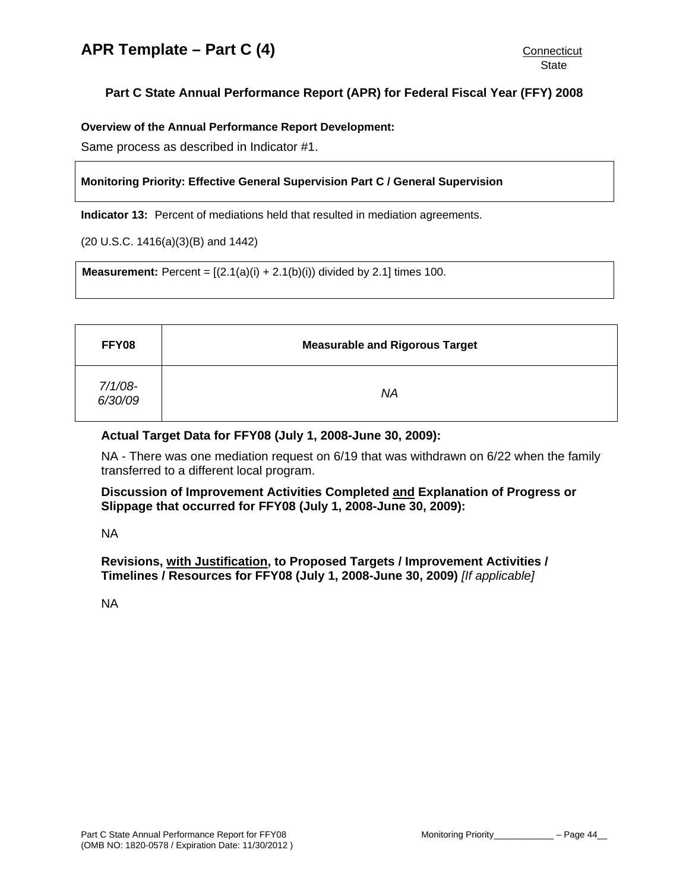# <span id="page-44-0"></span>**Part C State Annual Performance Report (APR) for Federal Fiscal Year (FFY) 2008**

**Overview of the Annual Performance Report Development:** 

Same process as described in Indicator #1.

## **Monitoring Priority: Effective General Supervision Part C / General Supervision**

**Indicator 13:** Percent of mediations held that resulted in mediation agreements.

(20 U.S.C. 1416(a)(3)(B) and 1442)

**Measurement:** Percent =  $[(2.1(a)(i) + 2.1(b)(i))$  divided by 2.1] times 100.

| FFY08              | <b>Measurable and Rigorous Target</b> |
|--------------------|---------------------------------------|
| 7/1/08-<br>6/30/09 | ΝA                                    |

## **Actual Target Data for FFY08 (July 1, 2008-June 30, 2009):**

NA - There was one mediation request on 6/19 that was withdrawn on 6/22 when the family transferred to a different local program.

## **Discussion of Improvement Activities Completed and Explanation of Progress or Slippage that occurred for FFY08 (July 1, 2008-June 30, 2009):**

NA

**Revisions, with Justification, to Proposed Targets / Improvement Activities / Timelines / Resources for FFY08 (July 1, 2008-June 30, 2009)** *[If applicable]*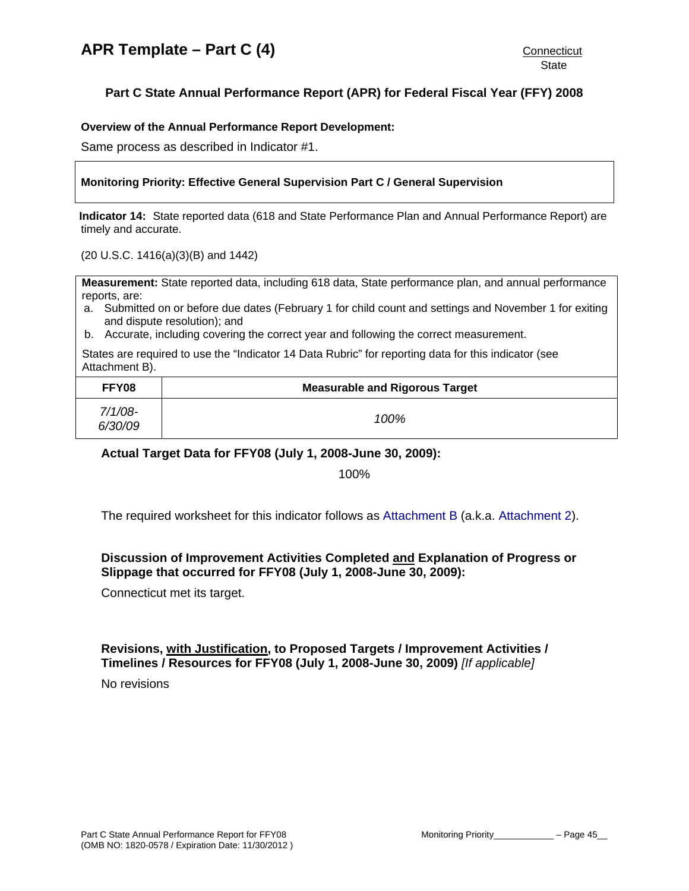# <span id="page-45-0"></span>**Part C State Annual Performance Report (APR) for Federal Fiscal Year (FFY) 2008**

### **Overview of the Annual Performance Report Development:**

Same process as described in Indicator #1.

## **Monitoring Priority: Effective General Supervision Part C / General Supervision**

**Indicator 14:** State reported data (618 and State Performance Plan and Annual Performance Report) are timely and accurate.

(20 U.S.C. 1416(a)(3)(B) and 1442)

**Measurement:** State reported data, including 618 data, State performance plan, and annual performance reports, are:

- a. Submitted on or before due dates (February 1 for child count and settings and November 1 for exiting and dispute resolution); and
- b. Accurate, including covering the correct year and following the correct measurement.

States are required to use the "Indicator 14 Data Rubric" for reporting data for this indicator (see Attachment B).

| FFY08                 | <b>Measurable and Rigorous Target</b> |
|-----------------------|---------------------------------------|
| $7/1/08$ -<br>6/30/09 | 100%                                  |

**Actual Target Data for FFY08 (July 1, 2008-June 30, 2009):** 

100%

The required worksheet for this indicator follows as [Attachment B](#page-49-0) (a.k.a. [Attachment 2](#page-49-0)).

## **Discussion of Improvement Activities Completed and Explanation of Progress or Slippage that occurred for FFY08 (July 1, 2008-June 30, 2009):**

Connecticut met its target.

### **Revisions, with Justification, to Proposed Targets / Improvement Activities / Timelines / Resources for FFY08 (July 1, 2008-June 30, 2009)** *[If applicable]*

No revisions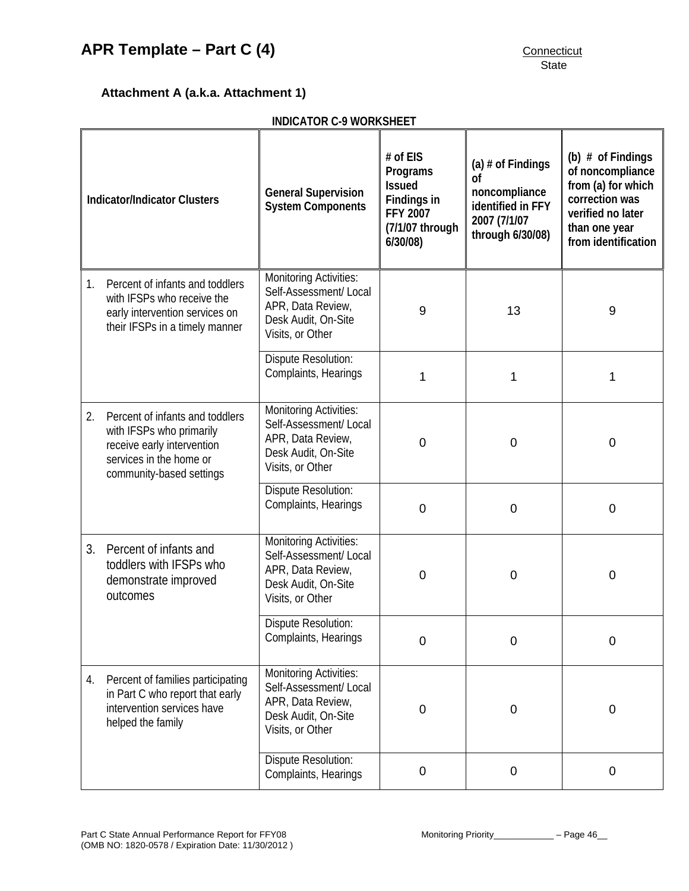# <span id="page-46-0"></span>**APR Template – Part C (4)** CONNECTIVE CONNECTIVE CONNECTICUT

# **Attachment A (a.k.a. Attachment 1)**

|                                     | <b>INDICATOR C-9 WORKSHEET</b>                                                                                                                   |                                                                                                                         |                                                                                                |                                                                                                            |                                                                                                                                              |  |
|-------------------------------------|--------------------------------------------------------------------------------------------------------------------------------------------------|-------------------------------------------------------------------------------------------------------------------------|------------------------------------------------------------------------------------------------|------------------------------------------------------------------------------------------------------------|----------------------------------------------------------------------------------------------------------------------------------------------|--|
| <b>Indicator/Indicator Clusters</b> |                                                                                                                                                  | <b>General Supervision</b><br><b>System Components</b>                                                                  | # of EIS<br>Programs<br><b>Issued</b><br>Findings in<br>FFY 2007<br>(7/1/07 through<br>6/30/08 | (a) $#$ of Findings<br><b>of</b><br>noncompliance<br>identified in FFY<br>2007 (7/1/07<br>through 6/30/08) | (b) $#$ of Findings<br>of noncompliance<br>from (a) for which<br>correction was<br>verified no later<br>than one year<br>from identification |  |
| 1.                                  | Percent of infants and toddlers<br>with IFSPs who receive the<br>early intervention services on<br>their IFSPs in a timely manner                | <b>Monitoring Activities:</b><br>Self-Assessment/ Local<br>APR, Data Review,<br>Desk Audit, On-Site<br>Visits, or Other | 9                                                                                              | 13                                                                                                         | 9                                                                                                                                            |  |
|                                     |                                                                                                                                                  | <b>Dispute Resolution:</b><br>Complaints, Hearings                                                                      | 1                                                                                              | 1                                                                                                          | 1                                                                                                                                            |  |
| 2.                                  | Percent of infants and toddlers<br>with IFSPs who primarily<br>receive early intervention<br>services in the home or<br>community-based settings | <b>Monitoring Activities:</b><br>Self-Assessment/Local<br>APR, Data Review,<br>Desk Audit, On-Site<br>Visits, or Other  | $\mathbf 0$                                                                                    | $\mathbf 0$                                                                                                | 0                                                                                                                                            |  |
|                                     |                                                                                                                                                  | <b>Dispute Resolution:</b><br>Complaints, Hearings                                                                      | $\mathbf 0$                                                                                    | $\mathbf 0$                                                                                                | 0                                                                                                                                            |  |
| 3.                                  | Percent of infants and<br>toddlers with IFSPs who<br>demonstrate improved<br>outcomes                                                            | <b>Monitoring Activities:</b><br>Self-Assessment/Local<br>APR, Data Review,<br>Desk Audit, On-Site<br>Visits, or Other  | 0                                                                                              | $\mathbf 0$                                                                                                | 0                                                                                                                                            |  |
|                                     |                                                                                                                                                  | <b>Dispute Resolution:</b><br>Complaints, Hearings                                                                      | 0                                                                                              | $\overline{0}$                                                                                             | $\mathbf 0$                                                                                                                                  |  |
| 4.                                  | Percent of families participating<br>in Part C who report that early<br>intervention services have<br>helped the family                          | <b>Monitoring Activities:</b><br>Self-Assessment/Local<br>APR, Data Review,<br>Desk Audit, On-Site<br>Visits, or Other  | 0                                                                                              | $\mathbf 0$                                                                                                | $\mathbf 0$                                                                                                                                  |  |
|                                     |                                                                                                                                                  | Dispute Resolution:<br>Complaints, Hearings                                                                             | 0                                                                                              | $\mathbf 0$                                                                                                | $\boldsymbol{0}$                                                                                                                             |  |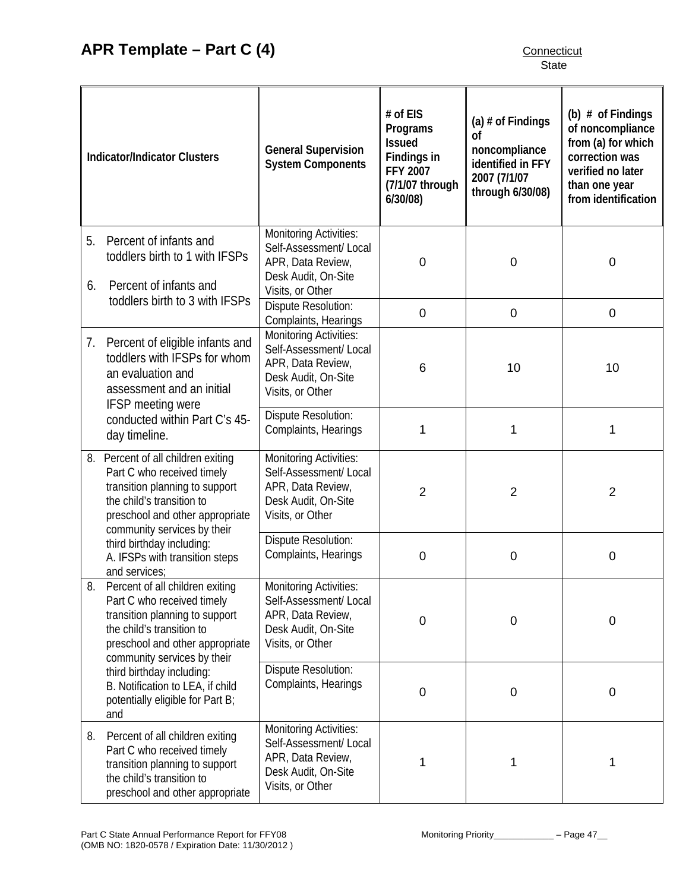| <b>Indicator/Indicator Clusters</b> |                                                                                                                                                                                                   | <b>General Supervision</b><br><b>System Components</b>                                                                  | # of EIS<br>Programs<br><b>Issued</b><br>Findings in<br><b>FFY 2007</b><br>(7/1/07 through<br>6/30/08 | (a) $#$ of Findings<br>Ωf<br>noncompliance<br>identified in FFY<br>2007 (7/1/07<br>through 6/30/08) | (b) $#$ of Findings<br>of noncompliance<br>from (a) for which<br>correction was<br>verified no later<br>than one year<br>from identification |
|-------------------------------------|---------------------------------------------------------------------------------------------------------------------------------------------------------------------------------------------------|-------------------------------------------------------------------------------------------------------------------------|-------------------------------------------------------------------------------------------------------|-----------------------------------------------------------------------------------------------------|----------------------------------------------------------------------------------------------------------------------------------------------|
| 5.<br>6.                            | Percent of infants and<br>toddlers birth to 1 with IFSPs<br>Percent of infants and                                                                                                                | <b>Monitoring Activities:</b><br>Self-Assessment/ Local<br>APR, Data Review,<br>Desk Audit, On-Site<br>Visits, or Other | $\mathbf 0$                                                                                           | $\mathbf 0$                                                                                         | $\mathbf 0$                                                                                                                                  |
|                                     | toddlers birth to 3 with IFSPs                                                                                                                                                                    | Dispute Resolution:<br>Complaints, Hearings                                                                             | $\mathbf 0$                                                                                           | $\mathbf 0$                                                                                         | $\boldsymbol{0}$                                                                                                                             |
|                                     | 7. Percent of eligible infants and<br>toddlers with IFSPs for whom<br>an evaluation and<br>assessment and an initial<br>IFSP meeting were                                                         | <b>Monitoring Activities:</b><br>Self-Assessment/ Local<br>APR, Data Review,<br>Desk Audit, On-Site<br>Visits, or Other | 6                                                                                                     | 10                                                                                                  | 10                                                                                                                                           |
|                                     | conducted within Part C's 45-<br>day timeline.                                                                                                                                                    | Dispute Resolution:<br>Complaints, Hearings                                                                             | 1                                                                                                     | 1                                                                                                   | 1                                                                                                                                            |
|                                     | 8. Percent of all children exiting<br>Part C who received timely<br>transition planning to support<br>the child's transition to<br>preschool and other appropriate<br>community services by their | Monitoring Activities:<br>Self-Assessment/ Local<br>APR, Data Review,<br>Desk Audit, On-Site<br>Visits, or Other        | $\overline{2}$                                                                                        | $\overline{2}$                                                                                      | $\overline{2}$                                                                                                                               |
|                                     | third birthday including:<br>A. IFSPs with transition steps<br>and services;                                                                                                                      | Dispute Resolution:<br>Complaints, Hearings                                                                             | $\mathbf 0$                                                                                           | $\mathbf 0$                                                                                         | 0                                                                                                                                            |
| 8.                                  | Percent of all children exiting<br>Part C who received timely<br>transition planning to support<br>the child's transition to<br>preschool and other appropriate<br>community services by their    | Monitoring Activities:<br>Self-Assessment/ Local<br>APR, Data Review,<br>Desk Audit, On-Site<br>Visits, or Other        | $\mathbf 0$                                                                                           | $\boldsymbol{0}$                                                                                    | $\mathbf 0$                                                                                                                                  |
|                                     | third birthday including:<br>B. Notification to LEA, if child<br>potentially eligible for Part B;<br>and                                                                                          | Dispute Resolution:<br>Complaints, Hearings                                                                             | $\mathbf 0$                                                                                           | $\pmb{0}$                                                                                           | 0                                                                                                                                            |
| 8.                                  | Percent of all children exiting<br>Part C who received timely<br>transition planning to support<br>the child's transition to<br>preschool and other appropriate                                   | <b>Monitoring Activities:</b><br>Self-Assessment/ Local<br>APR, Data Review,<br>Desk Audit, On-Site<br>Visits, or Other | 1                                                                                                     | 1                                                                                                   |                                                                                                                                              |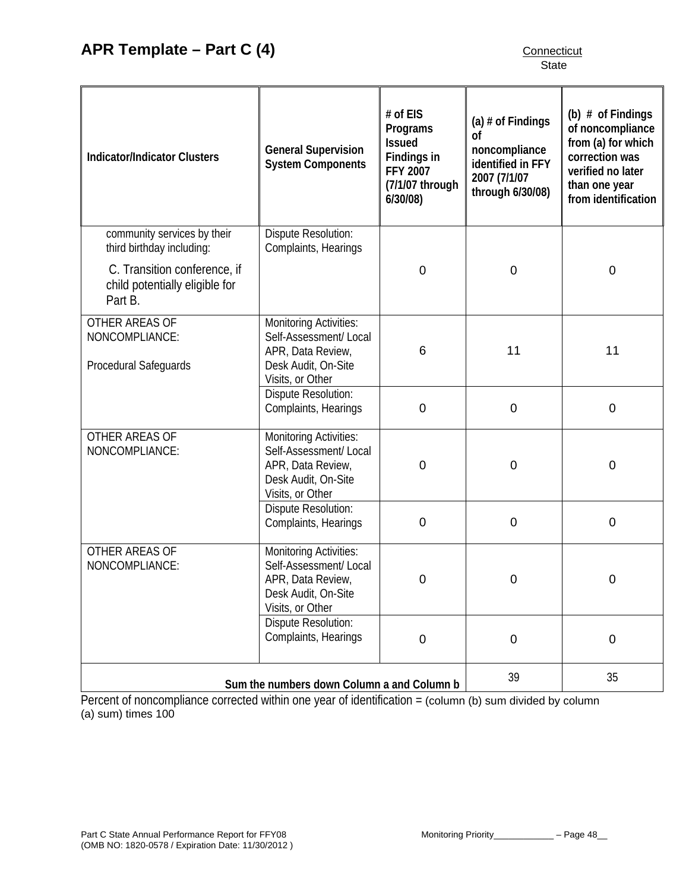| <b>Indicator/Indicator Clusters</b>                                       | <b>General Supervision</b><br><b>System Components</b>                                                                  | # of EIS<br>Programs<br><b>Issued</b><br>Findings in<br><b>FFY 2007</b><br>(7/1/07 through<br>6/30/08) | (a) $#$ of Findings<br><sub>of</sub><br>noncompliance<br>identified in FFY<br>2007 (7/1/07<br>through 6/30/08) | (b) $#$ of Findings<br>of noncompliance<br>from (a) for which<br>correction was<br>verified no later<br>than one year<br>from identification |
|---------------------------------------------------------------------------|-------------------------------------------------------------------------------------------------------------------------|--------------------------------------------------------------------------------------------------------|----------------------------------------------------------------------------------------------------------------|----------------------------------------------------------------------------------------------------------------------------------------------|
| community services by their<br>third birthday including:                  | Dispute Resolution:<br>Complaints, Hearings                                                                             |                                                                                                        |                                                                                                                |                                                                                                                                              |
| C. Transition conference, if<br>child potentially eligible for<br>Part B. |                                                                                                                         | $\mathbf 0$                                                                                            | $\mathbf 0$                                                                                                    | $\boldsymbol{0}$                                                                                                                             |
| OTHER AREAS OF<br>NONCOMPLIANCE:<br>Procedural Safeguards                 | <b>Monitoring Activities:</b><br>Self-Assessment/ Local<br>APR, Data Review,<br>Desk Audit, On-Site<br>Visits, or Other | 11<br>6                                                                                                |                                                                                                                | 11                                                                                                                                           |
|                                                                           | Dispute Resolution:<br>Complaints, Hearings                                                                             | $\mathbf 0$                                                                                            | $\mathbf 0$                                                                                                    | $\mathbf 0$                                                                                                                                  |
| OTHER AREAS OF<br>NONCOMPLIANCE:                                          | <b>Monitoring Activities:</b><br>Self-Assessment/Local<br>APR, Data Review,<br>Desk Audit, On-Site<br>Visits, or Other  | $\mathbf 0$                                                                                            | $\mathbf 0$                                                                                                    | $\boldsymbol{0}$                                                                                                                             |
|                                                                           | Dispute Resolution:<br>Complaints, Hearings                                                                             | $\mathbf 0$                                                                                            | $\mathbf 0$                                                                                                    | $\overline{0}$                                                                                                                               |
| OTHER AREAS OF<br>NONCOMPLIANCE:                                          | <b>Monitoring Activities:</b><br>Self-Assessment/ Local<br>APR, Data Review,<br>Desk Audit, On-Site<br>Visits, or Other | 0                                                                                                      | $\mathbf 0$                                                                                                    | $\mathbf 0$                                                                                                                                  |
|                                                                           | Dispute Resolution:<br>Complaints, Hearings                                                                             | 0                                                                                                      | $\boldsymbol{0}$                                                                                               | $\mathbf 0$                                                                                                                                  |
| Sum the numbers down Column a and Column b                                |                                                                                                                         |                                                                                                        | 39                                                                                                             | 35                                                                                                                                           |

Percent of noncompliance corrected within one year of identification = (column (b) sum divided by column (a) sum) times 100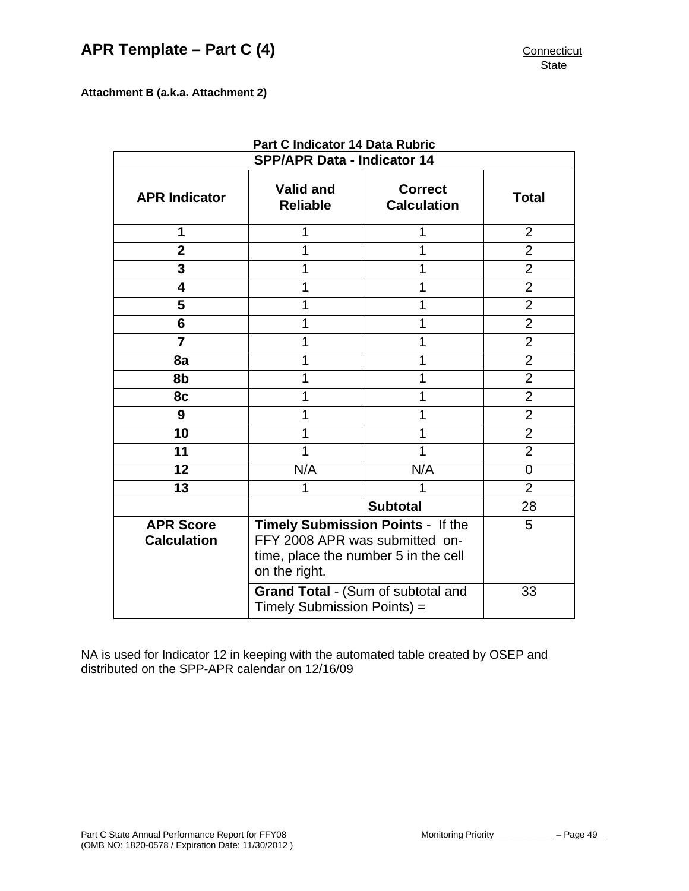<span id="page-49-0"></span>**Attachment B (a.k.a. Attachment 2)** 

| Fail & Mulcalor 14 Dala Rubric<br><b>SPP/APR Data - Indicator 14</b> |                                                                                                                                                                    |                                      |                |  |  |
|----------------------------------------------------------------------|--------------------------------------------------------------------------------------------------------------------------------------------------------------------|--------------------------------------|----------------|--|--|
| <b>APR Indicator</b>                                                 | <b>Valid and</b><br><b>Reliable</b>                                                                                                                                | <b>Correct</b><br><b>Calculation</b> | <b>Total</b>   |  |  |
| 1                                                                    | 1                                                                                                                                                                  | 1                                    | $\overline{2}$ |  |  |
| $\overline{2}$                                                       | 1                                                                                                                                                                  |                                      | $\overline{2}$ |  |  |
| 3                                                                    | 1                                                                                                                                                                  |                                      | $\overline{2}$ |  |  |
| 4                                                                    | 1                                                                                                                                                                  | 1                                    | $\overline{2}$ |  |  |
| 5                                                                    | 1                                                                                                                                                                  | 1                                    | $\overline{2}$ |  |  |
| 6                                                                    | 1                                                                                                                                                                  | 1                                    | $\overline{2}$ |  |  |
| $\overline{7}$                                                       | 1                                                                                                                                                                  | $\overline{2}$                       |                |  |  |
| 8a                                                                   | 1                                                                                                                                                                  | $\overline{2}$                       |                |  |  |
| 8b                                                                   | 1                                                                                                                                                                  | 1                                    | $\overline{2}$ |  |  |
| 8c                                                                   | 1                                                                                                                                                                  |                                      | $\overline{2}$ |  |  |
| 9                                                                    | 1                                                                                                                                                                  |                                      | $\overline{2}$ |  |  |
| 10                                                                   |                                                                                                                                                                    |                                      | $\overline{2}$ |  |  |
| 11                                                                   | 1                                                                                                                                                                  | 1                                    | $\overline{2}$ |  |  |
| 12                                                                   | N/A                                                                                                                                                                | N/A                                  | $\overline{0}$ |  |  |
| 13                                                                   | 1                                                                                                                                                                  |                                      | $\overline{2}$ |  |  |
|                                                                      |                                                                                                                                                                    | 28                                   |                |  |  |
| <b>APR Score</b><br><b>Calculation</b>                               | Timely Submission Points - If the<br>FFY 2008 APR was submitted on-<br>time, place the number 5 in the cell<br>on the right.<br>Grand Total - (Sum of subtotal and | 5<br>33                              |                |  |  |
|                                                                      | Timely Submission Points) =                                                                                                                                        |                                      |                |  |  |

**Part C Indicator 14 Data Rubric** 

NA is used for Indicator 12 in keeping with the automated table created by OSEP and distributed on the SPP-APR calendar on 12/16/09